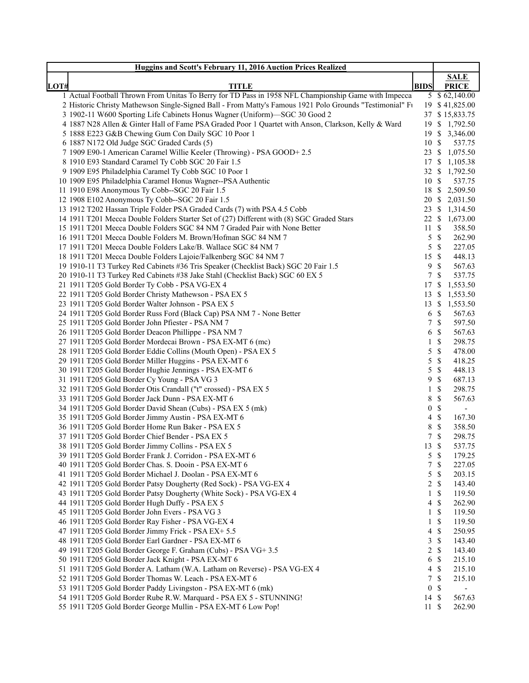|      | <b>Huggins and Scott's February 11, 2016 Auction Prices Realized</b>                                     |                                     |               |                          |
|------|----------------------------------------------------------------------------------------------------------|-------------------------------------|---------------|--------------------------|
|      |                                                                                                          |                                     |               | <b>SALE</b>              |
| LOT# | <b>TITLE</b>                                                                                             | <b>BIDS</b>                         |               | <b>PRICE</b>             |
|      | 1 Actual Football Thrown From Unitas To Berry for TD Pass in 1958 NFL Championship Game with Impecca     |                                     |               | 5 \$62,140.00            |
|      | 2 Historic Christy Mathewson Single-Signed Ball - From Matty's Famous 1921 Polo Grounds "Testimonial" Fu |                                     |               | 19 \$41,825.00           |
|      | 3 1902-11 W600 Sporting Life Cabinets Honus Wagner (Uniform)-SGC 30 Good 2                               |                                     |               | 37 \$15,833.75           |
|      | 4 1887 N28 Allen & Ginter Hall of Fame PSA Graded Poor 1 Quartet with Anson, Clarkson, Kelly & Ward      |                                     |               | 19 \$ 1,792.50           |
|      | 5 1888 E223 G&B Chewing Gum Con Daily SGC 10 Poor 1                                                      |                                     |               | 19 \$ 3,346.00           |
|      | 6 1887 N172 Old Judge SGC Graded Cards (5)                                                               | 10 \$                               |               | 537.75                   |
|      | 7 1909 E90-1 American Caramel Willie Keeler (Throwing) - PSA GOOD+2.5                                    |                                     |               | 23 \$ 1,075.50           |
|      | 8 1910 E93 Standard Caramel Ty Cobb SGC 20 Fair 1.5                                                      |                                     |               | 17 \$ 1,105.38           |
|      | 9 1909 E95 Philadelphia Caramel Ty Cobb SGC 10 Poor 1                                                    |                                     |               | 32 \$ 1,792.50           |
|      | 10 1909 E95 Philadelphia Caramel Honus Wagner--PSA Authentic                                             | 10 \$                               |               | 537.75                   |
|      | 11 1910 E98 Anonymous Ty Cobb--SGC 20 Fair 1.5                                                           |                                     |               | 18 \$ 2,509.50           |
|      | 12 1908 E102 Anonymous Ty Cobb--SGC 20 Fair 1.5                                                          |                                     |               | 20 \$ 2,031.50           |
|      | 13 1912 T202 Hassan Triple Folder PSA Graded Cards (7) with PSA 4.5 Cobb                                 |                                     |               | 23 \$ 1,314.50           |
|      | 14 1911 T201 Mecca Double Folders Starter Set of (27) Different with (8) SGC Graded Stars                |                                     |               | 22 \$ 1,673.00           |
|      | 15 1911 T201 Mecca Double Folders SGC 84 NM 7 Graded Pair with None Better                               | 11S                                 |               | 358.50                   |
|      | 16 1911 T201 Mecca Double Folders M. Brown/Hofman SGC 84 NM 7                                            | 5S                                  |               | 262.90                   |
|      | 17 1911 T201 Mecca Double Folders Lake/B. Wallace SGC 84 NM 7                                            | 5S                                  |               | 227.05                   |
|      | 18 1911 T201 Mecca Double Folders Lajoie/Falkenberg SGC 84 NM 7                                          | 15 \$                               |               | 448.13                   |
|      | 19 1910-11 T3 Turkey Red Cabinets #36 Tris Speaker (Checklist Back) SGC 20 Fair 1.5                      | 9                                   | -\$           | 567.63                   |
|      | 20 1910-11 T3 Turkey Red Cabinets #38 Jake Stahl (Checklist Back) SGC 60 EX 5                            | 7                                   | -\$           | 537.75                   |
|      | 21 1911 T205 Gold Border Ty Cobb - PSA VG-EX 4                                                           |                                     |               | 17 \$ 1,553.50           |
|      | 22 1911 T205 Gold Border Christy Mathewson - PSA EX 5                                                    |                                     |               | 13 \$ 1,553.50           |
|      | 23 1911 T205 Gold Border Walter Johnson - PSA EX 5                                                       |                                     |               | 13 \$ 1,553.50           |
|      | 24 1911 T205 Gold Border Russ Ford (Black Cap) PSA NM 7 - None Better                                    | 6 <sup>°</sup>                      |               | 567.63                   |
|      | 25 1911 T205 Gold Border John Pfiester - PSA NM 7                                                        | 7S                                  |               | 597.50                   |
|      | 26 1911 T205 Gold Border Deacon Phillippe - PSA NM 7                                                     | 6 <sup>°</sup>                      |               | 567.63                   |
|      | 27 1911 T205 Gold Border Mordecai Brown - PSA EX-MT 6 (mc)                                               | $\mathbf{1}$                        | $\mathcal{S}$ | 298.75                   |
|      | 28 1911 T205 Gold Border Eddie Collins (Mouth Open) - PSA EX 5                                           | 5                                   | -\$           | 478.00                   |
|      | 29 1911 T205 Gold Border Miller Huggins - PSA EX-MT 6                                                    | $5 \text{ }$ \$                     |               | 418.25                   |
|      | 30 1911 T205 Gold Border Hughie Jennings - PSA EX-MT 6                                                   | 5                                   | $\mathcal{S}$ | 448.13                   |
|      | 31 1911 T205 Gold Border Cy Young - PSA VG 3                                                             | 9                                   | <sup>\$</sup> | 687.13                   |
|      | 32 1911 T205 Gold Border Otis Crandall ("t" crossed) - PSA EX 5                                          | 1                                   | \$            | 298.75                   |
|      | 33 1911 T205 Gold Border Jack Dunn - PSA EX-MT 6                                                         | 8                                   | $\mathcal{S}$ | 567.63                   |
|      | 34 1911 T205 Gold Border David Shean (Cubs) - PSA EX 5 (mk)                                              | $\boldsymbol{0}$<br>$4 \text{ }$ \$ | $\mathcal{S}$ | $\overline{\phantom{a}}$ |
|      | 35 1911 T205 Gold Border Jimmy Austin - PSA EX-MT 6                                                      |                                     |               | 167.30                   |
|      | 36 1911 T205 Gold Border Home Run Baker - PSA EX 5                                                       | 8 \$                                |               | 358.50                   |
|      | 37 1911 T205 Gold Border Chief Bender - PSA EX 5                                                         | 7                                   | $\mathcal{S}$ | 298.75                   |
|      | 38 1911 T205 Gold Border Jimmy Collins - PSA EX 5                                                        | 13S                                 |               | 537.75                   |
|      | 39 1911 T205 Gold Border Frank J. Corridon - PSA EX-MT 6                                                 | 5S                                  |               | 179.25                   |
|      | 40 1911 T205 Gold Border Chas. S. Dooin - PSA EX-MT 6                                                    | 7S                                  |               | 227.05                   |
|      | 41 1911 T205 Gold Border Michael J. Doolan - PSA EX-MT 6                                                 | 5S                                  |               | 203.15                   |
|      | 42 1911 T205 Gold Border Patsy Dougherty (Red Sock) - PSA VG-EX 4                                        | $2 \sqrt{s}$                        |               | 143.40                   |
|      | 43 1911 T205 Gold Border Patsy Dougherty (White Sock) - PSA VG-EX 4                                      | 1S<br>$4 \text{ }$ \$               |               | 119.50                   |
|      | 44 1911 T205 Gold Border Hugh Duffy - PSA EX 5                                                           | $1 \text{ }$                        |               | 262.90                   |
|      | 45 1911 T205 Gold Border John Evers - PSA VG 3                                                           |                                     |               | 119.50                   |
|      | 46 1911 T205 Gold Border Ray Fisher - PSA VG-EX 4                                                        | $1 \text{ }s$                       |               | 119.50                   |
|      | 47 1911 T205 Gold Border Jimmy Frick - PSA EX+ 5.5                                                       | $4 \text{ }$                        |               | 250.95                   |
|      | 48 1911 T205 Gold Border Earl Gardner - PSA EX-MT 6                                                      | 3S                                  |               | 143.40                   |
|      | 49 1911 T205 Gold Border George F. Graham (Cubs) - PSA VG+3.5                                            | $2 \sqrt{s}$                        |               | 143.40                   |
|      | 50 1911 T205 Gold Border Jack Knight - PSA EX-MT 6                                                       | 6                                   | -\$           | 215.10                   |
|      | 51 1911 T205 Gold Border A. Latham (W.A. Latham on Reverse) - PSA VG-EX 4                                | $4 \text{ } $$                      |               | 215.10                   |
|      | 52 1911 T205 Gold Border Thomas W. Leach - PSA EX-MT 6                                                   | 7S                                  |               | 215.10                   |
|      | 53 1911 T205 Gold Border Paddy Livingston - PSA EX-MT 6 (mk)                                             | 0S                                  |               | $\frac{1}{2}$            |
|      | 54 1911 T205 Gold Border Rube R.W. Marquard - PSA EX 5 - STUNNING!                                       | 14S                                 |               | 567.63                   |
|      | 55 1911 T205 Gold Border George Mullin - PSA EX-MT 6 Low Pop!                                            | 11S                                 |               | 262.90                   |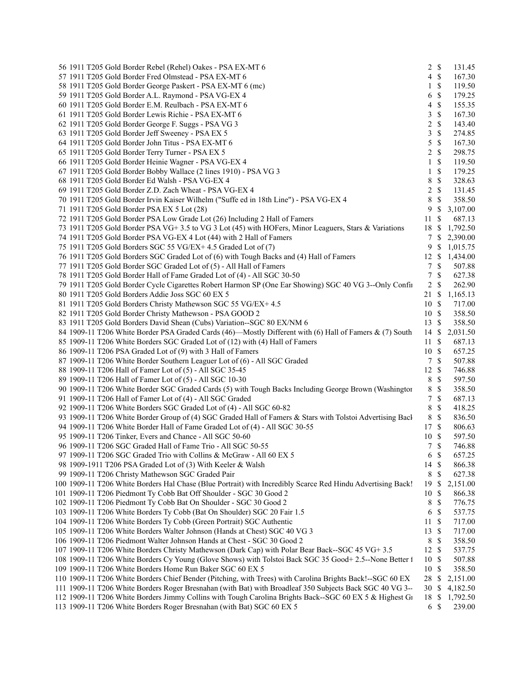| 56 1911 T205 Gold Border Rebel (Rehel) Oakes - PSA EX-MT 6                                                  | 2 S             |               | 131.45         |
|-------------------------------------------------------------------------------------------------------------|-----------------|---------------|----------------|
| 57 1911 T205 Gold Border Fred Olmstead - PSA EX-MT 6                                                        | $4 \text{ }$    |               | 167.30         |
| 58 1911 T205 Gold Border George Paskert - PSA EX-MT 6 (mc)                                                  | $1 \text{ }$ \$ |               | 119.50         |
| 59 1911 T205 Gold Border A.L. Raymond - PSA VG-EX 4                                                         | 6 <sup>°</sup>  |               | 179.25         |
| 60 1911 T205 Gold Border E.M. Reulbach - PSA EX-MT 6                                                        | $4 \text{ }$    |               | 155.35         |
| PSA VG-EX 4<br>61 1911 T205 Gold Border Lewis Richie - PSA EX-MT 6                                          | 3S              |               | 167.30         |
|                                                                                                             |                 |               |                |
| 62 1911 T205 Gold Border George F. Suggs - PSA VG 3                                                         | 2 S             |               | 143.40         |
| 63 1911 T205 Gold Border Jeff Sweeney - PSA EX 5                                                            | $\mathfrak{Z}$  | $\mathbb{S}$  | 274.85         |
| 64 1911 T205 Gold Border John Titus - PSA EX-MT 6                                                           | 5S              |               | 167.30         |
| 65 1911 T205 Gold Border Terry Turner - PSA EX 5                                                            | $2 \sqrt{s}$    |               | 298.75         |
| 66 1911 T205 Gold Border Heinie Wagner - PSA VG-EX 4                                                        | $1 \text{ }$    |               | 119.50         |
| 67 1911 T205 Gold Border Bobby Wallace (2 lines 1910) - PSA VG 3                                            | $1 \text{ }$    |               | 179.25         |
| 68 1911 T205 Gold Border Ed Walsh - PSA VG-EX 4                                                             | 8 \$            |               | 328.63         |
| 69 1911 T205 Gold Border Z.D. Zach Wheat - PSA VG-EX 4                                                      | 2 S             |               | 131.45         |
| 70 1911 T205 Gold Border Irvin Kaiser Wilhelm ("Suffe ed in 18th Line") - PSA VG-EX 4                       | 8 \$            |               | 358.50         |
| 71 1911 T205 Gold Border PSA EX 5 Lot (28)                                                                  |                 |               | 9 \$ 3,107.00  |
| 72 1911 T205 Gold Border PSA Low Grade Lot (26) Including 2 Hall of Famers                                  | 11S             |               | 687.13         |
| 73 1911 T205 Gold Border PSA VG+ 3.5 to VG 3 Lot (45) with HOFers, Minor Leaguers, Stars & Variations       |                 |               | 18 \$ 1,792.50 |
| 74 1911 T205 Gold Border PSA VG-EX 4 Lot (44) with 2 Hall of Famers                                         |                 |               | 7 \$ 2,390.00  |
|                                                                                                             |                 |               |                |
| 75 1911 T205 Gold Borders SGC 55 VG/EX+4.5 Graded Lot of (7)                                                |                 |               | 9 \$ 1,015.75  |
| 76 1911 T205 Gold Borders SGC Graded Lot of (6) with Tough Backs and (4) Hall of Famers                     |                 |               | 12 \$ 1,434.00 |
| 77 1911 T205 Gold Border SGC Graded Lot of (5) - All Hall of Famers                                         | 7 \$            |               | 507.88         |
| 78 1911 T205 Gold Border Hall of Fame Graded Lot of (4) - All SGC 30-50                                     | 7S              |               | 627.38         |
| 79 1911 T205 Gold Border Cycle Cigarettes Robert Harmon SP (One Ear Showing) SGC 40 VG 3--Only Confu        | $2 \sqrt{s}$    |               | 262.90         |
| 80 1911 T205 Gold Borders Addie Joss SGC 60 EX 5                                                            |                 |               | 21 \$ 1,165.13 |
| 81 1911 T205 Gold Borders Christy Mathewson SGC 55 VG/EX+ 4.5                                               | 10S             |               | 717.00         |
| 82 1911 T205 Gold Border Christy Mathewson - PSA GOOD 2                                                     | 10S             |               | 358.50         |
| 83 1911 T205 Gold Borders David Shean (Cubs) Variation--SGC 80 EX/NM 6                                      | 13S             |               | 358.50         |
| 84 1909-11 T206 White Border PSA Graded Cards (46)-Mostly Different with (6) Hall of Famers & (7) South     |                 |               | 14 \$ 2,031.50 |
| 85 1909-11 T206 White Borders SGC Graded Lot of (12) with (4) Hall of Famers                                | 11S             |               | 687.13         |
| 86 1909-11 T206 PSA Graded Lot of (9) with 3 Hall of Famers                                                 | 10S             |               | 657.25         |
| 87 1909-11 T206 White Border Southern Leaguer Lot of (6) - All SGC Graded                                   | 7S              |               | 507.88         |
| 88 1909-11 T206 Hall of Famer Lot of (5) - All SGC 35-45                                                    | 12S             |               | 746.88         |
|                                                                                                             |                 |               |                |
| 89 1909-11 T206 Hall of Famer Lot of (5) - All SGC 10-30                                                    | 8 \$            |               | 597.50         |
| 90 1909-11 T206 White Border SGC Graded Cards (5) with Tough Backs Including George Brown (Washingtor       | 8 \$            |               | 358.50         |
| 91 1909-11 T206 Hall of Famer Lot of (4) - All SGC Graded                                                   | $\tau$          | $\mathbb{S}$  | 687.13         |
| 92 1909-11 T206 White Borders SGC Graded Lot of (4) - All SGC 60-82                                         | 8 \$            |               | 418.25         |
| 93 1909-11 T206 White Border Group of (4) SGC Graded Hall of Famers & Stars with Tolstoi Advertising Back   | 8 \$            |               | 836.50         |
| 94 1909-11 T206 White Border Hall of Fame Graded Lot of (4) - All SGC 30-55                                 | 17S             |               | 806.63         |
| 95 1909-11 T206 Tinker, Evers and Chance - All SGC 50-60                                                    | 10 \$           |               | 597.50         |
| 96 1909-11 T206 SGC Graded Hall of Fame Trio - All SGC 50-55                                                | 7S              |               | 746.88         |
| 97 1909-11 T206 SGC Graded Trio with Collins & McGraw - All 60 EX 5                                         | 6 <sup>°</sup>  |               | 657.25         |
| 98 1909-1911 T206 PSA Graded Lot of (3) With Keeler & Walsh                                                 | 14 \$           |               | 866.38         |
| 99 1909-11 T206 Christy Mathewson SGC Graded Pair                                                           | 8 \$            |               | 627.38         |
| 100 1909-11 T206 White Borders Hal Chase (Blue Portrait) with Incredibly Scarce Red Hindu Advertising Back! | 19S             |               | 2,151.00       |
| 101 1909-11 T206 Piedmont Ty Cobb Bat Off Shoulder - SGC 30 Good 2                                          | 10S             |               | 866.38         |
| 102 1909-11 T206 Piedmont Ty Cobb Bat On Shoulder - SGC 30 Good 2                                           | 8               | $\mathcal{S}$ | 776.75         |
| 103 1909-11 T206 White Borders Ty Cobb (Bat On Shoulder) SGC 20 Fair 1.5                                    | 6 <sup>°</sup>  |               |                |
|                                                                                                             |                 |               | 537.75         |
| 104 1909-11 T206 White Borders Ty Cobb (Green Portrait) SGC Authentic                                       | 11S             |               | 717.00         |
| 105 1909-11 T206 White Borders Walter Johnson (Hands at Chest) SGC 40 VG 3                                  | 13S             |               | 717.00         |
| 106 1909-11 T206 Piedmont Walter Johnson Hands at Chest - SGC 30 Good 2                                     | 8 \$            |               | 358.50         |
| 107 1909-11 T206 White Borders Christy Mathewson (Dark Cap) with Polar Bear Back--SGC 45 VG+ 3.5            | 12S             |               | 537.75         |
| 108 1909-11 T206 White Borders Cy Young (Glove Shows) with Tolstoi Back SGC 35 Good+ 2.5--None Better 1     | 10 \$           |               | 507.88         |
| 109 1909-11 T206 White Borders Home Run Baker SGC 60 EX 5                                                   | 10 \$           |               | 358.50         |
| 110 1909-11 T206 White Borders Chief Bender (Pitching, with Trees) with Carolina Brights Back!--SGC 60 EX   | 28 \$           |               | 2,151.00       |
| 111 1909-11 T206 White Borders Roger Bresnahan (with Bat) with Broadleaf 350 Subjects Back SGC 40 VG 3--    | 30 \$           |               | 4,182.50       |
| 112 1909-11 T206 White Borders Jimmy Collins with Tough Carolina Brights Back--SGC 60 EX 5 & Highest GI     |                 |               | 18 \$ 1,792.50 |
| 113 1909-11 T206 White Borders Roger Bresnahan (with Bat) SGC 60 EX 5                                       | 6S              |               | 239.00         |
|                                                                                                             |                 |               |                |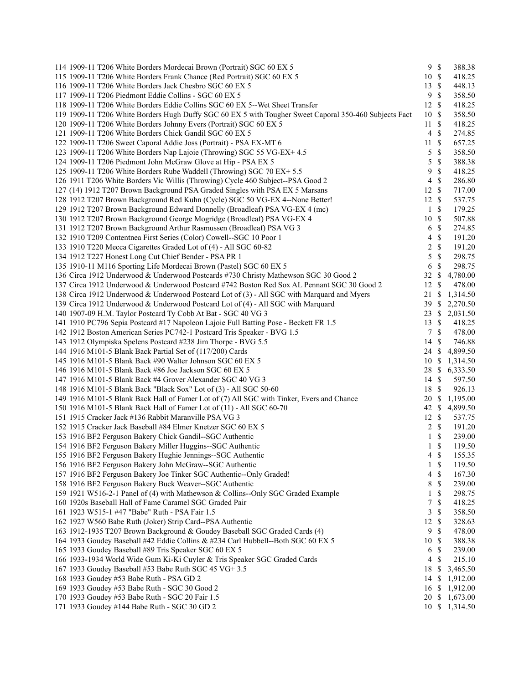| 114 1909-11 T206 White Borders Mordecai Brown (Portrait) SGC 60 EX 5                                   |                  | 9S            | 388.38         |
|--------------------------------------------------------------------------------------------------------|------------------|---------------|----------------|
| 115 1909-11 T206 White Borders Frank Chance (Red Portrait) SGC 60 EX 5                                 | 10 \$            |               | 418.25         |
| 116 1909-11 T206 White Borders Jack Chesbro SGC 60 EX 5                                                | 13               | \$            | 448.13         |
| 117 1909-11 T206 Piedmont Eddie Collins - SGC 60 EX 5                                                  | 9                | $\mathcal{S}$ | 358.50         |
| 118 1909-11 T206 White Borders Eddie Collins SGC 60 EX 5--Wet Sheet Transfer                           | 12               | $\mathcal{S}$ | 418.25         |
| 119 1909-11 T206 White Borders Hugh Duffy SGC 60 EX 5 with Tougher Sweet Caporal 350-460 Subjects Fact | 10               | -S            | 358.50         |
| 120 1909-11 T206 White Borders Johnny Evers (Portrait) SGC 60 EX 5                                     | 11               | $\mathcal{S}$ | 418.25         |
| 121 1909-11 T206 White Borders Chick Gandil SGC 60 EX 5                                                | $\overline{4}$   | $\mathcal{S}$ | 274.85         |
| 122 1909-11 T206 Sweet Caporal Addie Joss (Portrait) - PSA EX-MT 6                                     | 11               | $\mathcal{S}$ | 657.25         |
| 123 1909-11 T206 White Borders Nap Lajoie (Throwing) SGC 55 VG-EX+ 4.5                                 | 5                | $\mathcal{S}$ | 358.50         |
| 124 1909-11 T206 Piedmont John McGraw Glove at Hip - PSA EX 5                                          | 5                | $\mathcal{S}$ | 388.38         |
| 125 1909-11 T206 White Borders Rube Waddell (Throwing) SGC 70 EX+ 5.5                                  | 9                | $\mathcal{S}$ | 418.25         |
| 126 1911 T206 White Borders Vic Willis (Throwing) Cycle 460 Subject--PSA Good 2                        | $\overline{4}$   | $\mathcal{S}$ | 286.80         |
| 127 (14) 1912 T207 Brown Background PSA Graded Singles with PSA EX 5 Marsans                           | 12               | $\mathbb{S}$  | 717.00         |
| 128 1912 T207 Brown Background Red Kuhn (Cycle) SGC 50 VG-EX 4--None Better!                           | 12               | $\mathbb{S}$  | 537.75         |
| 129 1912 T207 Brown Background Edward Donnelly (Broadleaf) PSA VG-EX 4 (mc)                            | $\mathbf{1}$     | $\mathcal{S}$ | 179.25         |
|                                                                                                        | 10               | $\mathcal{S}$ | 507.88         |
| 130 1912 T207 Brown Background George Mogridge (Broadleaf) PSA VG-EX 4                                 |                  |               |                |
| 131 1912 T207 Brown Background Arthur Rasmussen (Broadleaf) PSA VG 3                                   | 6                | $\mathbb{S}$  | 274.85         |
| 132 1910 T209 Contentnea First Series (Color) Cowell--SGC 10 Poor 1                                    | 4                | $\mathcal{S}$ | 191.20         |
| 133 1910 T220 Mecca Cigarettes Graded Lot of (4) - All SGC 60-82                                       | 2                | $\mathbb{S}$  | 191.20         |
| 134 1912 T227 Honest Long Cut Chief Bender - PSA PR 1                                                  | 5                | $\mathbb{S}$  | 298.75         |
| 135 1910-11 M116 Sporting Life Mordecai Brown (Pastel) SGC 60 EX 5                                     | 6                | $\mathcal{S}$ | 298.75         |
| 136 Circa 1912 Underwood & Underwood Postcards #730 Christy Mathewson SGC 30 Good 2                    | 32               | \$            | 4,780.00       |
| 137 Circa 1912 Underwood & Underwood Postcard #742 Boston Red Sox AL Pennant SGC 30 Good 2             | 12               | $\mathbb{S}$  | 478.00         |
| 138 Circa 1912 Underwood & Underwood Postcard Lot of (3) - All SGC with Marquard and Myers             | 21               | \$            | 1,314.50       |
| 139 Circa 1912 Underwood & Underwood Postcard Lot of (4) - All SGC with Marquard                       | 39S              |               | 2,270.50       |
| 140 1907-09 H.M. Taylor Postcard Ty Cobb At Bat - SGC 40 VG 3                                          | 23               | \$            | 2,031.50       |
| 141 1910 PC796 Sepia Postcard #17 Napoleon Lajoie Full Batting Pose - Beckett FR 1.5                   | 13               | \$            | 418.25         |
| 142 1912 Boston American Series PC742-1 Postcard Tris Speaker - BVG 1.5                                | $7\overline{ }$  | $\mathcal{S}$ | 478.00         |
| 143 1912 Olympiska Spelens Postcard #238 Jim Thorpe - BVG 5.5                                          | 14               | $\mathbb{S}$  | 746.88         |
| 144 1916 M101-5 Blank Back Partial Set of (117/200) Cards                                              | 24 \$            |               | 4,899.50       |
| 145 1916 M101-5 Blank Back #90 Walter Johnson SGC 60 EX 5                                              | 10S              |               | 1,314.50       |
| 146 1916 M101-5 Blank Back #86 Joe Jackson SGC 60 EX 5                                                 | 28               | \$            | 6,333.50       |
| 147 1916 M101-5 Blank Back #4 Grover Alexander SGC 40 VG 3                                             | $14 \text{ }$ \$ |               | 597.50         |
| 148 1916 M101-5 Blank Back "Black Sox" Lot of (3) - All SGC 50-60                                      | 18 \$            |               | 926.13         |
| 149 1916 M101-5 Blank Back Hall of Famer Lot of (7) All SGC with Tinker, Evers and Chance              | 20 \$            |               | 1,195.00       |
| 150 1916 M101-5 Blank Back Hall of Famer Lot of (11) - All SGC 60-70                                   |                  |               | 42 \$4,899.50  |
| 151 1915 Cracker Jack #136 Rabbit Maranville PSA VG 3                                                  | $12 \text{ }$ \$ |               | 537.75         |
| 152 1915 Cracker Jack Baseball #84 Elmer Knetzer SGC 60 EX 5                                           | 2                | $\mathcal{S}$ | 191.20         |
| 153 1916 BF2 Ferguson Bakery Chick Gandil-SGC Authentic                                                | $\mathbf{1}$     | $\mathcal{S}$ | 239.00         |
| 154 1916 BF2 Ferguson Bakery Miller Huggins--SGC Authentic                                             | $\mathbf{1}$     | $\mathbf{\$}$ | 119.50         |
| 155 1916 BF2 Ferguson Bakery Hughie Jennings--SGC Authentic                                            |                  | 4S            | 155.35         |
| 156 1916 BF2 Ferguson Bakery John McGraw--SGC Authentic                                                | 1                | $\mathbb S$   | 119.50         |
| 157 1916 BF2 Ferguson Bakery Joe Tinker SGC Authentic--Only Graded!                                    | 4                | $\mathbb{S}$  | 167.30         |
|                                                                                                        |                  | $\mathbb S$   |                |
| 158 1916 BF2 Ferguson Bakery Buck Weaver--SGC Authentic                                                | 8                |               | 239.00         |
| 159 1921 W516-2-1 Panel of (4) with Mathewson & Collins--Only SGC Graded Example                       | $\mathbf{1}$     | \$            | 298.75         |
| 160 1920s Baseball Hall of Fame Caramel SGC Graded Pair                                                | 7                | $\mathbb{S}$  | 418.25         |
| 161 1923 W515-1 #47 "Babe" Ruth - PSA Fair 1.5                                                         | $\mathfrak{Z}$   | $\mathbb{S}$  | 358.50         |
| 162 1927 W560 Babe Ruth (Joker) Strip Card--PSA Authentic                                              | 12               | $\mathbb{S}$  | 328.63         |
| 163 1912-1935 T207 Brown Background & Goudey Baseball SGC Graded Cards (4)                             | 9                | $\mathbb{S}$  | 478.00         |
| 164 1933 Goudey Baseball #42 Eddie Collins & #234 Carl Hubbell--Both SGC 60 EX 5                       | 10               | -S            | 388.38         |
| 165 1933 Goudey Baseball #89 Tris Speaker SGC 60 EX 5                                                  | 6                | $\mathbb{S}$  | 239.00         |
| 166 1933-1934 World Wide Gum Ki-Ki Cuyler & Tris Speaker SGC Graded Cards                              | $\overline{4}$   | $\mathbb{S}$  | 215.10         |
| 167 1933 Goudey Baseball #53 Babe Ruth SGC 45 VG+ 3.5                                                  | 18 \$            |               | 3,465.50       |
| 168 1933 Goudey #53 Babe Ruth - PSA GD 2                                                               | 14S              |               | 1,912.00       |
| 169 1933 Goudey #53 Babe Ruth - SGC 30 Good 2                                                          |                  |               | 16 \$ 1,912.00 |
| 170 1933 Goudey #53 Babe Ruth - SGC 20 Fair 1.5                                                        |                  |               | 20 \$ 1,673.00 |
| 171 1933 Goudey #144 Babe Ruth - SGC 30 GD 2                                                           |                  |               | 10 \$ 1,314.50 |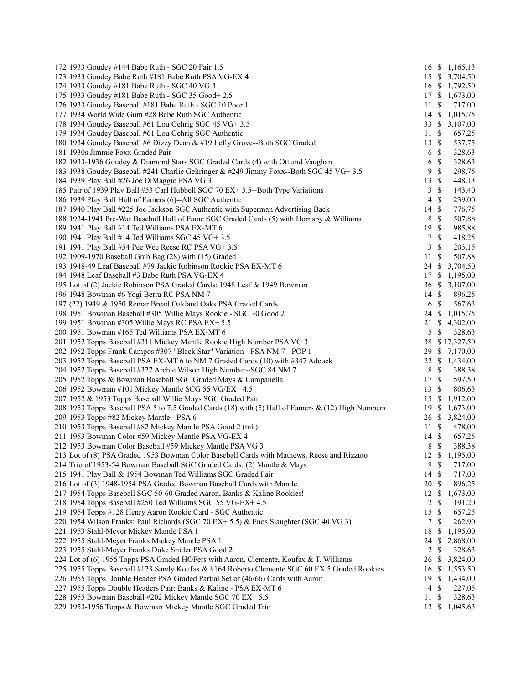| 172 1933 Goudey #144 Babe Ruth - SGC 20 Fair 1.5                                                   |                  |                           | 16 \$ 1,165.13 |
|----------------------------------------------------------------------------------------------------|------------------|---------------------------|----------------|
| 173 1933 Goudey Babe Ruth #181 Babe Ruth PSA VG-EX 4                                               |                  |                           | 15 \$ 3,704.50 |
| 174 1933 Goudey #181 Babe Ruth - SGC 40 VG 3                                                       |                  |                           | 16 \$ 1,792.50 |
| 175 1933 Goudey #181 Babe Ruth - SGC 35 Good + 2.5                                                 | 17S              |                           | 1,673.00       |
| 176 1933 Goudey Baseball #181 Babe Ruth - SGC 10 Poor 1                                            | 11               | \$                        | 717.00         |
| 177 1934 World Wide Gum #28 Babe Ruth SGC Authentic                                                |                  |                           | 14 \$ 1,015.75 |
| 178 1934 Goudey Baseball #61 Lou Gehrig SGC 45 VG+ 3.5                                             |                  |                           | 33 \$ 3,107.00 |
| 179 1934 Goudey Baseball #61 Lou Gehrig SGC Authentic                                              | $11 \text{ }$ \$ |                           | 657.25         |
| 180 1934 Goudey Baseball #6 Dizzy Dean & #19 Lefty Grove--Both SGC Graded                          | $13 \text{ }$ \$ |                           | 537.75         |
| 181 1930s Jimmie Foxx Graded Pair                                                                  | 6                | -S                        | 328.63         |
| 182 1933-1936 Goudey & Diamond Stars SGC Graded Cards (4) with Ott and Vaughan                     | 6                | $\mathbb{S}$              | 328.63         |
| 183 1938 Goudey Baseball #241 Charlie Gehringer & #249 Jimmy Foxx--Both SGC 45 VG+ 3.5             | 9                | $\mathbf{\$}$             | 298.75         |
| 184 1939 Play Ball #26 Joe DiMaggio PSA VG 3                                                       | 13               | $\mathcal{S}$             | 448.13         |
| 185 Pair of 1939 Play Ball #53 Carl Hubbell SGC 70 EX+ 5.5--Both Type Variations                   | 3                | $\mathcal{S}$             | 143.40         |
| 186 1939 Play Ball Hall of Famers (6)--All SGC Authentic                                           | 4                | $\mathbb{S}$              | 239.00         |
| 187 1940 Play Ball #225 Joe Jackson SGC Authentic with Superman Advertising Back                   | 14               | $\mathbf{\$}$             | 776.75         |
| 188 1934-1941 Pre-War Baseball Hall of Fame SGC Graded Cards (5) with Hornsby & Williams           | 8                | $\mathbb{S}$              | 507.88         |
| 189 1941 Play Ball #14 Ted Williams PSA EX-MT 6                                                    | 19               | - \$                      | 985.88         |
| 190 1941 Play Ball #14 Ted Williams SGC 45 VG+ 3.5                                                 | $\tau$           | $\mathbf{\$}$             | 418.25         |
| 191 1941 Play Ball #54 Pee Wee Reese RC PSA VG+ 3.5                                                | 3                | $\mathbb{S}$              | 203.15         |
| 192 1909-1970 Baseball Grab Bag (28) with (15) Graded                                              | 11               | $\boldsymbol{\mathsf{S}}$ | 507.88         |
| 193 1948-49 Leaf Baseball #79 Jackie Robinson Rookie PSA EX-MT 6                                   | 24               | \$                        | 3,704.50       |
| 194 1948 Leaf Baseball #3 Babe Ruth PSA VG-EX 4                                                    |                  |                           | 17 \$ 1,195.00 |
| 195 Lot of (2) Jackie Robinson PSA Graded Cards: 1948 Leaf & 1949 Bowman                           |                  |                           | 36 \$ 3,107.00 |
| 196 1948 Bowman #6 Yogi Berra RC PSA NM 7                                                          | 14S              |                           | 896.25         |
| 197 (22) 1949 & 1950 Remar Bread Oakland Oaks PSA Graded Cards                                     |                  | 6 \$                      | 567.63         |
| 198 1951 Bowman Baseball #305 Willie Mays Rookie - SGC 30 Good 2                                   | 24 \$            |                           | 1,015.75       |
| 199 1951 Bowman #305 Willie Mays RC PSA EX+ 5.5                                                    | 21               | \$                        | 4,302.00       |
| 200 1951 Bowman #165 Ted Williams PSA EX-MT 6                                                      |                  | 5S                        | 328.63         |
|                                                                                                    |                  |                           |                |
| 201 1952 Topps Baseball #311 Mickey Mantle Rookie High Number PSA VG 3                             |                  |                           | 38 \$17,327.50 |
| 202 1952 Topps Frank Campos #307 "Black Star" Variation - PSA NM 7 - POP 1                         |                  |                           | 29 \$ 7,170.00 |
| 203 1952 Topps Baseball PSA EX-MT 6 to NM 7 Graded Cards (10) with #347 Adcock                     |                  |                           | 22 \$ 1,434.00 |
| 204 1952 Topps Baseball #327 Archie Wilson High Number--SGC 84 NM 7                                | 8                | \$                        | 388.38         |
| 205 1952 Topps & Bowman Baseball SGC Graded Mays & Campanella                                      | 17 \$            |                           | 597.50         |
| 206 1952 Bowman #101 Mickey Mantle SCG 55 VG/EX+ 4.5                                               | $13 \text{ }$ \$ |                           | 806.63         |
| 207 1952 & 1953 Topps Baseball Willie Mays SGC Graded Pair                                         | 15S              |                           | 1,912.00       |
| 208 1953 Topps Baseball PSA 5 to 7.5 Graded Cards (18) with (5) Hall of Famers & (12) High Numbers | 19S              |                           | 1,673.00       |
| 209 1953 Topps #82 Mickey Mantle - PSA 6                                                           |                  |                           | 26 \$ 3,824.00 |
| 210 1953 Topps Baseball #82 Mickey Mantle PSA Good 2 (mk)                                          | $11 \text{ }$ \$ |                           | 478.00         |
| 211 1953 Bowman Color #59 Mickey Mantle PSA VG-EX 4                                                | $14 \text{ }$ \$ |                           | 657.25         |
| 212 1953 Bowman Color Baseball #59 Mickey Mantle PSA VG 3                                          | 8 \$             |                           | 388.38         |
| 213 Lot of (8) PSA Graded 1953 Bowman Color Baseball Cards with Mathews, Reese and Rizzuto         | $12 \text{ }$ \$ |                           | 1,195.00       |
| 214 Trio of 1953-54 Bowman Baseball SGC Graded Cards: (2) Mantle & Mays                            | 8                | $\mathbb{S}$              | 717.00         |
| 215 1941 Play Ball & 1954 Bowman Ted Williams SGC Graded Pair                                      | 14S              |                           | 717.00         |
| 216 Lot of (3) 1948-1954 PSA Graded Bowman Baseball Cards with Mantle                              | 20               | -\$                       | 896.25         |
| 217 1954 Topps Baseball SGC 50-60 Graded Aaron, Banks & Kaline Rookies!                            | 12               | \$                        | 1,673.00       |
| 218 1954 Topps Baseball #250 Ted Williams SGC 55 VG-EX+ 4.5                                        | 2                | $\mathbb{S}$              | 191.20         |
| 219 1954 Topps #128 Henry Aaron Rookie Card - SGC Authentic                                        | 15               | $\mathcal{S}$             | 657.25         |
| 220 1954 Wilson Franks: Paul Richards (SGC 70 EX+ 5.5) & Enos Slaughter (SGC 40 VG 3)              | 7S               |                           | 262.90         |
| 221 1953 Stahl-Meyer Mickey Mantle PSA 1                                                           | 18               | \$                        | 1,195.00       |
| 222 1955 Stahl-Meyer Franks Mickey Mantle PSA 1                                                    | 24               | \$                        | 2,868.00       |
| 223 1955 Stahl-Meyer Franks Duke Snider PSA Good 2                                                 | 2                | \$                        | 328.63         |
| 224 Lot of (6) 1955 Topps PSA Graded HOFers with Aaron, Clemente, Koufax & T. Williams             | 26 \$            |                           | 3,824.00       |
| 225 1955 Topps Baseball #123 Sandy Koufax & #164 Roberto Clemente SGC 60 EX 5 Graded Rookies       | 16 \$            |                           | 1,553.50       |
| 226 1955 Topps Double Header PSA Graded Partial Set of (46/66) Cards with Aaron                    | 19S              |                           | 1,434.00       |
| 227 1955 Topps Double Headers Pair: Banks & Kaline - PSA EX-MT 6                                   | 4                | $\boldsymbol{\mathsf{S}}$ | 227.05         |
| 228 1955 Bowman Baseball #202 Mickey Mantle SGC 70 EX+ 5.5                                         | 11               | -S                        | 328.63         |
| 229 1953-1956 Topps & Bowman Mickey Mantle SGC Graded Trio                                         |                  |                           | 12 \$ 1,045.63 |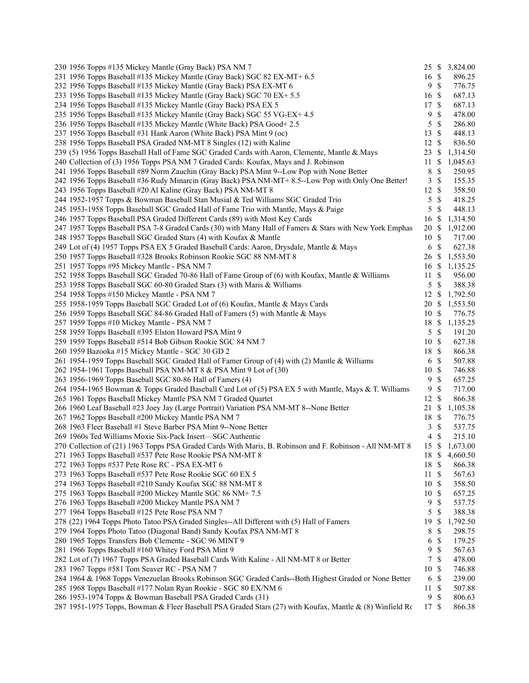| 230 1956 Topps #135 Mickey Mantle (Gray Back) PSA NM 7                                                   |                  |               | 25 \$ 3,824.00 |
|----------------------------------------------------------------------------------------------------------|------------------|---------------|----------------|
| 231 1956 Topps Baseball #135 Mickey Mantle (Gray Back) SGC 82 EX-MT+ 6.5                                 | $16 \text{ }$ \$ |               | 896.25         |
| 232 1956 Topps Baseball #135 Mickey Mantle (Gray Back) PSA EX-MT 6                                       | 9                | $\mathbb{S}$  | 776.75         |
| 233 1956 Topps Baseball #135 Mickey Mantle (Gray Back) SGC 70 EX+ 5.5                                    | 16 \$            |               | 687.13         |
| 234 1956 Topps Baseball #135 Mickey Mantle (Gray Back) PSA EX 5                                          | 17               | \$            | 687.13         |
| 235 1956 Topps Baseball #135 Mickey Mantle (Gray Back) SGC 55 VG-EX+4.5                                  | 9                | \$            | 478.00         |
| 236 1956 Topps Baseball #135 Mickey Mantle (White Back) PSA Good+ 2.5                                    | 5                | \$            | 286.80         |
| 237 1956 Topps Baseball #31 Hank Aaron (White Back) PSA Mint 9 (oc)                                      | 13               | \$            | 448.13         |
| 238 1956 Topps Baseball PSA Graded NM-MT 8 Singles (12) with Kaline                                      | 12               | \$            | 836.50         |
| 239 (5) 1956 Topps Baseball Hall of Fame SGC Graded Cards with Aaron, Clemente, Mantle & Mays            | 23               | \$            | 1,314.50       |
| 240 Collection of (3) 1956 Topps PSA NM 7 Graded Cards: Koufax, Mays and J. Robinson                     | 11               | \$.           | 1,045.63       |
| 241 1956 Topps Baseball #89 Norm Zauchin (Gray Back) PSA Mint 9--Low Pop with None Better                | 8                | \$            | 250.95         |
| 242 1956 Topps Baseball #36 Rudy Minarcin (Gray Back) PSA NM-MT+ 8.5--Low Pop with Only One Better!      | 3                | $\mathbb{S}$  | 155.35         |
| 243 1956 Topps Baseball #20 Al Kaline (Gray Back) PSA NM-MT 8                                            | 12               | $\mathcal{S}$ | 358.50         |
| 244 1952-1957 Topps & Bowman Baseball Stan Musial & Ted Williams SGC Graded Trio                         | 5                | \$            | 418.25         |
| 245 1953-1958 Topps Baseball SGC Graded Hall of Fame Trio with Mantle, Mays & Paige                      | 5                | \$            | 448.13         |
| 246 1957 Topps Baseball PSA Graded Different Cards (89) with Most Key Cards                              | 16               | \$            | 1,314.50       |
| 247 1957 Topps Baseball PSA 7-8 Graded Cards (30) with Many Hall of Famers & Stars with New York Emphas  | 20               | \$            | 1,912.00       |
| 248 1957 Topps Baseball SGC Graded Stars (4) with Koufax & Mantle                                        | 10               | $\mathbb{S}$  | 717.00         |
| 249 Lot of (4) 1957 Topps PSA EX 5 Graded Baseball Cards: Aaron, Drysdale, Mantle & Mays                 | 6                | S             | 627.38         |
| 250 1957 Topps Baseball #328 Brooks Robinson Rookie SGC 88 NM-MT 8                                       | 26               | \$            | 1,553.50       |
| 251 1957 Topps #95 Mickey Mantle - PSA NM 7                                                              | 16               | \$            | 1,135.25       |
| 252 1958 Topps Baseball SGC Graded 70-86 Hall of Fame Group of (6) with Koufax, Mantle & Williams        | 11               | \$            | 956.00         |
| 253 1958 Topps Baseball SGC 60-80 Graded Stars (3) with Maris & Williams                                 | 5                | $\mathbb{S}$  | 388.38         |
| 254 1958 Topps #150 Mickey Mantle - PSA NM 7                                                             | 12               | \$            | 1,792.50       |
| 255 1958-1959 Topps Baseball SGC Graded Lot of (6) Koufax, Mantle & Mays Cards                           | 20               | \$            | 1,553.50       |
| 256 1959 Topps Baseball SGC 84-86 Graded Hall of Famers (5) with Mantle & Mays                           | 10S              |               | 776.75         |
| 257 1959 Topps #10 Mickey Mantle - PSA NM 7                                                              | 18               | \$            | 1,135.25       |
| 258 1959 Topps Baseball #395 Elston Howard PSA Mint 9                                                    | 5                | \$            | 191.20         |
| 259 1959 Topps Baseball #514 Bob Gibson Rookie SGC 84 NM 7                                               | 10S              |               | 627.38         |
| 260 1959 Bazooka #15 Mickey Mantle - SGC 30 GD 2                                                         | 18               | \$            | 866.38         |
| 261 1954-1959 Topps Baseball SGC Graded Hall of Famer Group of (4) with (2) Mantle & Williams            | 6                | \$            | 507.88         |
| 262 1954-1961 Topps Baseball PSA NM-MT 8 & PSA Mint 9 Lot of (30)                                        | 10               | \$            | 746.88         |
| 263 1956-1969 Topps Baseball SGC 80-86 Hall of Famers (4)                                                | 9                | \$            | 657.25         |
| 264 1954-1965 Bowman & Topps Graded Baseball Card Lot of (5) PSA EX 5 with Mantle, Mays & T. Williams    | 9                | \$            | 717.00         |
| 265 1961 Topps Baseball Mickey Mantle PSA NM 7 Graded Quartet                                            | 12               | S             | 866.38         |
| 266 1960 Leaf Baseball #23 Joey Jay (Large Portrait) Variation PSA NM-MT 8--None Better                  | 21               | <sup>\$</sup> | 1,105.38       |
| 267 1962 Topps Baseball #200 Mickey Mantle PSA NM 7                                                      | 18               | \$            | 776.75         |
| 268 1963 Fleer Baseball #1 Steve Barber PSA Mint 9--None Better                                          | 3                | \$            | 537.75         |
| 269 1960s Ted Williams Moxie Six-Pack Insert—SGC Authentic                                               | 4                | \$            | 215.10         |
| 270 Collection of (21) 1963 Topps PSA Graded Cards With Maris, B. Robinson and F. Robinson - All NM-MT 8 | 15               | \$            | 1,673.00       |
| 271 1963 Topps Baseball #537 Pete Rose Rookie PSA NM-MT 8                                                | 18 \$            |               | 4,660.50       |
| 272 1963 Topps #537 Pete Rose RC - PSA EX-MT 6                                                           | 18               | \$            | 866.38         |
| 273 1963 Topps Baseball #537 Pete Rose Rookie SGC 60 EX 5                                                | 11               | -S            | 567.63         |
| 274 1963 Topps Baseball #210 Sandy Koufax SGC 88 NM-MT 8                                                 | 10               | \$            | 358.50         |
| 275 1963 Topps Baseball #200 Mickey Mantle SGC 86 NM+7.5                                                 | 10               | S             | 657.25         |
| 276 1963 Topps Baseball #200 Mickey Mantle PSA NM 7                                                      | 9                | \$            | 537.75         |
| 277 1964 Topps Baseball #125 Pete Rose PSA NM 7                                                          | 5                | \$            | 388.38         |
| 278 (22) 1964 Topps Photo Tatoo PSA Graded Singles--All Different with (5) Hall of Famers                | 19               | \$            | 1,792.50       |
| 279 1964 Topps Photo Tatoo (Diagonal Band) Sandy Koufax PSA NM-MT 8                                      | 8                | \$            | 298.75         |
| 280 1965 Topps Transfers Bob Clemente - SGC 96 MINT 9                                                    | 6                | \$            | 179.25         |
| 281 1966 Topps Baseball #160 Whitey Ford PSA Mint 9                                                      | 9                | \$            | 567.63         |
| 282 Lot of (7) 1967 Topps PSA Graded Baseball Cards With Kaline - All NM-MT 8 or Better                  | 7                | \$            | 478.00         |
| 283 1967 Topps #581 Tom Seaver RC - PSA NM 7                                                             | 10               | \$            | 746.88         |
| 284 1964 & 1968 Topps Venezuelan Brooks Robinson SGC Graded Cards--Both Highest Graded or None Better    | 6                | \$            | 239.00         |
| 285 1968 Topps Baseball #177 Nolan Ryan Rookie - SGC 80 EX/NM 6                                          | 11               | \$            | 507.88         |
| 286 1953-1974 Topps & Bowman Baseball PSA Graded Cards (31)                                              | 9                | \$            | 806.63         |
| 287 1951-1975 Topps, Bowman & Fleer Baseball PSA Graded Stars (27) with Koufax, Mantle & (8) Winfield Rc | 17 \$            |               | 866.38         |
|                                                                                                          |                  |               |                |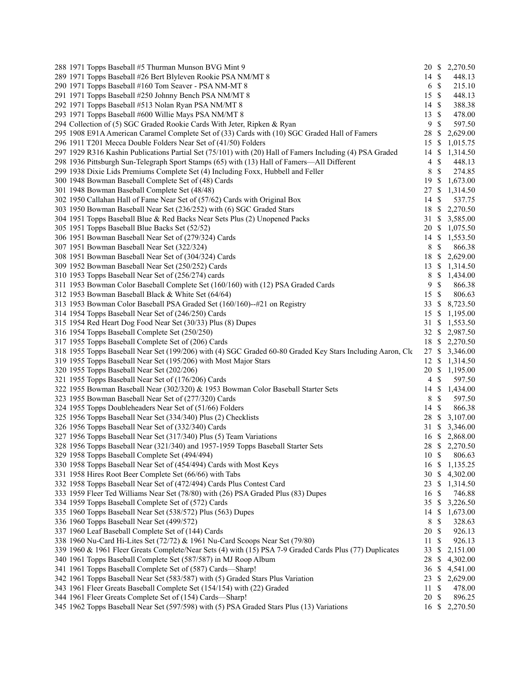| 288 1971 Topps Baseball #5 Thurman Munson BVG Mint 9                                                       |                  |               | 20 \$ 2,270.50 |
|------------------------------------------------------------------------------------------------------------|------------------|---------------|----------------|
| 289 1971 Topps Baseball #26 Bert Blyleven Rookie PSA NM/MT 8                                               | 14S              |               | 448.13         |
| 290 1971 Topps Baseball #160 Tom Seaver - PSA NM-MT 8                                                      | 6 \$             |               | 215.10         |
| 291 1971 Topps Baseball #250 Johnny Bench PSA NM/MT 8                                                      | 15S              |               | 448.13         |
| 292 1971 Topps Baseball #513 Nolan Ryan PSA NM/MT 8                                                        | $14 \text{ }$ \$ |               | 388.38         |
| 293 1971 Topps Baseball #600 Willie Mays PSA NM/MT 8                                                       | $13 \text{ }$ \$ |               | 478.00         |
| 294 Collection of (5) SGC Graded Rookie Cards With Jeter, Ripken & Ryan                                    | 9                | $\mathcal{S}$ | 597.50         |
| 295 1908 E91A American Caramel Complete Set of (33) Cards with (10) SGC Graded Hall of Famers              | 28               | - S           | 2,629.00       |
| 296 1911 T201 Mecca Double Folders Near Set of (41/50) Folders                                             |                  |               | 15 \$ 1,015.75 |
| 297 1929 R316 Kashin Publications Partial Set (75/101) with (20) Hall of Famers Including (4) PSA Graded   |                  |               | 14 \$ 1,314.50 |
| 298 1936 Pittsburgh Sun-Telegraph Sport Stamps (65) with (13) Hall of Famers—All Different                 | $4 \text{ }$     |               | 448.13         |
| 299 1938 Dixie Lids Premiums Complete Set (4) Including Foxx, Hubbell and Feller                           | 8                | $\mathcal{S}$ | 274.85         |
| 300 1948 Bowman Baseball Complete Set of (48) Cards                                                        | 19S              |               | 1,673.00       |
| 301 1948 Bowman Baseball Complete Set (48/48)                                                              |                  |               | 27 \$ 1,314.50 |
| 302 1950 Callahan Hall of Fame Near Set of (57/62) Cards with Original Box                                 | $14 \text{ }$ \$ |               | 537.75         |
| 303 1950 Bowman Baseball Near Set (236/252) with (6) SGC Graded Stars                                      |                  |               | 18 \$ 2,270.50 |
| 304 1951 Topps Baseball Blue & Red Backs Near Sets Plus (2) Unopened Packs                                 |                  |               | 31 \$ 3,585.00 |
| 305 1951 Topps Baseball Blue Backs Set (52/52)                                                             |                  |               | 20 \$ 1,075.50 |
| 306 1951 Bowman Baseball Near Set of (279/324) Cards                                                       |                  |               | 14 \$ 1,553.50 |
| 307 1951 Bowman Baseball Near Set (322/324)                                                                | 8 \$             |               | 866.38         |
| 308 1951 Bowman Baseball Near Set of (304/324) Cards                                                       |                  |               | 18 \$ 2,629.00 |
| 309 1952 Bowman Baseball Near Set (250/252) Cards                                                          |                  |               | 13 \$ 1,314.50 |
| 310 1953 Topps Baseball Near Set of (256/274) cards                                                        |                  |               | 8 \$ 1,434.00  |
| 311 1953 Bowman Color Baseball Complete Set (160/160) with (12) PSA Graded Cards                           | 9                | $\mathbb{S}$  | 866.38         |
| 312 1953 Bowman Baseball Black & White Set (64/64)                                                         | 15 \$            |               | 806.63         |
| 313 1953 Bowman Color Baseball PSA Graded Set (160/160)--#21 on Registry                                   |                  |               | 33 \$ 8,723.50 |
| 314 1954 Topps Baseball Near Set of (246/250) Cards                                                        |                  |               | 15 \$ 1,195.00 |
| 315 1954 Red Heart Dog Food Near Set (30/33) Plus (8) Dupes                                                |                  |               | 31 \$ 1,553.50 |
| 316 1954 Topps Baseball Complete Set (250/250)                                                             |                  |               | 32 \$ 2,987.50 |
| 317 1955 Topps Baseball Complete Set of (206) Cards                                                        |                  |               | 18 \$ 2,270.50 |
| 318 1955 Topps Baseball Near Set (199/206) with (4) SGC Graded 60-80 Graded Key Stars Including Aaron, Cle |                  |               | 27 \$ 3,346.00 |
| 319 1955 Topps Baseball Near Set (195/206) with Most Major Stars                                           |                  |               | 12 \$ 1,314.50 |
| 320 1955 Topps Baseball Near Set (202/206)                                                                 |                  |               | 20 \$ 1,195.00 |
| 321 1955 Topps Baseball Near Set of (176/206) Cards                                                        | $4 \text{ }$     |               | 597.50         |
| 322 1955 Bowman Baseball Near (302/320) & 1953 Bowman Color Baseball Starter Sets                          |                  |               | 14 \$ 1,434.00 |
| 323 1955 Bowman Baseball Near Set of (277/320) Cards                                                       | 8 \$             |               | 597.50         |
| 324 1955 Topps Doubleheaders Near Set of (51/66) Folders                                                   | $14 \text{ }$ \$ |               | 866.38         |
| 325 1956 Topps Baseball Near Set (334/340) Plus (2) Checklists                                             |                  |               | 28 \$ 3,107.00 |
| 326 1956 Topps Baseball Near Set of (332/340) Cards                                                        |                  |               | 31 \$ 3,346.00 |
| 327 1956 Topps Baseball Near Set (317/340) Plus (5) Team Variations                                        |                  |               | 16 \$ 2,868.00 |
| 328 1956 Topps Baseball Near (321/340) and 1957-1959 Topps Baseball Starter Sets                           |                  |               | 28 \$ 2,270.50 |
| 329 1958 Topps Baseball Complete Set (494/494)                                                             | 10S              |               | 806.63         |
| 330 1958 Topps Baseball Near Set of (454/494) Cards with Most Keys                                         | 16 \$            |               | 1,135.25       |
| 331 1958 Hires Root Beer Complete Set (66/66) with Tabs                                                    |                  |               | 30 \$ 4,302.00 |
| 332 1958 Topps Baseball Near Set of (472/494) Cards Plus Contest Card                                      |                  |               | 23 \$ 1,314.50 |
| 333 1959 Fleer Ted Williams Near Set (78/80) with (26) PSA Graded Plus (83) Dupes                          | 16               | -\$           | 746.88         |
| 334 1959 Topps Baseball Complete Set of (572) Cards                                                        | 35S              |               | 3,226.50       |
| 335 1960 Topps Baseball Near Set (538/572) Plus (563) Dupes                                                |                  |               | 14 \$ 1,673.00 |
| 336 1960 Topps Baseball Near Set (499/572)                                                                 | 8                | -S            | 328.63         |
| 337 1960 Leaf Baseball Complete Set of (144) Cards                                                         | 20               | -\$           | 926.13         |
| 338 1960 Nu-Card Hi-Lites Set (72/72) & 1961 Nu-Card Scoops Near Set (79/80)                               | 11S              |               | 926.13         |
| 339 1960 & 1961 Fleer Greats Complete/Near Sets (4) with (15) PSA 7-9 Graded Cards Plus (77) Duplicates    | 33 \$            |               | 2,151.00       |
| 340 1961 Topps Baseball Complete Set (587/587) in MJ Roop Album                                            | 28               | <sup>S</sup>  | 4,302.00       |
| 341 1961 Topps Baseball Complete Set of (587) Cards-Sharp!                                                 |                  |               | 36 \$ 4,541.00 |
| 342 1961 Topps Baseball Near Set (583/587) with (5) Graded Stars Plus Variation                            |                  |               | 23 \$ 2,629.00 |
| 343 1961 Fleer Greats Baseball Complete Set (154/154) with (22) Graded                                     | 11S              |               | 478.00         |
| 344 1961 Fleer Greats Complete Set of (154) Cards-Sharp!                                                   | 20 \$            |               | 896.25         |
| 345 1962 Topps Baseball Near Set (597/598) with (5) PSA Graded Stars Plus (13) Variations                  |                  |               | 16 \$ 2,270.50 |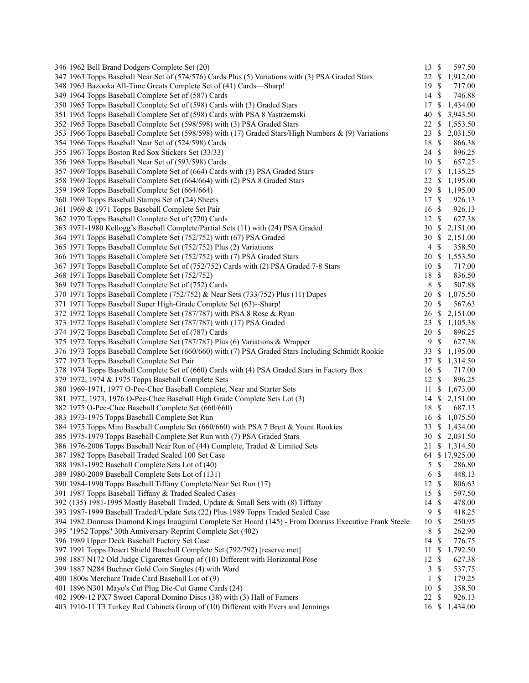| 346 1962 Bell Brand Dodgers Complete Set (20)                                                           | 13             | $\mathbb{S}$  | 597.50         |
|---------------------------------------------------------------------------------------------------------|----------------|---------------|----------------|
| 347 1963 Topps Baseball Near Set of (574/576) Cards Plus (5) Variations with (3) PSA Graded Stars       | 22             | \$            | 1,912.00       |
| 348 1963 Bazooka All-Time Greats Complete Set of (41) Cards—Sharp!                                      | 19             | \$            | 717.00         |
| 349 1964 Topps Baseball Complete Set of (587) Cards                                                     | 14             | \$            | 746.88         |
| 350 1965 Topps Baseball Complete Set of (598) Cards with (3) Graded Stars                               | 17             | \$            | 1,434.00       |
| 351 1965 Topps Baseball Complete Set of (598) Cards with PSA 8 Yastrzemski                              | 40             | \$            | 3,943.50       |
| 352 1965 Topps Baseball Complete Set (598/598) with (3) PSA Graded Stars                                | 22             | \$            | 1,553.50       |
| 353 1966 Topps Baseball Complete Set (598/598) with (17) Graded Stars/High Numbers & (9) Variations     | 23             | \$            | 2,031.50       |
| 354 1966 Topps Baseball Near Set of (524/598) Cards                                                     | 18             | \$            | 866.38         |
| 355 1967 Topps Boston Red Sox Stickers Set (33/33)                                                      | 24             | $\mathbb{S}$  | 896.25         |
| 356 1968 Topps Baseball Near Set of (593/598) Cards                                                     | 10S            |               | 657.25         |
| 357 1969 Topps Baseball Complete Set of (664) Cards with (3) PSA Graded Stars                           | 17             | \$            | 1,135.25       |
| 358 1969 Topps Baseball Complete Set (664/664) with (2) PSA 8 Graded Stars                              | 22             | \$            | 1,195.00       |
| 359 1969 Topps Baseball Complete Set (664/664)                                                          | 29             |               | \$1,195.00     |
| 360 1969 Topps Baseball Stamps Set of (24) Sheets                                                       | 17             | \$            | 926.13         |
| 361 1969 & 1971 Topps Baseball Complete Set Pair                                                        | 16             | \$            | 926.13         |
| 362 1970 Topps Baseball Complete Set of (720) Cards                                                     | 12             | $\mathbb{S}$  | 627.38         |
|                                                                                                         |                |               |                |
| 363 1971-1980 Kellogg's Baseball Complete/Partial Sets (11) with (24) PSA Graded                        | 30S            |               | 2,151.00       |
| 364 1971 Topps Baseball Complete Set (752/752) with (67) PSA Graded                                     | 30             | \$            | 2,151.00       |
| 365 1971 Topps Baseball Complete Set (752/752) Plus (2) Variations                                      | $\overline{4}$ | \$            | 358.50         |
| 366 1971 Topps Baseball Complete Set (752/752) with (7) PSA Graded Stars                                | 20             | \$            | 1,553.50       |
| 367 1971 Topps Baseball Complete Set of (752/752) Cards with (2) PSA Graded 7-8 Stars                   | 10             | \$            | 717.00         |
| 368 1971 Topps Baseball Complete Set (752/752)                                                          | 18             | $\mathbb{S}$  | 836.50         |
| 369 1971 Topps Baseball Complete Set of (752) Cards                                                     | 8              | \$            | 507.88         |
| 370 1971 Topps Baseball Complete (752/752) & Near Sets (733/752) Plus (11) Dupes                        | 20             | \$            | 1,075.50       |
| 371 1971 Topps Baseball Super High-Grade Complete Set (63)--Sharp!                                      | 20             | \$            | 567.63         |
| 372 1972 Topps Baseball Complete Set (787/787) with PSA 8 Rose & Ryan                                   | 26             | \$            | 2,151.00       |
| 373 1972 Topps Baseball Complete Set (787/787) with (17) PSA Graded                                     | 23             | \$            | 1,105.38       |
| 374 1972 Topps Baseball Complete Set of (787) Cards                                                     | 20             | \$            | 896.25         |
| 375 1972 Topps Baseball Complete Set (787/787) Plus (6) Variations & Wrapper                            | 9              | $\mathbb{S}$  | 627.38         |
| 376 1973 Topps Baseball Complete Set (660/660) with (7) PSA Graded Stars Including Schmidt Rookie       | 33             | \$            | 1,195.00       |
| 377 1973 Topps Baseball Complete Set Pair                                                               | 37             | \$            | 1,314.50       |
| 378 1974 Topps Baseball Complete Set of (660) Cards with (4) PSA Graded Stars in Factory Box            | 16             | \$            | 717.00         |
| 379 1972, 1974 & 1975 Topps Baseball Complete Sets                                                      | 12             | \$            | 896.25         |
| 380 1969-1971, 1977 O-Pee-Chee Baseball Complete, Near and Starter Sets                                 | 11             | \$            | 1,673.00       |
| 381 1972, 1973, 1976 O-Pee-Chee Baseball High Grade Complete Sets Lot (3)                               | 14             | \$            | 2,151.00       |
| 382 1975 O-Pee-Chee Baseball Complete Set (660/660)                                                     | 18             | \$            | 687.13         |
| 383 1973-1975 Topps Baseball Complete Set Run                                                           | 16             | \$            | 1,075.50       |
| 384 1975 Topps Mini Baseball Complete Set (660/660) with PSA 7 Brett & Yount Rookies                    | 33             | <sup>S</sup>  | 1,434.00       |
| 385 1975-1979 Topps Baseball Complete Set Run with (7) PSA Graded Stars                                 | 30             |               | \$2,031.50     |
| 386 1976-2006 Topps Baseball Near Run of (44) Complete, Traded & Limited Sets                           |                |               | 21 \$ 1,314.50 |
| 387 1982 Topps Baseball Traded Sealed 100 Set Case                                                      |                |               | 64 \$17,925.00 |
| 388 1981-1992 Baseball Complete Sets Lot of (40)                                                        | 5              | \$            | 286.80         |
| 389 1980-2009 Baseball Complete Sets Lot of (131)                                                       | 6              | \$            | 448.13         |
|                                                                                                         | 12             | \$            | 806.63         |
| 390 1984-1990 Topps Baseball Tiffany Complete/Near Set Run (17)                                         |                |               |                |
| 391 1987 Topps Baseball Tiffany & Traded Sealed Cases                                                   | 15             | <sup>\$</sup> | 597.50         |
| 392 (135) 1981-1995 Mostly Baseball Traded, Update & Small Sets with (8) Tiffany                        | 14             | S             | 478.00         |
| 393 1987-1999 Baseball Traded/Update Sets (22) Plus 1989 Topps Traded Sealed Case                       | 9              | \$            | 418.25         |
| 394 1982 Donruss Diamond Kings Inaugural Complete Set Hoard (145) - From Donruss Executive Frank Steele | 10             | S             | 250.95         |
| 395 "1952 Topps" 30th Anniversary Reprint Complete Set (402)                                            | 8              | \$            | 262.90         |
| 396 1989 Upper Deck Baseball Factory Set Case                                                           | 14             | \$            | 776.75         |
| 397 1991 Topps Desert Shield Baseball Complete Set (792/792) [reserve met]                              | 11             | \$            | 1,792.50       |
| 398 1887 N172 Old Judge Cigarettes Group of (10) Different with Horizontal Pose                         | 12             | S             | 627.38         |
| 399 1887 N284 Buchner Gold Coin Singles (4) with Ward                                                   | 3              | \$            | 537.75         |
| 400 1800s Merchant Trade Card Baseball Lot of (9)                                                       | $\mathbf{1}$   | \$            | 179.25         |
| 401 1896 N301 Mayo's Cut Plug Die-Cut Game Cards (24)                                                   | 10             | \$            | 358.50         |
| 402 1909-12 PX7 Sweet Caporal Domino Discs (38) with (3) Hall of Famers                                 | 22             | S             | 926.13         |
| 403 1910-11 T3 Turkey Red Cabinets Group of (10) Different with Evers and Jennings                      | 16             |               | \$1,434.00     |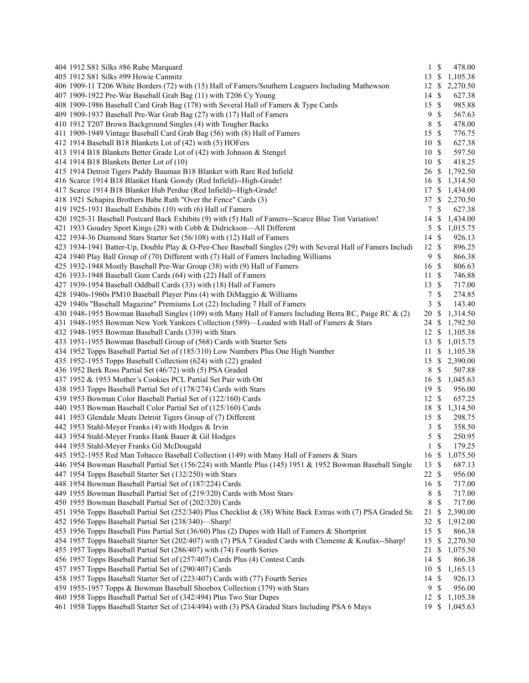| 404 1912 S81 Silks #86 Rube Marquard                                                                          | $1 \text{ }$ \$                 | 478.00         |
|---------------------------------------------------------------------------------------------------------------|---------------------------------|----------------|
| 405 1912 S81 Silks #99 Howie Camnitz                                                                          | 13S                             | 1,105.38       |
| 406 1909-11 T206 White Borders (72) with (15) Hall of Famers/Southern Leaguers Including Mathewson            | 12 \$                           | 2,270.50       |
| 407 1909-1922 Pre-War Baseball Grab Bag (11) with T206 Cy Young                                               | -S<br>14                        | 627.38         |
| 408 1909-1986 Baseball Card Grab Bag (178) with Several Hall of Famers & Type Cards                           | $\mathbf{\$}$<br>15             | 985.88         |
| 409 1909-1937 Baseball Pre-War Grab Bag (27) with (17) Hall of Famers                                         | 9<br>$\mathbb{S}$               | 567.63         |
| 410 1912 T207 Brown Background Singles (4) with Tougher Backs                                                 | $\mathcal{S}$<br>8              | 478.00         |
| 411 1909-1949 Vintage Baseball Card Grab Bag (56) with (8) Hall of Famers                                     | $\mathcal{S}$<br>15             | 776.75         |
| 412 1914 Baseball B18 Blankets Lot of (42) with (5) HOFers                                                    | $\mathcal{S}$<br>10             | 627.38         |
| 413 1914 B18 Blankets Better Grade Lot of (42) with Johnson & Stengel                                         | 10<br>-\$                       | 597.50         |
| 414 1914 B18 Blankets Better Lot of (10)                                                                      | 10<br>-S                        | 418.25         |
| 415 1914 Detroit Tigers Paddy Bauman B18 Blanket with Rare Red Infield                                        | 26                              | \$1,792.50     |
| 416 Scarce 1914 B18 Blanket Hank Gowdy (Red Infield)--High-Grade!                                             | 16 \$                           | 1,314.50       |
| 417 Scarce 1914 B18 Blanket Hub Perdue (Red Infield)--High-Grade!                                             |                                 | 17 \$ 1,434.00 |
| 418 1921 Schapira Brothers Babe Ruth "Over the Fence" Cards (3)                                               |                                 | 37 \$ 2,270.50 |
| 419 1925-1931 Baseball Exhibits (10) with (6) Hall of Famers                                                  | -\$<br>7                        | 627.38         |
| 420 1925-31 Baseball Postcard Back Exhibits (9) with (5) Hall of Famers--Scarce Blue Tint Variation!          | 14                              | \$1,434.00     |
| 421 1933 Goudey Sport Kings (28) with Cobb & Didrickson-All Different                                         | 5                               | \$1,015.75     |
| 422 1934-36 Diamond Stars Starter Set (56/108) with (12) Hall of Famers                                       | $\mathcal{S}$<br>14             | 926.13         |
| 423 1934-1941 Batter-Up, Double Play & O-Pee-Chee Baseball Singles (29) with Several Hall of Famers Includi   | 12S                             | 896.25         |
| 424 1940 Play Ball Group of (70) Different with (7) Hall of Famers Including Williams                         | $\mathbf{\$}$<br>9              | 866.38         |
| 425 1932-1948 Mostly Baseball Pre-War Group (38) with (9) Hall of Famers                                      | 16<br>$\boldsymbol{\mathsf{S}}$ | 806.63         |
| 426 1933-1948 Baseball Gum Cards (64) with (22) Hall of Famers                                                | 11<br>$\boldsymbol{\mathsf{S}}$ | 746.88         |
| 427 1939-1954 Baseball Oddball Cards (33) with (18) Hall of Famers                                            | $\mathcal{S}$<br>13             | 717.00         |
| 428 1940s-1960s PM10 Baseball Player Pins (4) with DiMaggio & Williams                                        | $\mathbb{S}$<br>7               | 274.85         |
| 429 1940s "Baseball Magazine" Premiums Lot (22) Including 7 Hall of Famers                                    | 3<br>$\mathbf{\$}$              | 143.40         |
| 430 1948-1955 Bowman Baseball Singles (109) with Many Hall of Famers Including Berra RC, Paige RC & (2)       | 20<br>-S                        | 1,314.50       |
| 431 1948-1955 Bowman New York Yankees Collection (589)—Loaded with Hall of Famers & Stars                     | 24<br>\$                        | 1,792.50       |
| 432 1948-1955 Bowman Baseball Cards (339) with Stars                                                          | 12<br>\$                        | 1,105.38       |
| 433 1951-1955 Bowman Baseball Group of (568) Cards with Starter Sets                                          | <sup>\$</sup><br>13             | 1,015.75       |
| 434 1952 Topps Baseball Partial Set of (185/310) Low Numbers Plus One High Number                             |                                 | 11 \$ 1,105.38 |
| 435 1952-1955 Topps Baseball Collection (624) with (22) graded                                                |                                 | 15 \$ 2,390.00 |
| 436 1952 Berk Ross Partial Set (46/72) with (5) PSA Graded                                                    | $\mathbb{S}$<br>8               | 507.88         |
| 437 1952 & 1953 Mother's Cookies PCL Partial Set Pair with Ott                                                | \$<br>16                        | 1,045.63       |
| 438 1953 Topps Baseball Partial Set of (178/274) Cards with Stars                                             | 19<br>- \$                      | 956.00         |
| 439 1953 Bowman Color Baseball Partial Set of (122/160) Cards                                                 | 12S                             | 657.25         |
| 440 1953 Bowman Baseball Color Partial Set of (125/160) Cards                                                 | 18<br>\$                        | 1,314.50       |
| 441 1953 Glendale Meats Detroit Tigers Group of (7) Different                                                 | 15 \$                           | 298.75         |
| 442 1953 Stahl-Meyer Franks (4) with Hodges & Irvin                                                           | $\boldsymbol{\mathsf{S}}$<br>3  | 358.50         |
| 443 1954 Stahl-Meyer Franks Hank Bauer & Gil Hodges                                                           | 5<br>$\mathbb S$                | 250.95         |
| 444 1955 Stahl-Meyer Franks Gil McDougald                                                                     | $\mathbf{1}$<br><sup>\$</sup>   | 179.25         |
| 445 1952-1955 Red Man Tobacco Baseball Collection (149) with Many Hall of Famers & Stars                      | 16 \$                           | 1,075.50       |
| 446 1954 Bowman Baseball Partial Set (156/224) with Mantle Plus (145) 1951 & 1952 Bowman Baseball Single      | \$<br>13                        | 687.13         |
| 447 1954 Topps Baseball Starter Set (132/250) with Stars                                                      | 22S                             | 956.00         |
| 448 1954 Bowman Baseball Partial Set of (187/224) Cards                                                       | 16<br>$\boldsymbol{\mathsf{S}}$ | 717.00         |
| 449 1955 Bowman Baseball Partial Set of (219/320) Cards with Most Stars                                       | 8<br>\$                         | 717.00         |
| 450 1955 Bowman Baseball Partial Set of (202/320) Cards                                                       | 8<br>\$                         | 717.00         |
| 451 1956 Topps Baseball Partial Set (252/340) Plus Checklist & (38) White Back Extras with (7) PSA Graded Sta | 21<br>\$                        | 2,390.00       |
| 452 1956 Topps Baseball Partial Set (238/340)-Sharp!                                                          | 32<br>\$                        | 1,912.00       |
| 453 1956 Topps Baseball Pins Partial Set (36/60) Plus (2) Dupes with Hall of Famers & Shortprint              | $\mathbb{S}$<br>15              | 866.38         |
| 454 1957 Topps Baseball Starter Set (202/407) with (7) PSA 7 Graded Cards with Clemente & Koufax--Sharp!      | 15<br>\$                        | 2,270.50       |
| 455 1957 Topps Baseball Partial Set (286/407) with (74) Fourth Series                                         | 21<br>\$                        | 1,075.50       |
| 456 1957 Topps Baseball Partial Set of (257/407) Cards Plus (4) Contest Cards                                 | 14<br>$\boldsymbol{\mathsf{S}}$ | 866.38         |
| 457 1957 Topps Baseball Partial Set of (290/407) Cards                                                        | \$<br>10                        | 1,165.13       |
| 458 1957 Topps Baseball Starter Set of (223/407) Cards with (77) Fourth Series                                | \$<br>14                        | 926.13         |
| 459 1955-1957 Topps & Bowman Baseball Shoebox Collection (379) with Stars                                     | 9<br>$\boldsymbol{\mathsf{S}}$  | 956.00         |
| 460 1958 Topps Baseball Partial Set of (342/494) Plus Two Star Dupes                                          | -S<br>12                        | 1,105.38       |
| 461 1958 Topps Baseball Starter Set of (214/494) with (3) PSA Graded Stars Including PSA 6 Mays               | $\mathbb{S}$<br>19              | 1,045.63       |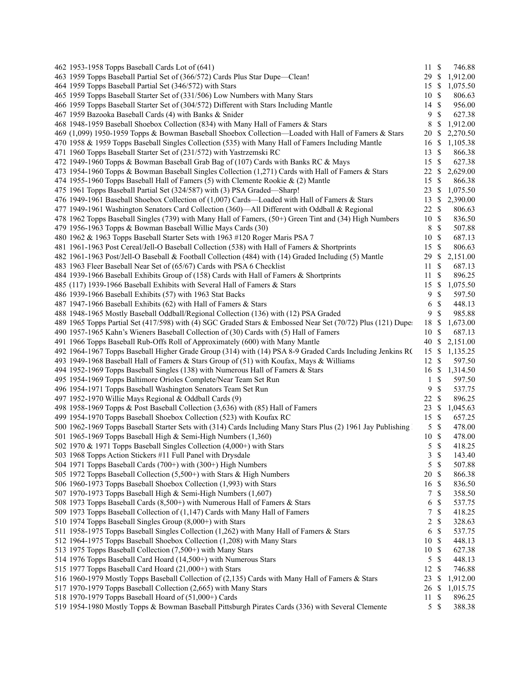| 462 1953-1958 Topps Baseball Cards Lot of (641)                                                                                                                             | 11S            |                           | 746.88             |
|-----------------------------------------------------------------------------------------------------------------------------------------------------------------------------|----------------|---------------------------|--------------------|
| 463 1959 Topps Baseball Partial Set of (366/572) Cards Plus Star Dupe-Clean!                                                                                                | 29 \$          |                           | 1,912.00           |
| 464 1959 Topps Baseball Partial Set (346/572) with Stars                                                                                                                    | 15             | -S                        | 1,075.50           |
| 465 1959 Topps Baseball Starter Set of (331/506) Low Numbers with Many Stars                                                                                                | 10             | -S                        | 806.63             |
| 466 1959 Topps Baseball Starter Set of (304/572) Different with Stars Including Mantle                                                                                      | 14             | $\mathcal{S}$             | 956.00             |
| 467 1959 Bazooka Baseball Cards (4) with Banks & Snider                                                                                                                     | 9              | $\mathbf{\$}$             | 627.38             |
| 468 1948-1959 Baseball Shoebox Collection (834) with Many Hall of Famers & Stars                                                                                            | 8              | \$                        | 1,912.00           |
| 469 (1,099) 1950-1959 Topps & Bowman Baseball Shoebox Collection—Loaded with Hall of Famers & Stars                                                                         | 20             | $\boldsymbol{\mathsf{S}}$ | 2,270.50           |
| 470 1958 & 1959 Topps Baseball Singles Collection (535) with Many Hall of Famers Including Mantle                                                                           | 16             | S                         | 1,105.38           |
| 471 1960 Topps Baseball Starter Set of (231/572) with Yastrzemski RC                                                                                                        | 13             | \$                        | 866.38             |
| 472 1949-1960 Topps & Bowman Baseball Grab Bag of (107) Cards with Banks RC & Mays                                                                                          | 15             | $\mathbb{S}$              | 627.38             |
| 473 1954-1960 Topps & Bowman Baseball Singles Collection (1,271) Cards with Hall of Famers & Stars                                                                          | 22             | \$                        | 2,629.00           |
| 474 1955-1960 Topps Baseball Hall of Famers (5) with Clemente Rookie & (2) Mantle                                                                                           | 15             | $\mathbb{S}$              | 866.38             |
| 475 1961 Topps Baseball Partial Set (324/587) with (3) PSA Graded—Sharp!                                                                                                    | 23             | $\boldsymbol{\mathsf{S}}$ | 1,075.50           |
| 476 1949-1961 Baseball Shoebox Collection of (1,007) Cards—Loaded with Hall of Famers & Stars                                                                               | 13             | \$                        | 2,390.00           |
| 477 1949-1961 Washington Senators Card Collection (360)—All Different with Oddball & Regional                                                                               | 22             | S                         | 806.63             |
| 478 1962 Topps Baseball Singles (739) with Many Hall of Famers, (50+) Green Tint and (34) High Numbers                                                                      | 10             | $\mathcal{S}$             | 836.50             |
| 479 1956-1963 Topps & Bowman Baseball Willie Mays Cards (30)                                                                                                                | 8              | $\mathbb{S}$              | 507.88             |
| 480 1962 & 1963 Topps Baseball Starter Sets with 1963 #120 Roger Maris PSA 7                                                                                                | 10             | $\mathcal{S}$             | 687.13             |
| 481 1961-1963 Post Cereal/Jell-O Baseball Collection (538) with Hall of Famers & Shortprints                                                                                | 15             | $\mathbb{S}$              | 806.63             |
| 482 1961-1963 Post/Jell-O Baseball & Football Collection (484) with (14) Graded Including (5) Mantle                                                                        | 29             | \$                        | 2,151.00           |
| 483 1963 Fleer Baseball Near Set of (65/67) Cards with PSA 6 Checklist                                                                                                      | 11             | S                         | 687.13             |
| 484 1939-1966 Baseball Exhibits Group of (158) Cards with Hall of Famers & Shortprints                                                                                      | 11             | $\mathcal{S}$             | 896.25             |
| 485 (117) 1939-1966 Baseball Exhibits with Several Hall of Famers & Stars                                                                                                   | 15             | $\mathbb{S}$              | 1,075.50           |
| 486 1939-1966 Baseball Exhibits (57) with 1963 Stat Backs                                                                                                                   | 9              | $\mathcal{S}$             | 597.50             |
| 487 1947-1966 Baseball Exhibits (62) with Hall of Famers & Stars                                                                                                            | 6              | \$                        | 448.13             |
| 488 1948-1965 Mostly Baseball Oddball/Regional Collection (136) with (12) PSA Graded                                                                                        | 9              | \$                        | 985.88             |
| 489 1965 Topps Partial Set (417/598) with (4) SGC Graded Stars & Embossed Near Set (70/72) Plus (121) Dupe:                                                                 | 18             | S                         | 1,673.00           |
| 490 1957-1965 Kahn's Wieners Baseball Collection of (30) Cards with (5) Hall of Famers                                                                                      | 10             | $\mathcal{S}$             | 687.13             |
| 491 1966 Topps Baseball Rub-Offs Roll of Approximately (600) with Many Mantle                                                                                               | 40             | -S                        | 2,151.00           |
| 492 1964-1967 Topps Baseball Higher Grade Group (314) with (14) PSA 8-9 Graded Cards Including Jenkins R(                                                                   | 15             | -S                        | 1,135.25           |
|                                                                                                                                                                             |                | -S                        | 597.50             |
| 493 1949-1968 Baseball Hall of Famers & Stars Group of (51) with Koufax, Mays & Williams<br>494 1952-1969 Topps Baseball Singles (138) with Numerous Hall of Famers & Stars | 12<br>16       | <sup>\$</sup>             |                    |
| 495 1954-1969 Topps Baltimore Orioles Complete/Near Team Set Run                                                                                                            | 1              | \$                        | 1,314.50<br>597.50 |
|                                                                                                                                                                             |                | $\mathbb{S}$              |                    |
| 496 1954-1971 Topps Baseball Washington Senators Team Set Run                                                                                                               | 9              |                           | 537.75             |
| 497 1952-1970 Willie Mays Regional & Oddball Cards (9)                                                                                                                      | 22             | $\mathcal{S}$             | 896.25             |
| 498 1958-1969 Topps & Post Baseball Collection (3,636) with (85) Hall of Famers                                                                                             | 23             | \$                        | 1,045.63           |
| 499 1954-1970 Topps Baseball Shoebox Collection (523) with Koufax RC                                                                                                        | 15             | $\mathcal{S}$             | 657.25             |
| 500 1962-1969 Topps Baseball Starter Sets with (314) Cards Including Many Stars Plus (2) 1961 Jay Publishing                                                                | 5              | \$                        | 478.00             |
| 501 1965-1969 Topps Baseball High & Semi-High Numbers (1,360)                                                                                                               | $10\,$         | -\$                       | 478.00             |
| 502 1970 & 1971 Topps Baseball Singles Collection (4,000+) with Stars                                                                                                       | 5              | $\mathcal{S}$             | 418.25             |
| 503 1968 Topps Action Stickers #11 Full Panel with Drysdale                                                                                                                 | 3              | $\mathbb{S}$              | 143.40             |
| 504 1971 Topps Baseball Cards (700+) with (300+) High Numbers                                                                                                               | 5              | $\boldsymbol{\mathsf{S}}$ | 507.88             |
| 505 1972 Topps Baseball Collection (5,500+) with Stars & High Numbers                                                                                                       | 20             | $\mathcal{S}$             | 866.38             |
| 506 1960-1973 Topps Baseball Shoebox Collection (1,993) with Stars                                                                                                          | 16             | $\mathcal{S}$             | 836.50             |
| 507 1970-1973 Topps Baseball High & Semi-High Numbers (1,607)                                                                                                               | 7              | S                         | 358.50             |
| 508 1973 Topps Baseball Cards (8,500+) with Numerous Hall of Famers & Stars                                                                                                 | 6              | \$                        | 537.75             |
| 509 1973 Topps Baseball Collection of (1,147) Cards with Many Hall of Famers                                                                                                | 7              | $\mathcal{S}$             | 418.25             |
| 510 1974 Topps Baseball Singles Group (8,000+) with Stars                                                                                                                   | $\overline{2}$ | \$                        | 328.63             |
| 511 1958-1975 Topps Baseball Singles Collection (1,262) with Many Hall of Famers & Stars                                                                                    | 6              | $\mathbb{S}$              | 537.75             |
| 512 1964-1975 Topps Baseball Shoebox Collection (1,208) with Many Stars                                                                                                     | 10             | $\mathcal{S}$             | 448.13             |
| 513 1975 Topps Baseball Collection (7,500+) with Many Stars                                                                                                                 | 10             | $\mathbb{S}$              | 627.38             |
| 514 1976 Topps Baseball Card Hoard (14,500+) with Numerous Stars                                                                                                            | 5              | $\mathcal{S}$             | 448.13             |
| 515 1977 Topps Baseball Card Hoard (21,000+) with Stars                                                                                                                     | 12             | $\mathbb{S}$              | 746.88             |
| 516 1960-1979 Mostly Topps Baseball Collection of (2,135) Cards with Many Hall of Famers & Stars                                                                            | 23             | \$                        | 1,912.00           |
| 517 1970-1979 Topps Baseball Collection (2,665) with Many Stars                                                                                                             | 26             | $\boldsymbol{\mathsf{S}}$ | 1,015.75           |
| 518 1970-1979 Topps Baseball Hoard of (51,000+) Cards                                                                                                                       | 11             | S                         | 896.25             |
| 519 1954-1980 Mostly Topps & Bowman Baseball Pittsburgh Pirates Cards (336) with Several Clemente                                                                           | 5S             |                           | 388.38             |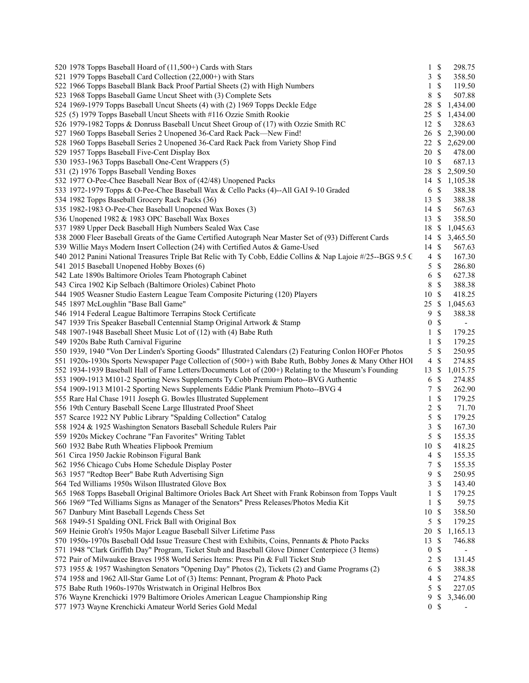| 520 1978 Topps Baseball Hoard of (11,500+) Cards with Stars                                                  | $\mathbf{1}$     | $\mathbb{S}$   | 298.75         |
|--------------------------------------------------------------------------------------------------------------|------------------|----------------|----------------|
| 521 1979 Topps Baseball Card Collection (22,000+) with Stars                                                 |                  | 3S             | 358.50         |
| 522 1966 Topps Baseball Blank Back Proof Partial Sheets (2) with High Numbers                                | 1                | $\mathbb{S}$   | 119.50         |
| 523 1968 Topps Baseball Game Uncut Sheet with (3) Complete Sets                                              | 8                | \$             | 507.88         |
| 524 1969-1979 Topps Baseball Uncut Sheets (4) with (2) 1969 Topps Deckle Edge                                | 28               | \$             | 1,434.00       |
| 525 (5) 1979 Topps Baseball Uncut Sheets with #116 Ozzie Smith Rookie                                        | 25               | $\mathbb{S}$   | 1,434.00       |
| 526 1979-1982 Topps & Donruss Baseball Uncut Sheet Group of (17) with Ozzie Smith RC                         | 12 \$            |                | 328.63         |
| 527 1960 Topps Baseball Series 2 Unopened 36-Card Rack Pack—New Find!                                        | $26 \text{ }$ \$ |                | 2,390.00       |
| 528 1960 Topps Baseball Series 2 Unopened 36-Card Rack Pack from Variety Shop Find                           | 22S              |                | 2,629.00       |
| 529 1957 Topps Baseball Five-Cent Display Box                                                                | 20               | -S             | 478.00         |
| 530 1953-1963 Topps Baseball One-Cent Wrappers (5)                                                           | 10               | $\mathbb{S}$   | 687.13         |
| 531 (2) 1976 Topps Baseball Vending Boxes                                                                    | 28               | $\mathbb{S}$   | 2,509.50       |
| 532 1977 O-Pee-Chee Baseball Near Box of (42/48) Unopened Packs                                              |                  |                | 14 \$ 1,105.38 |
| 533 1972-1979 Topps & O-Pee-Chee Baseball Wax & Cello Packs (4)--All GAI 9-10 Graded                         | 6                | $\mathbb{S}$   | 388.38         |
| 534 1982 Topps Baseball Grocery Rack Packs (36)                                                              | 13               | -S             | 388.38         |
| 535 1982-1983 O-Pee-Chee Baseball Unopened Wax Boxes (3)                                                     | 14               | -\$            | 567.63         |
| 536 Unopened 1982 & 1983 OPC Baseball Wax Boxes                                                              | 13               | -S             | 358.50         |
| 537 1989 Upper Deck Baseball High Numbers Sealed Wax Case                                                    | 18               | \$             | 1,045.63       |
|                                                                                                              |                  |                |                |
| 538 2000 Fleer Baseball Greats of the Game Certified Autograph Near Master Set of (93) Different Cards       | 14<br>14S        | \$             | 3,465.50       |
| 539 Willie Mays Modern Insert Collection (24) with Certified Autos & Game-Used                               |                  |                | 567.63         |
| 540 2012 Panini National Treasures Triple Bat Relic with Ty Cobb, Eddie Collins & Nap Lajoie #/25--BGS 9.5 C | $\overline{4}$   | $\mathbb{S}$   | 167.30         |
| 541 2015 Baseball Unopened Hobby Boxes (6)                                                                   | 5                | $\mathbb{S}$   | 286.80         |
| 542 Late 1890s Baltimore Orioles Team Photograph Cabinet                                                     | 6                | \$             | 627.38         |
| 543 Circa 1902 Kip Selbach (Baltimore Orioles) Cabinet Photo                                                 | 8                | $\mathbb{S}$   | 388.38         |
| 544 1905 Weasner Studio Eastern League Team Composite Picturing (120) Players                                | 10               | $\mathcal{S}$  | 418.25         |
| 545 1897 McLoughlin "Base Ball Game"                                                                         | 25               | <sup>\$</sup>  | 1,045.63       |
| 546 1914 Federal League Baltimore Terrapins Stock Certificate                                                | 9                | \$             | 388.38         |
| 547 1939 Tris Speaker Baseball Centennial Stamp Original Artwork & Stamp                                     | $\boldsymbol{0}$ | \$             | $\blacksquare$ |
| 548 1907-1948 Baseball Sheet Music Lot of (12) with (4) Babe Ruth                                            | 1                | \$             | 179.25         |
| 549 1920s Babe Ruth Carnival Figurine                                                                        | 1                | \$             | 179.25         |
| 550 1939, 1940 "Von Der Linden's Sporting Goods" Illustrated Calendars (2) Featuring Conlon HOFer Photos     | 5                | $\mathbb{S}$   | 250.95         |
| 551 1920s-1930s Sports Newspaper Page Collection of (500+) with Babe Ruth, Bobby Jones & Many Other HOI      | $\overline{4}$   | \$             | 274.85         |
| 552 1934-1939 Baseball Hall of Fame Letters/Documents Lot of (200+) Relating to the Museum's Founding        | 13               | \$             | 1,015.75       |
| 553 1909-1913 M101-2 Sporting News Supplements Ty Cobb Premium Photo--BVG Authentic                          | 6                | \$             | 274.85         |
| 554 1909-1913 M101-2 Sporting News Supplements Eddie Plank Premium Photo--BVG 4                              | 7                | <sup>\$</sup>  | 262.90         |
| 555 Rare Hal Chase 1911 Joseph G. Bowles Illustrated Supplement                                              | 1                | \$             | 179.25         |
| 556 19th Century Baseball Scene Large Illustrated Proof Sheet                                                | 2                | \$             | 71.70          |
| 557 Scarce 1922 NY Public Library "Spalding Collection" Catalog                                              | 5                | $\mathbb{S}$   | 179.25         |
| 558 1924 & 1925 Washington Senators Baseball Schedule Rulers Pair                                            | 3                | $\mathbb{S}$   | 167.30         |
| 559 1920s Mickey Cochrane "Fan Favorites" Writing Tablet                                                     | 5                | \$             | 155.35         |
| 560 1932 Babe Ruth Wheaties Flipbook Premium                                                                 | 10               | <sup>\$</sup>  | 418.25         |
| 561 Circa 1950 Jackie Robinson Figural Bank                                                                  | 4                | $\mathcal{S}$  | 155.35         |
| 562 1956 Chicago Cubs Home Schedule Display Poster                                                           | 7                | $\mathbb S$    | 155.35         |
| 563 1957 "Redtop Beer" Babe Ruth Advertising Sign                                                            | 9                | \$             | 250.95         |
| 564 Ted Williams 1950s Wilson Illustrated Glove Box                                                          | 3                | \$             | 143.40         |
| 565 1968 Topps Baseball Original Baltimore Orioles Back Art Sheet with Frank Robinson from Topps Vault       | 1                | \$             | 179.25         |
| 566 1969 "Ted Williams Signs as Manager of the Senators" Press Releases/Photos Media Kit                     | 1                | \$             | 59.75          |
| 567 Danbury Mint Baseball Legends Chess Set                                                                  | 10               | $\mathcal{S}$  | 358.50         |
| 568 1949-51 Spalding ONL Frick Ball with Original Box                                                        | 5                | \$             | 179.25         |
| 569 Heinie Groh's 1950s Major League Baseball Silver Lifetime Pass                                           | 20               | \$             | 1,165.13       |
| 570 1950s-1970s Baseball Odd Issue Treasure Chest with Exhibits, Coins, Pennants & Photo Packs               | 13               | \$             | 746.88         |
| 571 1948 "Clark Griffith Day" Program, Ticket Stub and Baseball Glove Dinner Centerpiece (3 Items)           | $\boldsymbol{0}$ | \$             |                |
| 572 Pair of Milwaukee Braves 1958 World Series Items: Press Pin & Full Ticket Stub                           | 2                | \$             | 131.45         |
| 573 1955 & 1957 Washington Senators "Opening Day" Photos (2), Tickets (2) and Game Programs (2)              | 6                | $\mathbb{S}$   | 388.38         |
| 574 1958 and 1962 All-Star Game Lot of (3) Items: Pennant, Program & Photo Pack                              | 4                | \$             | 274.85         |
| 575 Babe Ruth 1960s-1970s Wristwatch in Original Helbros Box                                                 | 5                | \$             | 227.05         |
| 576 Wayne Krenchicki 1979 Baltimore Orioles American League Championship Ring                                | 9                | \$             | 3,346.00       |
| 577 1973 Wayne Krenchicki Amateur World Series Gold Medal                                                    |                  | 0 <sup>5</sup> |                |
|                                                                                                              |                  |                |                |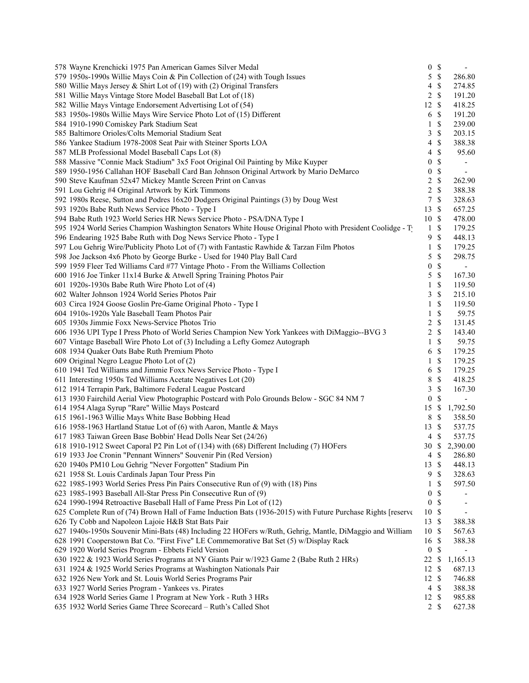| 578 Wayne Krenchicki 1975 Pan American Games Silver Medal                                                                                      | $\boldsymbol{0}$ | $\mathbb{S}$    |                          |
|------------------------------------------------------------------------------------------------------------------------------------------------|------------------|-----------------|--------------------------|
| 579 1950s-1990s Willie Mays Coin & Pin Collection of (24) with Tough Issues                                                                    | 5                | $\mathbb{S}$    | 286.80                   |
| 580 Willie Mays Jersey & Shirt Lot of (19) with (2) Original Transfers                                                                         | 4                | \$              | 274.85                   |
| 581 Willie Mays Vintage Store Model Baseball Bat Lot of (18)                                                                                   | 2                | \$              | 191.20                   |
| 582 Willie Mays Vintage Endorsement Advertising Lot of (54)                                                                                    | 12               | \$              | 418.25                   |
| 583 1950s-1980s Willie Mays Wire Service Photo Lot of (15) Different                                                                           | 6                | $\mathcal{S}$   | 191.20                   |
| 584 1910-1990 Comiskey Park Stadium Seat                                                                                                       | 1                | \$              | 239.00                   |
| 585 Baltimore Orioles/Colts Memorial Stadium Seat                                                                                              | 3                | \$              | 203.15                   |
| 586 Yankee Stadium 1978-2008 Seat Pair with Steiner Sports LOA                                                                                 | 4                | \$              | 388.38                   |
| 587 MLB Professional Model Baseball Caps Lot (8)                                                                                               | 4                | \$              | 95.60                    |
| 588 Massive "Connie Mack Stadium" 3x5 Foot Original Oil Painting by Mike Kuyper                                                                | $\boldsymbol{0}$ | $\mathbb{S}$    |                          |
| 589 1950-1956 Callahan HOF Baseball Card Ban Johnson Original Artwork by Mario DeMarco                                                         | $\boldsymbol{0}$ | \$              | $\overline{\phantom{a}}$ |
| 590 Steve Kaufman 52x47 Mickey Mantle Screen Print on Canvas                                                                                   | 2                | $\mathbb{S}$    | 262.90                   |
| 591 Lou Gehrig #4 Original Artwork by Kirk Timmons                                                                                             | 2                | \$              | 388.38                   |
| 592 1980s Reese, Sutton and Podres 16x20 Dodgers Original Paintings (3) by Doug West                                                           | 7                | \$              | 328.63                   |
| 593 1920s Babe Ruth News Service Photo - Type I                                                                                                | 13               | \$              | 657.25                   |
| 594 Babe Ruth 1923 World Series HR News Service Photo - PSA/DNA Type I                                                                         | 10               | $\mathcal{S}$   | 478.00                   |
| 595 1924 World Series Champion Washington Senators White House Original Photo with President Coolidge - T                                      | $\mathbf{1}$     | \$              | 179.25                   |
| 596 Endearing 1925 Babe Ruth with Dog News Service Photo - Type I                                                                              | 9                | \$              | 448.13                   |
| 597 Lou Gehrig Wire/Publicity Photo Lot of (7) with Fantastic Rawhide & Tarzan Film Photos                                                     | 1                | \$              | 179.25                   |
| 598 Joe Jackson 4x6 Photo by George Burke - Used for 1940 Play Ball Card                                                                       | 5                | \$              | 298.75                   |
| 599 1959 Fleer Ted Williams Card #77 Vintage Photo - From the Williams Collection                                                              | $\boldsymbol{0}$ | \$              |                          |
| 600 1916 Joe Tinker 11x14 Burke & Atwell Spring Training Photos Pair                                                                           | 5                | $\mathbb{S}$    | 167.30                   |
| 601 1920s-1930s Babe Ruth Wire Photo Lot of (4)                                                                                                | 1                | \$              | 119.50                   |
| 602 Walter Johnson 1924 World Series Photos Pair                                                                                               | 3                | \$              | 215.10                   |
| 603 Circa 1924 Goose Goslin Pre-Game Original Photo - Type I                                                                                   | 1                | \$              | 119.50                   |
| 604 1910s-1920s Yale Baseball Team Photos Pair                                                                                                 | 1                | \$              | 59.75                    |
| 605 1930s Jimmie Foxx News-Service Photos Trio                                                                                                 | 2                | \$              | 131.45                   |
| 606 1936 UPI Type I Press Photo of World Series Champion New York Yankees with DiMaggio--BVG 3                                                 | 2                | \$              | 143.40                   |
| 607 Vintage Baseball Wire Photo Lot of (3) Including a Lefty Gomez Autograph                                                                   | 1                | \$              | 59.75                    |
| 608 1934 Quaker Oats Babe Ruth Premium Photo                                                                                                   | 6                | \$              | 179.25                   |
| 609 Original Negro League Photo Lot of (2)                                                                                                     | 1                | \$              | 179.25                   |
| 610 1941 Ted Williams and Jimmie Foxx News Service Photo - Type I                                                                              | 6                | \$              | 179.25                   |
| 611 Interesting 1950s Ted Williams Acetate Negatives Lot (20)                                                                                  | 8                | \$              | 418.25                   |
|                                                                                                                                                | 3                | $\mathbb{S}$    | 167.30                   |
| 612 1914 Terrapin Park, Baltimore Federal League Postcard                                                                                      | $\mathbf{0}$     | \$              |                          |
| 613 1930 Fairchild Aerial View Photographic Postcard with Polo Grounds Below - SGC 84 NM 7<br>614 1954 Alaga Syrup "Rare" Willie Mays Postcard |                  |                 |                          |
|                                                                                                                                                | 15               | \$              | 1,792.50                 |
| 615 1961-1963 Willie Mays White Base Bobbing Head                                                                                              | 8                | \$              | 358.50                   |
| 616 1958-1963 Hartland Statue Lot of (6) with Aaron, Mantle & Mays                                                                             | 13               | \$              | 537.75                   |
| 617 1983 Taiwan Green Base Bobbin' Head Dolls Near Set (24/26)                                                                                 | 4                | S               | 537.75                   |
| 618 1910-1912 Sweet Caporal P2 Pin Lot of (134) with (68) Different Including (7) HOFers                                                       |                  |                 | 30 \$ 2,390.00           |
| 619 1933 Joe Cronin "Pennant Winners" Souvenir Pin (Red Version)                                                                               |                  | $4 \text{ }$ \$ | 286.80                   |
| 620 1940s PM10 Lou Gehrig "Never Forgotten" Stadium Pin                                                                                        | 13               | \$              | 448.13                   |
| 621 1958 St. Louis Cardinals Japan Tour Press Pin                                                                                              | 9                | \$              | 328.63                   |
| 622 1985-1993 World Series Press Pin Pairs Consecutive Run of (9) with (18) Pins                                                               | 1                | \$              | 597.50                   |
| 623 1985-1993 Baseball All-Star Press Pin Consecutive Run of (9)                                                                               | $\boldsymbol{0}$ | \$              |                          |
| 624 1990-1994 Retroactive Baseball Hall of Fame Press Pin Lot of (12)                                                                          | $\boldsymbol{0}$ | \$              |                          |
| 625 Complete Run of (74) Brown Hall of Fame Induction Bats (1936-2015) with Future Purchase Rights [reserve                                    | 10               | \$              |                          |
| 626 Ty Cobb and Napoleon Lajoie H&B Stat Bats Pair                                                                                             | 13               | \$              | 388.38                   |
| 627 1940s-1950s Souvenir Mini-Bats (48) Including 22 HOFers w/Ruth, Gehrig, Mantle, DiMaggio and William                                       | 10               | \$              | 567.63                   |
| 628 1991 Cooperstown Bat Co. "First Five" LE Commemorative Bat Set (5) w/Display Rack                                                          | 16               | S               | 388.38                   |
| 629 1920 World Series Program - Ebbets Field Version                                                                                           | $\boldsymbol{0}$ | \$              |                          |
| 630 1922 & 1923 World Series Programs at NY Giants Pair w/1923 Game 2 (Babe Ruth 2 HRs)                                                        | 22               | \$              | 1,165.13                 |
| 631 1924 & 1925 World Series Programs at Washington Nationals Pair                                                                             | 12               | \$              | 687.13                   |
| 632 1926 New York and St. Louis World Series Programs Pair                                                                                     | 12               | S               | 746.88                   |
| 633 1927 World Series Program - Yankees vs. Pirates                                                                                            | 4                | \$              | 388.38                   |
| 634 1928 World Series Game 1 Program at New York - Ruth 3 HRs                                                                                  | 12               | \$              | 985.88                   |
| 635 1932 World Series Game Three Scorecard - Ruth's Called Shot                                                                                | $\overline{2}$   | \$              | 627.38                   |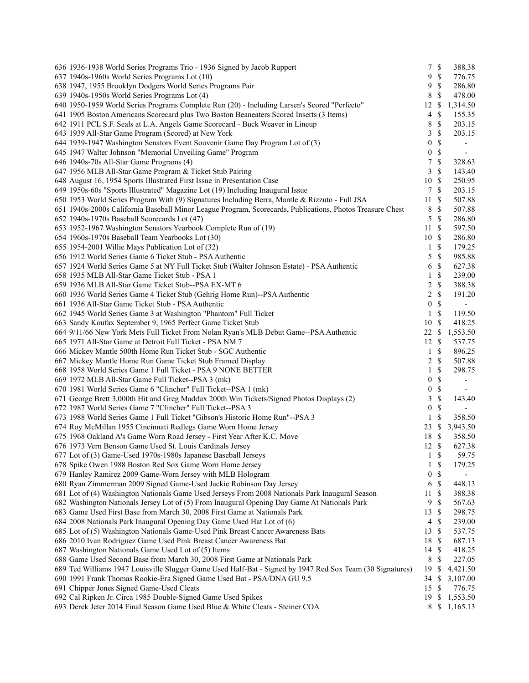| 636 1936-1938 World Series Programs Trio - 1936 Signed by Jacob Ruppert                                   | 7                | $\mathbb{S}$  | 388.38                   |
|-----------------------------------------------------------------------------------------------------------|------------------|---------------|--------------------------|
| 637 1940s-1960s World Series Programs Lot (10)                                                            | 9                | $\mathbb S$   | 776.75                   |
| 638 1947, 1955 Brooklyn Dodgers World Series Programs Pair                                                | 9                | $\mathbb{S}$  | 286.80                   |
| 639 1940s-1950s World Series Programs Lot (4)                                                             | 8                | \$            | 478.00                   |
| 640 1950-1959 World Series Programs Complete Run (20) - Including Larsen's Scored "Perfecto"              | 12               | \$            | 1,314.50                 |
| 641 1905 Boston Americans Scorecard plus Two Boston Beaneaters Scored Inserts (3 Items)                   | $\overline{4}$   | \$            | 155.35                   |
| 642 1911 PCL S.F. Seals at L.A. Angels Game Scorecard - Buck Weaver in Lineup                             | 8                | $\mathbb{S}$  | 203.15                   |
| 643 1939 All-Star Game Program (Scored) at New York                                                       | 3                | \$            | 203.15                   |
| 644 1939-1947 Washington Senators Event Souvenir Game Day Program Lot of (3)                              | 0                | \$            | $\overline{\phantom{a}}$ |
| 645 1947 Walter Johnson "Memorial Unveiling Game" Program                                                 | $\boldsymbol{0}$ | $\mathbb{S}$  | $\overline{\phantom{a}}$ |
| 646 1940s-70s All-Star Game Programs (4)                                                                  | 7                | $\mathbb{S}$  | 328.63                   |
| 647 1956 MLB All-Star Game Program & Ticket Stub Pairing                                                  | 3                | \$            | 143.40                   |
| 648 August 16, 1954 Sports Illustrated First Issue in Presentation Case                                   | 10               | $\mathcal{S}$ | 250.95                   |
| 649 1950s-60s "Sports Illustrated" Magazine Lot (19) Including Inaugural Issue                            | $\tau$           | \$            | 203.15                   |
| 650 1953 World Series Program With (9) Signatures Including Berra, Mantle & Rizzuto - Full JSA            | 11               | \$            | 507.88                   |
| 651 1940s-2000s California Baseball Minor League Program, Scorecards, Publications, Photos Treasure Chest | 8                | \$            | 507.88                   |
| 652 1940s-1970s Baseball Scorecards Lot (47)                                                              | 5                | $\mathbb{S}$  | 286.80                   |
|                                                                                                           | 11               | <sup>\$</sup> |                          |
| 653 1952-1967 Washington Senators Yearbook Complete Run of (19)                                           |                  |               | 597.50                   |
| 654 1960s-1970s Baseball Team Yearbooks Lot (30)                                                          | 10S              |               | 286.80                   |
| 655 1954-2001 Willie Mays Publication Lot of (32)                                                         | $\mathbf{1}$     | S             | 179.25                   |
| 656 1912 World Series Game 6 Ticket Stub - PSA Authentic                                                  | 5                | \$            | 985.88                   |
| 657 1924 World Series Game 5 at NY Full Ticket Stub (Walter Johnson Estate) - PSA Authentic               | 6                | \$            | 627.38                   |
| 658 1935 MLB All-Star Game Ticket Stub - PSA 1                                                            | 1                | \$            | 239.00                   |
| 659 1936 MLB All-Star Game Ticket Stub--PSA EX-MT 6                                                       | 2                | \$            | 388.38                   |
| 660 1936 World Series Game 4 Ticket Stub (Gehrig Home Run)--PSA Authentic                                 | 2                | $\mathbb{S}$  | 191.20                   |
| 661 1936 All-Star Game Ticket Stub - PSA Authentic                                                        | $\boldsymbol{0}$ | \$            | $\overline{\phantom{a}}$ |
| 662 1945 World Series Game 3 at Washington "Phantom" Full Ticket                                          | 1                | \$            | 119.50                   |
| 663 Sandy Koufax September 9, 1965 Perfect Game Ticket Stub                                               | $10\,$           | \$            | 418.25                   |
| 664 9/11/66 New York Mets Full Ticket From Nolan Ryan's MLB Debut Game--PSA Authentic                     | 22               | \$            | 1,553.50                 |
| 665 1971 All-Star Game at Detroit Full Ticket - PSA NM 7                                                  | 12               | \$            | 537.75                   |
| 666 Mickey Mantle 500th Home Run Ticket Stub - SGC Authentic                                              | 1                | \$            | 896.25                   |
| 667 Mickey Mantle Home Run Game Ticket Stub Framed Display                                                | 2                | \$            | 507.88                   |
| 668 1958 World Series Game 1 Full Ticket - PSA 9 NONE BETTER                                              | 1                | \$            | 298.75                   |
| 669 1972 MLB All-Star Game Full Ticket--PSA 3 (mk)                                                        | $\boldsymbol{0}$ | \$            | $\overline{\phantom{a}}$ |
| 670 1981 World Series Game 6 "Clincher" Full Ticket--PSA 1 (mk)                                           | $\boldsymbol{0}$ | $\mathbb{S}$  |                          |
| 671 George Brett 3,000th Hit and Greg Maddux 200th Win Tickets/Signed Photos Displays (2)                 | 3                | $\mathbb S$   | 143.40                   |
| 672 1987 World Series Game 7 "Clincher" Full Ticket--PSA 3                                                | $\boldsymbol{0}$ | \$            |                          |
| 673 1988 World Series Game 1 Full Ticket "Gibson's Historic Home Run"--PSA 3                              | 1                | \$            | 358.50                   |
| 674 Roy McMillan 1955 Cincinnati Redlegs Game Worn Home Jersey                                            | 23               | \$            | 3,943.50                 |
| 675 1968 Oakland A's Game Worn Road Jersey - First Year After K.C. Move                                   | 18               | S             | 358.50                   |
| 676 1973 Vern Benson Game Used St. Louis Cardinals Jersey                                                 | 12               | \$            | 627.38                   |
| 677 Lot of (3) Game-Used 1970s-1980s Japanese Baseball Jerseys                                            |                  | 1 S           | 59.75                    |
| 678 Spike Owen 1988 Boston Red Sox Game Worn Home Jersey                                                  | 1                | \$            | 179.25                   |
| 679 Hanley Ramirez 2009 Game-Worn Jersey with MLB Hologram                                                | 0                | \$            | $\overline{\phantom{a}}$ |
| 680 Ryan Zimmerman 2009 Signed Game-Used Jackie Robinson Day Jersey                                       | 6                | \$            | 448.13                   |
| 681 Lot of (4) Washington Nationals Game Used Jerseys From 2008 Nationals Park Inaugural Season           | 11               | \$            | 388.38                   |
| 682 Washington Nationals Jersey Lot of (5) From Inaugural Opening Day Game At Nationals Park              | 9                | \$            | 567.63                   |
| 683 Game Used First Base from March 30, 2008 First Game at Nationals Park                                 | 13               | \$            | 298.75                   |
|                                                                                                           | $\overline{4}$   | \$            | 239.00                   |
| 684 2008 Nationals Park Inaugural Opening Day Game Used Hat Lot of (6)                                    |                  |               |                          |
| 685 Lot of (5) Washington Nationals Game-Used Pink Breast Cancer Awareness Bats                           | 13               | \$            | 537.75                   |
| 686 2010 Ivan Rodriguez Game Used Pink Breast Cancer Awareness Bat                                        | 18               | \$            | 687.13                   |
| 687 Washington Nationals Game Used Lot of (5) Items                                                       | 14               | \$            | 418.25                   |
| 688 Game Used Second Base from March 30, 2008 First Game at Nationals Park                                | $\,8\,$          | \$            | 227.05                   |
| 689 Ted Williams 1947 Louisville Slugger Game Used Half-Bat - Signed by 1947 Red Sox Team (30 Signatures) | 19               | \$            | 4,421.50                 |
| 690 1991 Frank Thomas Rookie-Era Signed Game Used Bat - PSA/DNA GU 9.5                                    | 34               | \$            | 3,107.00                 |
| 691 Chipper Jones Signed Game-Used Cleats                                                                 | 15               | $\mathbb{S}$  | 776.75                   |
| 692 Cal Ripken Jr. Circa 1985 Double-Signed Game Used Spikes                                              | 19               | \$            | 1,553.50                 |
| 693 Derek Jeter 2014 Final Season Game Used Blue & White Cleats - Steiner COA                             | 8                |               | \$1,165.13               |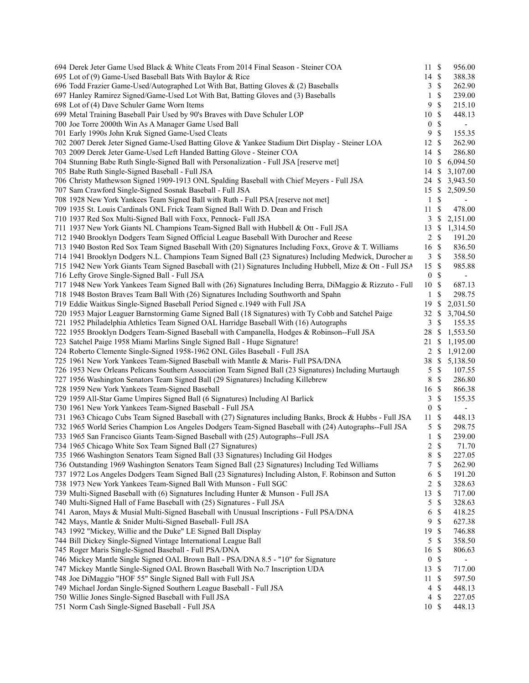| 694 Derek Jeter Game Used Black & White Cleats From 2014 Final Season - Steiner COA                         | 11S              |               | 956.00                   |
|-------------------------------------------------------------------------------------------------------------|------------------|---------------|--------------------------|
| 695 Lot of (9) Game-Used Baseball Bats With Baylor & Rice                                                   | 14 \$            |               | 388.38                   |
| 696 Todd Frazier Game-Used/Autographed Lot With Bat, Batting Gloves & (2) Baseballs                         | 3                | $\mathbb{S}$  | 262.90                   |
| 697 Hanley Ramirez Signed/Game-Used Lot With Bat, Batting Gloves and (3) Baseballs                          | 1                | \$            | 239.00                   |
| 698 Lot of (4) Dave Schuler Game Worn Items                                                                 | 9                | $\mathcal{S}$ | 215.10                   |
| 699 Metal Training Baseball Pair Used by 90's Braves with Dave Schuler LOP                                  | 10               | $\mathbb{S}$  | 448.13                   |
| 700 Joe Torre 2000th Win As A Manager Game Used Ball                                                        | $\boldsymbol{0}$ | \$            |                          |
| 701 Early 1990s John Kruk Signed Game-Used Cleats                                                           | 9                | \$            | 155.35                   |
| 702 2007 Derek Jeter Signed Game-Used Batting Glove & Yankee Stadium Dirt Display - Steiner LOA             | 12               | \$            | 262.90                   |
| 703 2009 Derek Jeter Game-Used Left Handed Batting Glove - Steiner COA                                      | 14               | <sup>\$</sup> | 286.80                   |
| 704 Stunning Babe Ruth Single-Signed Ball with Personalization - Full JSA [reserve met]                     | 10               | $\mathbb{S}$  | 6,094.50                 |
| 705 Babe Ruth Single-Signed Baseball - Full JSA                                                             | 14               | -S            | 3,107.00                 |
| 706 Christy Mathewson Signed 1909-1913 ONL Spalding Baseball with Chief Meyers - Full JSA                   | 24 \$            |               | 3,943.50                 |
| 707 Sam Crawford Single-Signed Sosnak Baseball - Full JSA                                                   | 15S              |               | 2,509.50                 |
| 708 1928 New York Yankees Team Signed Ball with Ruth - Full PSA [reserve not met]                           | $\mathbf{1}$     | \$            | $\overline{\phantom{a}}$ |
| 709 1935 St. Louis Cardinals ONL Frick Team Signed Ball With D. Dean and Frisch                             | 11               | $\mathcal{S}$ | 478.00                   |
| 710 1937 Red Sox Multi-Signed Ball with Foxx, Pennock- Full JSA                                             | 3                | $\mathbb{S}$  | 2,151.00                 |
| 711 1937 New York Giants NL Champions Team-Signed Ball with Hubbell & Ott - Full JSA                        | 13               | $\mathbb{S}$  | 1,314.50                 |
| 712 1940 Brooklyn Dodgers Team Signed Official League Baseball With Durocher and Reese                      | 2                | $\mathcal{S}$ | 191.20                   |
| 713 1940 Boston Red Sox Team Signed Baseball With (20) Signatures Including Foxx, Grove & T. Williams       | 16 \$            |               | 836.50                   |
| 714 1941 Brooklyn Dodgers N.L. Champions Team Signed Ball (23 Signatures) Including Medwick, Durocher an    |                  | 3S            | 358.50                   |
| 715 1942 New York Giants Team Signed Baseball with (21) Signatures Including Hubbell, Mize & Ott - Full JSA | 15               | -S            | 985.88                   |
| 716 Lefty Grove Single-Signed Ball - Full JSA                                                               | $\boldsymbol{0}$ | $\mathcal{S}$ |                          |
| 717 1948 New York Yankees Team Signed Ball with (26) Signatures Including Berra, DiMaggio & Rizzuto - Full  | 10S              |               | 687.13                   |
| 718 1948 Boston Braves Team Ball With (26) Signatures Including Southworth and Spahn                        | 1                | \$            | 298.75                   |
| 719 Eddie Waitkus Single-Signed Baseball Period Signed c.1949 with Full JSA                                 | 19               | \$            | 2,031.50                 |
| 720 1953 Major Leaguer Barnstorming Game Signed Ball (18 Signatures) with Ty Cobb and Satchel Paige         | 32               | \$            | 3,704.50                 |
| 721 1952 Philadelphia Athletics Team Signed OAL Harridge Baseball With (16) Autographs                      | 3                | \$            | 155.35                   |
|                                                                                                             | 28               | <sup>\$</sup> | 1,553.50                 |
| 722 1955 Brooklyn Dodgers Team-Signed Baseball with Campanella, Hodges & Robinson--Full JSA                 |                  |               |                          |
| 723 Satchel Paige 1958 Miami Marlins Single Signed Ball - Huge Signature!                                   | 21               | -S            | 1,195.00                 |
| 724 Roberto Clemente Single-Signed 1958-1962 ONL Giles Baseball - Full JSA                                  |                  | $2 \sqrt{s}$  | 1,912.00                 |
| 725 1961 New York Yankees Team-Signed Baseball with Mantle & Maris- Full PSA/DNA                            | 38 \$            |               | 5,138.50                 |
| 726 1953 New Orleans Pelicans Southern Association Team Signed Ball (23 Signatures) Including Murtaugh      | 5                | \$            | 107.55                   |
| 727 1956 Washington Senators Team Signed Ball (29 Signatures) Including Killebrew                           | $\,8\,$          | \$            | 286.80                   |
| 728 1959 New York Yankees Team-Signed Baseball                                                              | 16 \$            |               | 866.38                   |
| 729 1959 All-Star Game Umpires Signed Ball (6 Signatures) Including Al Barlick                              | 3                | $\mathbb S$   | 155.35                   |
| 730 1961 New York Yankees Team-Signed Baseball - Full JSA                                                   | $\boldsymbol{0}$ | \$            | $\overline{\phantom{a}}$ |
| 731 1963 Chicago Cubs Team Signed Baseball with (27) Signatures including Banks, Brock & Hubbs - Full JSA   | $11 \text{ }$ \$ |               | 448.13                   |
| 732 1965 World Series Champion Los Angeles Dodgers Team-Signed Baseball with (24) Autographs--Full JSA      | 5                | $\$$          | 298.75                   |
| 733 1965 San Francisco Giants Team-Signed Baseball with (25) Autographs--Full JSA                           | $\mathbf{1}$     | \$            | 239.00                   |
| 734 1965 Chicago White Sox Team Signed Ball (27 Signatures)                                                 | $\overline{2}$   | \$            | 71.70                    |
| 735 1966 Washington Senators Team Signed Ball (33 Signatures) Including Gil Hodges                          | 8                | $\$$          | 227.05                   |
| 736 Outstanding 1969 Washington Senators Team Signed Ball (23 Signatures) Including Ted Williams            | 7                | $\mathbb{S}$  | 262.90                   |
| 737 1972 Los Angeles Dodgers Team Signed Ball (23 Signatures) Including Alston, F. Robinson and Sutton      | 6                | \$            | 191.20                   |
| 738 1973 New York Yankees Team-Signed Ball With Munson - Full SGC                                           | 2                | \$            | 328.63                   |
| 739 Multi-Signed Baseball with (6) Signatures Including Hunter & Munson - Full JSA                          | 13               | $\mathbb{S}$  | 717.00                   |
| 740 Multi-Signed Hall of Fame Baseball with (25) Signatures - Full JSA                                      | 5                | $\mathbb{S}$  | 328.63                   |
| 741 Aaron, Mays & Musial Multi-Signed Baseball with Unusual Inscriptions - Full PSA/DNA                     | 6                | \$            | 418.25                   |
| 742 Mays, Mantle & Snider Multi-Signed Baseball- Full JSA                                                   | $\overline{9}$   | \$            | 627.38                   |
| 743 1992 "Mickey, Willie and the Duke" LE Signed Ball Display                                               | 19               | $\mathcal{S}$ | 746.88                   |
| 744 Bill Dickey Single-Signed Vintage International League Ball                                             | 5                | \$            | 358.50                   |
| 745 Roger Maris Single-Signed Baseball - Full PSA/DNA                                                       | 16               | \$            | 806.63                   |
| 746 Mickey Mantle Single Signed OAL Brown Ball - PSA/DNA 8.5 - "10" for Signature                           | $\boldsymbol{0}$ | \$            |                          |
| 747 Mickey Mantle Single-Signed OAL Brown Baseball With No.7 Inscription UDA                                | 13               | $\mathcal{S}$ | 717.00                   |
| 748 Joe DiMaggio "HOF 55" Single Signed Ball with Full JSA                                                  | 11               | \$            | 597.50                   |
| 749 Michael Jordan Single-Signed Southern League Baseball - Full JSA                                        | 4                | $\mathbb{S}$  | 448.13                   |
| 750 Willie Jones Single-Signed Baseball with Full JSA                                                       | 4                | \$            | 227.05                   |
| 751 Norm Cash Single-Signed Baseball - Full JSA                                                             | 10S              |               | 448.13                   |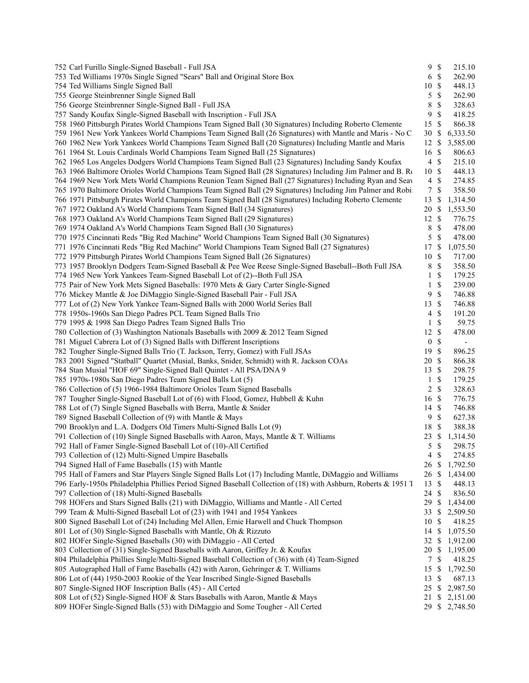| 752 Carl Furillo Single-Signed Baseball - Full JSA                                                             | 9                | $\mathbb{S}$  | 215.10                   |
|----------------------------------------------------------------------------------------------------------------|------------------|---------------|--------------------------|
| 753 Ted Williams 1970s Single Signed "Sears" Ball and Original Store Box                                       | 6                | $\mathbb{S}$  | 262.90                   |
| 754 Ted Williams Single Signed Ball                                                                            | 10               | \$            | 448.13                   |
| 755 George Steinbrenner Single Signed Ball                                                                     | 5                | \$            | 262.90                   |
| 756 George Steinbrenner Single-Signed Ball - Full JSA                                                          | 8                | \$            | 328.63                   |
| 757 Sandy Koufax Single-Signed Baseball with Inscription - Full JSA                                            | 9                | \$            | 418.25                   |
| 758 1960 Pittsburgh Pirates World Champions Team Signed Ball (30 Signatures) Including Roberto Clemente        | 15               | \$            | 866.38                   |
| 759 1961 New York Yankees World Champions Team Signed Ball (26 Signatures) with Mantle and Maris - No C        | 30               | \$            | 6,333.50                 |
| 760 1962 New York Yankees World Champions Team Signed Ball (20 Signatures) Including Mantle and Maris          | 12               | \$            | 3,585.00                 |
| 761 1964 St. Louis Cardinals World Champions Team Signed Ball (25 Signatures)                                  | 16               | \$            | 806.63                   |
| 762 1965 Los Angeles Dodgers World Champions Team Signed Ball (23 Signatures) Including Sandy Koufax           | $\overline{4}$   | $\mathcal{S}$ | 215.10                   |
| 763 1966 Baltimore Orioles World Champions Team Signed Ball (28 Signatures) Including Jim Palmer and B. Ro     | 10               | S             | 448.13                   |
| 764 1969 New York Mets World Champions Reunion Team Signed Ball (27 Signatures) Including Ryan and Seav        | $\overline{4}$   | \$            | 274.85                   |
| 765 1970 Baltimore Orioles World Champions Team Signed Ball (29 Signatures) Including Jim Palmer and Robi      | $\tau$           | \$            | 358.50                   |
| 766 1971 Pittsburgh Pirates World Champions Team Signed Ball (28 Signatures) Including Roberto Clemente        | 13               | \$            | 1,314.50                 |
| 767 1972 Oakland A's World Champions Team Signed Ball (34 Signatures)                                          | 20               | \$            | 1,553.50                 |
| 768 1973 Oakland A's World Champions Team Signed Ball (29 Signatures)                                          | 12               | \$            | 776.75                   |
| 769 1974 Oakland A's World Champions Team Signed Ball (30 Signatures)                                          | 8                | \$            | 478.00                   |
| 770 1975 Cincinnati Reds "Big Red Machine" World Champions Team Signed Ball (30 Signatures)                    | 5                | \$            | 478.00                   |
| 771 1976 Cincinnati Reds "Big Red Machine" World Champions Team Signed Ball (27 Signatures)                    | 17               | \$            | 1,075.50                 |
|                                                                                                                |                  |               |                          |
| 772 1979 Pittsburgh Pirates World Champions Team Signed Ball (26 Signatures)                                   | 10               | \$            | 717.00                   |
| 773 1957 Brooklyn Dodgers Team-Signed Baseball & Pee Wee Reese Single-Signed Baseball--Both Full JSA           | 8                | $\mathbb{S}$  | 358.50                   |
| 774 1965 New York Yankees Team-Signed Baseball Lot of (2)--Both Full JSA                                       | 1                | \$            | 179.25                   |
| 775 Pair of New York Mets Signed Baseballs: 1970 Mets & Gary Carter Single-Signed                              | 1                | \$            | 239.00                   |
| 776 Mickey Mantle & Joe DiMaggio Single-Signed Baseball Pair - Full JSA                                        | 9                | \$            | 746.88                   |
| 777 Lot of (2) New York Yankee Team-Signed Balls with 2000 World Series Ball                                   | 13               | \$            | 746.88                   |
| 778 1950s-1960s San Diego Padres PCL Team Signed Balls Trio                                                    | 4                | \$            | 191.20                   |
| 779 1995 & 1998 San Diego Padres Team Signed Balls Trio                                                        | 1                | \$            | 59.75                    |
| 780 Collection of (3) Washington Nationals Baseballs with 2009 & 2012 Team Signed                              | 12               | \$            | 478.00                   |
| 781 Miguel Cabrera Lot of (3) Signed Balls with Different Inscriptions                                         | $\boldsymbol{0}$ | $\mathbb{S}$  | $\overline{\phantom{a}}$ |
| 782 Tougher Single-Signed Balls Trio (T. Jackson, Terry, Gomez) with Full JSAs                                 | 19               | \$            | 896.25                   |
| 783 2001 Signed "Statball" Quartet (Musial, Banks, Snider, Schmidt) with R. Jackson COAs                       | 20               | \$            | 866.38                   |
| 784 Stan Musial "HOF 69" Single-Signed Ball Quintet - All PSA/DNA 9                                            | 13               | \$            | 298.75                   |
| 785 1970s-1980s San Diego Padres Team Signed Balls Lot (5)                                                     | 1                | \$            | 179.25                   |
| 786 Collection of (5) 1966-1984 Baltimore Orioles Team Signed Baseballs                                        | 2                | \$            | 328.63                   |
| 787 Tougher Single-Signed Baseball Lot of (6) with Flood, Gomez, Hubbell & Kuhn                                | 16               | $\mathcal{S}$ | 776.75                   |
| 788 Lot of (7) Single Signed Baseballs with Berra, Mantle & Snider                                             | 14               | $\mathcal{S}$ | 746.88                   |
| 789 Signed Baseball Collection of (9) with Mantle & Mays                                                       | 9                | \$            | 627.38                   |
| 790 Brooklyn and L.A. Dodgers Old Timers Multi-Signed Balls Lot (9)                                            | 18               | S             | 388.38                   |
| 791 Collection of (10) Single Signed Baseballs with Aaron, Mays, Mantle & T. Williams                          | 23               | \$            | 1,314.50                 |
| 792 Hall of Famer Single-Signed Baseball Lot of (10)-All Certified                                             | 5                | \$            | 298.75                   |
| 793 Collection of (12) Multi-Signed Umpire Baseballs                                                           | $\overline{4}$   | $\mathbb{S}$  | 274.85                   |
| 794 Signed Hall of Fame Baseballs (15) with Mantle                                                             | 26               | \$            | 1,792.50                 |
| 795 Hall of Famers and Star Players Single Signed Balls Lot (17) Including Mantle, DiMaggio and Williams       | 26               | \$            | 1,434.00                 |
| 796 Early-1950s Philadelphia Phillies Period Signed Baseball Collection of (18) with Ashburn, Roberts & 1951 T | 13               | \$            | 448.13                   |
| 797 Collection of (18) Multi-Signed Baseballs                                                                  | 24               | S             | 836.50                   |
| 798 HOFers and Stars Signed Balls (21) with DiMaggio, Williams and Mantle - All Certed                         | 29               | \$            | 1,434.00                 |
| 799 Team & Multi-Signed Baseball Lot of (23) with 1941 and 1954 Yankees                                        | 33               | \$            | 2,509.50                 |
| 800 Signed Baseball Lot of (24) Including Mel Allen, Ernie Harwell and Chuck Thompson                          | 10               | \$            | 418.25                   |
| 801 Lot of (30) Single-Signed Baseballs with Mantle, Oh & Rizzuto                                              | 14               | \$            | 1,075.50                 |
| 802 HOFer Single-Signed Baseballs (30) with DiMaggio - All Certed                                              | 32               | \$            | 1,912.00                 |
| 803 Collection of (31) Single-Signed Baseballs with Aaron, Griffey Jr. & Koufax                                | 20               | \$            | 1,195.00                 |
| 804 Philadelphia Phillies Single/Multi-Signed Baseball Collection of (36) with (4) Team-Signed                 | 7                | \$            | 418.25                   |
| 805 Autographed Hall of Fame Baseballs (42) with Aaron, Gehringer & T. Williams                                | 15               | \$            | 1,792.50                 |
| 806 Lot of (44) 1950-2003 Rookie of the Year Inscribed Single-Signed Baseballs                                 | 13               | \$            | 687.13                   |
| 807 Single-Signed HOF Inscription Balls (45) - All Certed                                                      | 25               |               |                          |
| 808 Lot of (52) Single-Signed HOF & Stars Baseballs with Aaron, Mantle & Mays                                  |                  | \$            | 2,987.50                 |
|                                                                                                                | 21               | \$            | 2,151.00                 |
| 809 HOFer Single-Signed Balls (53) with DiMaggio and Some Tougher - All Certed                                 | 29               |               | \$2,748.50               |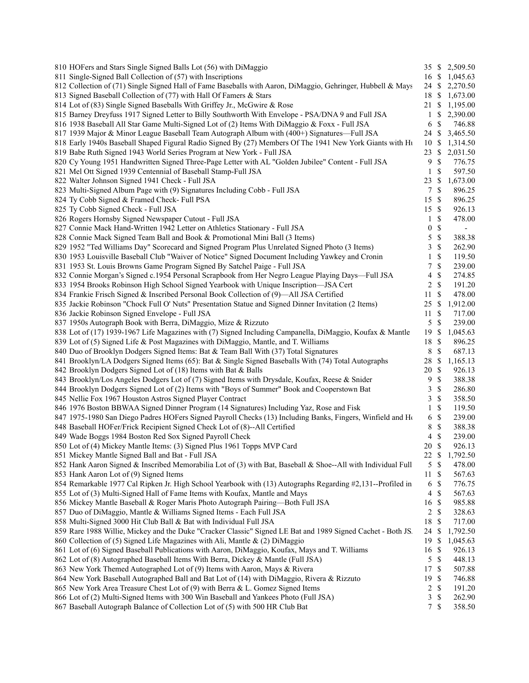| 810 HOFers and Stars Single Signed Balls Lot (56) with DiMaggio                                                                                                  |                  |                           | 35 \$ 2,509.50           |
|------------------------------------------------------------------------------------------------------------------------------------------------------------------|------------------|---------------------------|--------------------------|
| 811 Single-Signed Ball Collection of (57) with Inscriptions                                                                                                      | 16 \$            |                           | 1,045.63                 |
| 812 Collection of (71) Single Signed Hall of Fame Baseballs with Aaron, DiMaggio, Gehringer, Hubbell & Mays                                                      |                  |                           | 24 \$ 2,270.50           |
| 813 Signed Baseball Collection of (77) with Hall Of Famers & Stars                                                                                               |                  |                           | 18 \$ 1,673.00           |
| 814 Lot of (83) Single Signed Baseballs With Griffey Jr., McGwire & Rose                                                                                         | 21 \$            |                           | 1,195.00                 |
| 815 Barney Dreyfuss 1917 Signed Letter to Billy Southworth With Envelope - PSA/DNA 9 and Full JSA                                                                | 1                | -S                        | 2,390.00                 |
| 816 1938 Baseball All Star Game Multi-Signed Lot of (2) Items With DiMaggio & Foxx - Full JSA                                                                    | 6                | -\$                       | 746.88                   |
| 817 1939 Major & Minor League Baseball Team Autograph Album with (400+) Signatures—Full JSA                                                                      | 24 \$            |                           | 3,465.50                 |
| 818 Early 1940s Baseball Shaped Figural Radio Signed By (27) Members Of The 1941 New York Giants with Ht                                                         | 10S              |                           | 1,314.50                 |
| 819 Babe Ruth Signed 1943 World Series Program at New York - Full JSA                                                                                            | 23               | - \$                      | 2,031.50                 |
| 820 Cy Young 1951 Handwritten Signed Three-Page Letter with AL "Golden Jubilee" Content - Full JSA                                                               | 9                | \$                        | 776.75                   |
| 821 Mel Ott Signed 1939 Centennial of Baseball Stamp-Full JSA                                                                                                    | $\mathbf{1}$     | S                         | 597.50                   |
| 822 Walter Johnson Signed 1941 Check - Full JSA                                                                                                                  | 23               | -S                        | 1,673.00                 |
| 823 Multi-Signed Album Page with (9) Signatures Including Cobb - Full JSA                                                                                        | 7                | \$                        | 896.25                   |
| 824 Ty Cobb Signed & Framed Check- Full PSA                                                                                                                      | 15               | $\mathbb{S}$              | 896.25                   |
| 825 Ty Cobb Signed Check - Full JSA                                                                                                                              | 15 \$            |                           | 926.13                   |
| 826 Rogers Hornsby Signed Newspaper Cutout - Full JSA                                                                                                            | 1                | S                         | 478.00                   |
| 827 Connie Mack Hand-Written 1942 Letter on Athletics Stationary - Full JSA                                                                                      | $\boldsymbol{0}$ | \$                        | $\overline{\phantom{a}}$ |
| 828 Connie Mack Signed Team Ball and Book & Promotional Mini Ball (3 Items)                                                                                      | 5                | $\mathbb{S}$              | 388.38                   |
| 829 1952 "Ted Williams Day" Scorecard and Signed Program Plus Unrelated Signed Photo (3 Items)                                                                   | 3                | $\mathbb{S}$              | 262.90                   |
| 830 1953 Louisville Baseball Club "Waiver of Notice" Signed Document Including Yawkey and Cronin                                                                 | 1                | \$                        | 119.50                   |
| 831 1953 St. Louis Browns Game Program Signed By Satchel Paige - Full JSA                                                                                        | 7                | \$                        | 239.00                   |
| 832 Connie Morgan's Signed c.1954 Personal Scrapbook from Her Negro League Playing Days—Full JSA                                                                 | 4                | \$                        | 274.85                   |
| 833 1954 Brooks Robinson High School Signed Yearbook with Unique Inscription-JSA Cert                                                                            | 2                | $\mathcal{S}$             | 191.20                   |
| 834 Frankie Frisch Signed & Inscribed Personal Book Collection of (9)—All JSA Certified                                                                          | 11               | $\mathbb{S}$              | 478.00                   |
| 835 Jackie Robinson "Chock Full O' Nuts" Presentation Statue and Signed Dinner Invitation (2 Items)                                                              | 25.              | -\$                       | 1,912.00                 |
| 836 Jackie Robinson Signed Envelope - Full JSA                                                                                                                   | 11               | -S                        | 717.00                   |
| 837 1950s Autograph Book with Berra, DiMaggio, Mize & Rizzuto                                                                                                    | 5                | \$                        | 239.00                   |
| 838 Lot of (17) 1939-1967 Life Magazines with (7) Signed Including Campanella, DiMaggio, Koufax & Mantle                                                         | 19               | <sup>\$</sup>             | 1,045.63                 |
| 839 Lot of (5) Signed Life & Post Magazines with DiMaggio, Mantle, and T. Williams                                                                               | 18               | $\mathcal{S}$             | 896.25                   |
| 840 Duo of Brooklyn Dodgers Signed Items: Bat & Team Ball With (37) Total Signatures                                                                             | 8                | \$                        | 687.13                   |
| 841 Brooklyn/LA Dodgers Signed Items (65): Bat & Single Signed Baseballs With (74) Total Autographs                                                              | 28               | \$<br>-S                  | 1,165.13<br>926.13       |
| 842 Brooklyn Dodgers Signed Lot of (18) Items with Bat & Balls<br>843 Brooklyn/Los Angeles Dodgers Lot of (7) Signed Items with Drysdale, Koufax, Reese & Snider | 20<br>9          | \$                        | 388.38                   |
| 844 Brooklyn Dodgers Signed Lot of (2) Items with "Boys of Summer" Book and Cooperstown Bat                                                                      | 3                | \$                        | 286.80                   |
| 845 Nellie Fox 1967 Houston Astros Signed Player Contract                                                                                                        | 3                | $\mathbf{\$}$             | 358.50                   |
| 846 1976 Boston BBWAA Signed Dinner Program (14 Signatures) Including Yaz, Rose and Fisk                                                                         | 1                | $\mathbf{\$}$             | 119.50                   |
| 847 1975-1980 San Diego Padres HOFers Signed Payroll Checks (13) Including Banks, Fingers, Winfield and Ho                                                       | 6                | $\mathcal{S}$             | 239.00                   |
| 848 Baseball HOFer/Frick Recipient Signed Check Lot of (8)--All Certified                                                                                        | 8                | \$                        | 388.38                   |
| 849 Wade Boggs 1984 Boston Red Sox Signed Payroll Check                                                                                                          | 4                | \$                        | 239.00                   |
| 850 Lot of (4) Mickey Mantle Items: (3) Signed Plus 1961 Topps MVP Card                                                                                          | 20               | $\mathbf{\$}$             | 926.13                   |
| 851 Mickey Mantle Signed Ball and Bat - Full JSA                                                                                                                 | 22 \$            |                           | 1,792.50                 |
| 852 Hank Aaron Signed & Inscribed Memorabilia Lot of (3) with Bat, Baseball & Shoe--All with Individual Full                                                     | 5                | \$                        | 478.00                   |
| 853 Hank Aaron Lot of (9) Signed Items                                                                                                                           | 11               | $\mathcal{S}$             | 567.63                   |
| 854 Remarkable 1977 Cal Ripken Jr. High School Yearbook with (13) Autographs Regarding #2,131--Profiled in                                                       | 6                | $\mathbb{S}$              | 776.75                   |
| 855 Lot of (3) Multi-Signed Hall of Fame Items with Koufax, Mantle and Mays                                                                                      | 4                | \$                        | 567.63                   |
| 856 Mickey Mantle Baseball & Roger Maris Photo Autograph Pairing-Both Full JSA                                                                                   | 16               | $\mathbb{S}$              | 985.88                   |
| 857 Duo of DiMaggio, Mantle & Williams Signed Items - Each Full JSA                                                                                              | 2                | $\mathcal{S}$             | 328.63                   |
| 858 Multi-Signed 3000 Hit Club Ball & Bat with Individual Full JSA                                                                                               | 18               | $\boldsymbol{\mathsf{S}}$ | 717.00                   |
| 859 Rare 1988 Willie, Mickey and the Duke "Cracker Classic" Signed LE Bat and 1989 Signed Cachet - Both JS.                                                      | 24               | S                         | 1,792.50                 |
| 860 Collection of (5) Signed Life Magazines with Ali, Mantle & (2) DiMaggio                                                                                      | 19               | S                         | 1,045.63                 |
| 861 Lot of (6) Signed Baseball Publications with Aaron, DiMaggio, Koufax, Mays and T. Williams                                                                   | 16               | \$                        | 926.13                   |
| 862 Lot of (8) Autographed Baseball Items With Berra, Dickey & Mantle (Full JSA)                                                                                 | 5                | $\mathbb{S}$              | 448.13                   |
| 863 New York Themed Autographed Lot of (9) Items with Aaron, Mays & Rivera                                                                                       | 17               | $\mathbf{\$}$             | 507.88                   |
| 864 New York Baseball Autographed Ball and Bat Lot of (14) with DiMaggio, Rivera & Rizzuto                                                                       | 19               | \$                        | 746.88                   |
| 865 New York Area Treasure Chest Lot of (9) with Berra & L. Gomez Signed Items                                                                                   | $\overline{c}$   | $\mathbb{S}$              | 191.20                   |
| 866 Lot of (2) Multi-Signed Items with 300 Win Baseball and Yankees Photo (Full JSA)                                                                             | 3                | \$                        | 262.90                   |
| 867 Baseball Autograph Balance of Collection Lot of (5) with 500 HR Club Bat                                                                                     | 7S               |                           | 358.50                   |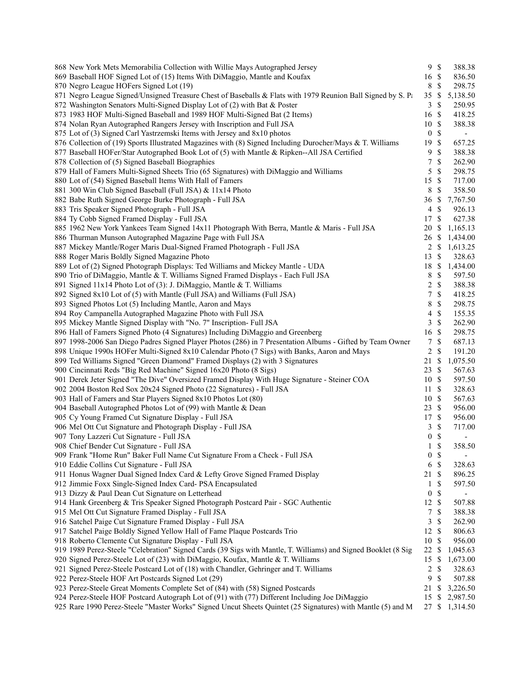| 868 New York Mets Memorabilia Collection with Willie Mays Autographed Jersey                                  | 9S                               | 388.38                   |
|---------------------------------------------------------------------------------------------------------------|----------------------------------|--------------------------|
| 869 Baseball HOF Signed Lot of (15) Items With DiMaggio, Mantle and Koufax                                    | 16 \$                            | 836.50                   |
| 870 Negro League HOFers Signed Lot (19)                                                                       | 8<br>\$                          | 298.75                   |
| 871 Negro League Signed/Unsigned Treasure Chest of Baseballs & Flats with 1979 Reunion Ball Signed by S. Pa   | 35<br>$\mathbb{S}$               | 5,138.50                 |
| 872 Washington Senators Multi-Signed Display Lot of (2) with Bat & Poster                                     | $\mathbb{S}$<br>3                | 250.95                   |
| 873 1983 HOF Multi-Signed Baseball and 1989 HOF Multi-Signed Bat (2 Items)                                    | 16 \$                            | 418.25                   |
| 874 Nolan Ryan Autographed Rangers Jersey with Inscription and Full JSA                                       | 10S                              | 388.38                   |
| 875 Lot of (3) Signed Carl Yastrzemski Items with Jersey and 8x10 photos                                      | $\mathbb{S}$<br>$\boldsymbol{0}$ | $\overline{\phantom{a}}$ |
| 876 Collection of (19) Sports Illustrated Magazines with (8) Signed Including Durocher/Mays & T. Williams     | $\mathbb{S}$<br>19               | 657.25                   |
| 877 Baseball HOFer/Star Autographed Book Lot of (5) with Mantle & Ripken--All JSA Certified                   | 9<br>$\mathcal{S}$               | 388.38                   |
| 878 Collection of (5) Signed Baseball Biographies                                                             | $\boldsymbol{7}$<br>$\mathbb{S}$ | 262.90                   |
| 879 Hall of Famers Multi-Signed Sheets Trio (65 Signatures) with DiMaggio and Williams                        | 5<br>$\mathbb S$                 | 298.75                   |
| 880 Lot of (54) Signed Baseball Items With Hall of Famers                                                     | 15<br>$\mathbb{S}$               | 717.00                   |
| 881 300 Win Club Signed Baseball (Full JSA) & 11x14 Photo                                                     | 8<br>\$                          | 358.50                   |
| 882 Babe Ruth Signed George Burke Photograph - Full JSA                                                       | \$<br>36                         | 7,767.50                 |
| 883 Tris Speaker Signed Photograph - Full JSA                                                                 | 4<br>$\mathbb{S}$                | 926.13                   |
| 884 Ty Cobb Signed Framed Display - Full JSA                                                                  | $\mathbb{S}$<br>17               | 627.38                   |
| 885 1962 New York Yankees Team Signed 14x11 Photograph With Berra, Mantle & Maris - Full JSA                  | \$<br>20                         | 1,165.13                 |
| 886 Thurman Munson Autographed Magazine Page with Full JSA                                                    |                                  | 26 \$ 1,434.00           |
| 887 Mickey Mantle/Roger Maris Dual-Signed Framed Photograph - Full JSA                                        |                                  | 2 \$ 1,613.25            |
| 888 Roger Maris Boldly Signed Magazine Photo                                                                  | 13<br><sup>\$</sup>              | 328.63                   |
| 889 Lot of (2) Signed Photograph Displays: Ted Williams and Mickey Mantle - UDA                               | 18<br>\$                         | 1,434.00                 |
| 890 Trio of DiMaggio, Mantle & T. Williams Signed Framed Displays - Each Full JSA                             | $\mathbb S$<br>8                 | 597.50                   |
|                                                                                                               | $\mathsf{\$}$<br>$\overline{c}$  | 388.38                   |
| 891 Signed 11x14 Photo Lot of (3): J. DiMaggio, Mantle & T. Williams                                          | $\mathcal{S}$                    |                          |
| 892 Signed 8x10 Lot of (5) with Mantle (Full JSA) and Williams (Full JSA)                                     | $\boldsymbol{7}$                 | 418.25                   |
| 893 Signed Photos Lot (5) Including Mantle, Aaron and Mays                                                    | 8<br>$\mathbb{S}$                | 298.75                   |
| 894 Roy Campanella Autographed Magazine Photo with Full JSA                                                   | $\mathbb{S}$<br>4                | 155.35                   |
| 895 Mickey Mantle Signed Display with "No. 7" Inscription- Full JSA                                           | 3<br>$\mathbb{S}$                | 262.90                   |
| 896 Hall of Famers Signed Photo (4 Signatures) Including DiMaggio and Greenberg                               | $\mathbb{S}$<br>16               | 298.75                   |
| 897 1998-2006 San Diego Padres Signed Player Photos (286) in 7 Presentation Albums - Gifted by Team Owner     | $\mathbb S$<br>7                 | 687.13                   |
| 898 Unique 1990s HOFer Multi-Signed 8x10 Calendar Photo (7 Sigs) with Banks, Aaron and Mays                   | 2<br>$\mathcal{S}$               | 191.20                   |
| 899 Ted Williams Signed "Green Diamond" Framed Displays (2) with 3 Signatures                                 | \$<br>21                         | 1,075.50                 |
| 900 Cincinnati Reds "Big Red Machine" Signed 16x20 Photo (8 Sigs)                                             | \$<br>23                         | 567.63                   |
| 901 Derek Jeter Signed "The Dive" Oversized Framed Display With Huge Signature - Steiner COA                  | $\mathbb{S}$<br>10               | 597.50                   |
| 902 2004 Boston Red Sox 20x24 Signed Photo (22 Signatures) - Full JSA                                         | $\mathbb{S}$<br>11               | 328.63                   |
| 903 Hall of Famers and Star Players Signed 8x10 Photos Lot (80)                                               | 10S                              | 567.63                   |
| 904 Baseball Autographed Photos Lot of (99) with Mantle & Dean                                                | 23<br>-S                         | 956.00                   |
| 905 Cy Young Framed Cut Signature Display - Full JSA                                                          | 17 \$                            | 956.00                   |
| 906 Mel Ott Cut Signature and Photograph Display - Full JSA                                                   | 3<br>$\mathbb{S}$                | 717.00                   |
| 907 Tony Lazzeri Cut Signature - Full JSA                                                                     | $\mathbb S$<br>$\boldsymbol{0}$  | $\overline{\phantom{a}}$ |
| 908 Chief Bender Cut Signature - Full JSA                                                                     | $\mathcal{S}$<br>$\mathbf{1}$    | 358.50                   |
| 909 Frank "Home Run" Baker Full Name Cut Signature From a Check - Full JSA                                    | 0 S                              | $\overline{\phantom{a}}$ |
| 910 Eddie Collins Cut Signature - Full JSA                                                                    | 6 <sup>°</sup>                   | 328.63                   |
| 911 Honus Wagner Dual Signed Index Card & Lefty Grove Signed Framed Display                                   | 21 \$                            | 896.25                   |
| 912 Jimmie Foxx Single-Signed Index Card-PSA Encapsulated                                                     | \$<br>1                          | 597.50                   |
| 913 Dizzy & Paul Dean Cut Signature on Letterhead                                                             | $\boldsymbol{0}$<br>$\mathbb{S}$ |                          |
| 914 Hank Greenberg & Tris Speaker Signed Photograph Postcard Pair - SGC Authentic                             | 12 \$                            | 507.88                   |
| 915 Mel Ott Cut Signature Framed Display - Full JSA                                                           | $\mathbb{S}$<br>7                | 388.38                   |
| 916 Satchel Paige Cut Signature Framed Display - Full JSA                                                     | 3<br>$\mathbb{S}$                | 262.90                   |
| 917 Satchel Paige Boldly Signed Yellow Hall of Fame Plaque Postcards Trio                                     | 12<br>\$                         | 806.63                   |
| 918 Roberto Clemente Cut Signature Display - Full JSA                                                         | $10\,$<br>$\mathbb{S}$           | 956.00                   |
| 919 1989 Perez-Steele "Celebration" Signed Cards (39 Sigs with Mantle, T. Williams) and Signed Booklet (8 Sig | 22<br>\$                         | 1,045.63                 |
| 920 Signed Perez-Steele Lot of (23) with DiMaggio, Koufax, Mantle & T. Williams                               | $\mathbb{S}$<br>15               | 1,673.00                 |
| 921 Signed Perez-Steele Postcard Lot of (18) with Chandler, Gehringer and T. Williams                         | $\mathbb S$<br>2                 | 328.63                   |
| 922 Perez-Steele HOF Art Postcards Signed Lot (29)                                                            | 9<br>\$                          | 507.88                   |
| 923 Perez-Steele Great Moments Complete Set of (84) with (58) Signed Postcards                                | 21<br>\$                         | 3,226.50                 |
| 924 Perez-Steele HOF Postcard Autograph Lot of (91) with (77) Different Including Joe DiMaggio                | 15                               | \$2,987.50               |
| 925 Rare 1990 Perez-Steele "Master Works" Signed Uncut Sheets Quintet (25 Signatures) with Mantle (5) and M   |                                  | 27 \$ 1,314.50           |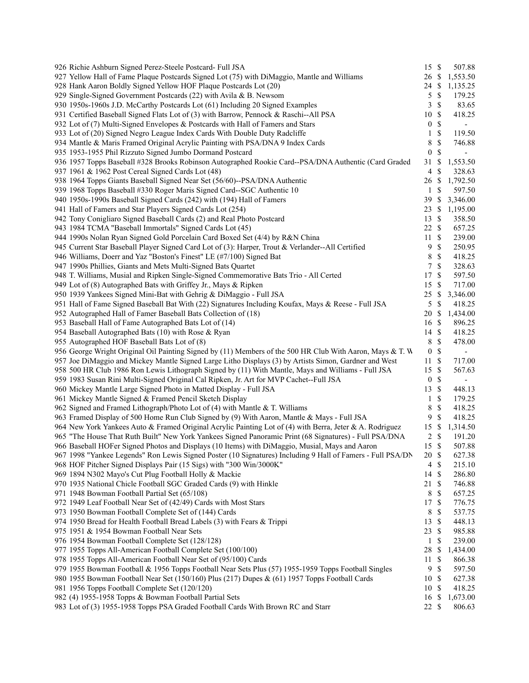| 926 Richie Ashburn Signed Perez-Steele Postcard- Full JSA                                                                             | $15 \text{ }$ \$   | 507.88                                   |  |
|---------------------------------------------------------------------------------------------------------------------------------------|--------------------|------------------------------------------|--|
| 927 Yellow Hall of Fame Plaque Postcards Signed Lot (75) with DiMaggio, Mantle and Williams                                           | 26 \$              | 1,553.50                                 |  |
| 928 Hank Aaron Boldly Signed Yellow HOF Plaque Postcards Lot (20)                                                                     |                    | 24 \$ 1,135.25                           |  |
| 929 Single-Signed Government Postcards (22) with Avila & B. Newsom                                                                    | $5 \text{ }$ \$    | 179.25                                   |  |
| 930 1950s-1960s J.D. McCarthy Postcards Lot (61) Including 20 Signed Examples                                                         | 3                  | <sup>\$</sup><br>83.65                   |  |
| 931 Certified Baseball Signed Flats Lot of (3) with Barrow, Pennock & Raschi--All PSA                                                 | 10S                | 418.25                                   |  |
| 932 Lot of (7) Multi-Signed Envelopes & Postcards with Hall of Famers and Stars                                                       | 0 <sup>5</sup>     | $\overline{\phantom{a}}$                 |  |
| 933 Lot of (20) Signed Negro League Index Cards With Double Duty Radcliffe                                                            | $1 \text{ }$       | 119.50                                   |  |
| 934 Mantle & Maris Framed Original Acrylic Painting with PSA/DNA 9 Index Cards                                                        | 8                  | $\mathbb{S}$<br>746.88                   |  |
| 935 1953-1955 Phil Rizzuto Signed Jumbo Dormand Postcard                                                                              | $\overline{0}$     | $\mathbb{S}$<br>$\overline{\phantom{a}}$ |  |
| 936 1957 Topps Baseball #328 Brooks Robinson Autographed Rookie Card--PSA/DNA Authentic (Card Graded                                  | 31 S               | 1,553.50                                 |  |
| 937 1961 & 1962 Post Cereal Signed Cards Lot (48)                                                                                     | $\overline{4}$     | <sup>\$</sup><br>328.63                  |  |
| 938 1964 Topps Giants Baseball Signed Near Set (56/60)--PSA/DNA Authentic                                                             | 26 \$              | 1,792.50                                 |  |
| 939 1968 Topps Baseball #330 Roger Maris Signed Card--SGC Authentic 10                                                                | $1 \text{ }$       | 597.50                                   |  |
| 940 1950s-1990s Baseball Signed Cards (242) with (194) Hall of Famers                                                                 |                    | 39 \$ 3,346.00                           |  |
| 941 Hall of Famers and Star Players Signed Cards Lot (254)                                                                            |                    | 23 \$ 1,195.00                           |  |
| 942 Tony Conigliaro Signed Baseball Cards (2) and Real Photo Postcard                                                                 | 13 \$              | 358.50                                   |  |
| 943 1984 TCMA "Baseball Immortals" Signed Cards Lot (45)                                                                              | $22 \text{ }$      | 657.25                                   |  |
| 944 1990s Nolan Ryan Signed Gold Porcelain Card Boxed Set (4/4) by R&N China                                                          | 11S                | 239.00                                   |  |
|                                                                                                                                       | 9 <sup>°</sup>     | 250.95                                   |  |
| 945 Current Star Baseball Player Signed Card Lot of (3): Harper, Trout & Verlander--All Certified                                     |                    | <sup>\$</sup><br>418.25                  |  |
| 946 Williams, Doerr and Yaz "Boston's Finest" LE (#7/100) Signed Bat<br>947 1990s Phillies, Giants and Mets Multi-Signed Bats Quartet | 8<br>7S            |                                          |  |
|                                                                                                                                       |                    | 328.63                                   |  |
| 948 T. Williams, Musial and Ripken Single-Signed Commemorative Bats Trio - All Certed                                                 | 17 \$<br>15S       | 597.50                                   |  |
| 949 Lot of (8) Autographed Bats with Griffey Jr., Mays & Ripken                                                                       |                    | 717.00                                   |  |
| 950 1939 Yankees Signed Mini-Bat with Gehrig & DiMaggio - Full JSA                                                                    |                    | 25 \$ 3,346.00                           |  |
| 951 Hall of Fame Signed Baseball Bat With (22) Signatures Including Koufax, Mays & Reese - Full JSA                                   | $5 \text{ }$ \$    | 418.25                                   |  |
| 952 Autographed Hall of Famer Baseball Bats Collection of (18)                                                                        | 20 \$              | 1,434.00                                 |  |
| 953 Baseball Hall of Fame Autographed Bats Lot of (14)                                                                                | $16 \text{ }$ \$   | 896.25                                   |  |
| 954 Baseball Autographed Bats (10) with Rose & Ryan                                                                                   | $14 \text{ }$ \$   | 418.25                                   |  |
| 955 Autographed HOF Baseball Bats Lot of (8)                                                                                          | 8 \$               | 478.00                                   |  |
| 956 George Wright Original Oil Painting Signed by (11) Members of the 500 HR Club With Aaron, Mays & T. W                             | $\mathbf{0}$       | $\mathbb{S}$<br>$\overline{\phantom{a}}$ |  |
| 957 Joe DiMaggio and Mickey Mantle Signed Large Litho Displays (3) by Artists Simon, Gardner and West                                 | $11 \text{ }$ \$   | 717.00                                   |  |
| 958 500 HR Club 1986 Ron Lewis Lithograph Signed by (11) With Mantle, Mays and Williams - Full JSA                                    | 15S                | 567.63                                   |  |
| 959 1983 Susan Rini Multi-Signed Original Cal Ripken, Jr. Art for MVP Cachet--Full JSA                                                | 0 <sup>5</sup>     | $\overline{\phantom{a}}$                 |  |
| 960 Mickey Mantle Large Signed Photo in Matted Display - Full JSA                                                                     | $13 \text{ }$ \$   | 448.13                                   |  |
| 961 Mickey Mantle Signed & Framed Pencil Sketch Display                                                                               | $1 \text{ }$       | 179.25                                   |  |
| 962 Signed and Framed Lithograph/Photo Lot of (4) with Mantle & T. Williams                                                           | $\mathcal{S}$<br>8 | 418.25                                   |  |
| 963 Framed Display of 500 Home Run Club Signed by (9) With Aaron, Mantle & Mays - Full JSA                                            | 9                  | <sup>\$</sup><br>418.25                  |  |
| 964 New York Yankees Auto & Framed Original Acrylic Painting Lot of (4) with Berra, Jeter & A. Rodriguez                              | 15S                | 1,314.50                                 |  |
| 965 "The House That Ruth Built" New York Yankees Signed Panoramic Print (68 Signatures) - Full PSA/DNA                                | 2 S                | 191.20                                   |  |
| 966 Baseball HOFer Signed Photos and Displays (10 Items) with DiMaggio, Musial, Mays and Aaron                                        | 15S                | 507.88                                   |  |
| 967 1998 "Yankee Legends" Ron Lewis Signed Poster (10 Signatures) Including 9 Hall of Famers - Full PSA/DN                            | 20 \$              | 627.38                                   |  |
| 968 HOF Pitcher Signed Displays Pair (15 Sigs) with "300 Win/3000K"                                                                   | 4S                 | 215.10                                   |  |
| 969 1894 N302 Mayo's Cut Plug Football Holly & Mackie                                                                                 | $14 \text{ }$ \$   | 286.80                                   |  |
| 970 1935 National Chicle Football SGC Graded Cards (9) with Hinkle                                                                    | 21 \$              | 746.88                                   |  |
| 971 1948 Bowman Football Partial Set (65/108)                                                                                         | 8 \$               | 657.25                                   |  |
| 972 1949 Leaf Football Near Set of (42/49) Cards with Most Stars                                                                      | 17S                | 776.75                                   |  |
| 973 1950 Bowman Football Complete Set of (144) Cards                                                                                  | 8 \$               | 537.75                                   |  |
| 974 1950 Bread for Health Football Bread Labels (3) with Fears & Trippi                                                               | 13S                | 448.13                                   |  |
| 975 1951 & 1954 Bowman Football Near Sets                                                                                             | 23S                | 985.88                                   |  |
| 976 1954 Bowman Football Complete Set (128/128)                                                                                       | $\mathbf{1}$       | <sup>\$</sup><br>239.00                  |  |
| 977 1955 Topps All-American Football Complete Set (100/100)                                                                           | 28 \$              | 1,434.00                                 |  |
| 978 1955 Topps All-American Football Near Set of (95/100) Cards                                                                       | $11 \text{ }$ \$   | 866.38                                   |  |
| 979 1955 Bowman Football & 1956 Topps Football Near Sets Plus (57) 1955-1959 Topps Football Singles                                   | 9 <sup>°</sup>     | 597.50                                   |  |
| 980 1955 Bowman Football Near Set (150/160) Plus (217) Dupes & (61) 1957 Topps Football Cards                                         | $10 \text{ }$ \$   | 627.38                                   |  |
| 981 1956 Topps Football Complete Set (120/120)                                                                                        | 10S                | 418.25                                   |  |
| 982 (4) 1955-1958 Topps & Bowman Football Partial Sets                                                                                | 16S                | 1,673.00                                 |  |
| 983 Lot of (3) 1955-1958 Topps PSA Graded Football Cards With Brown RC and Starr                                                      | $22 \text{ }$      | 806.63                                   |  |
|                                                                                                                                       |                    |                                          |  |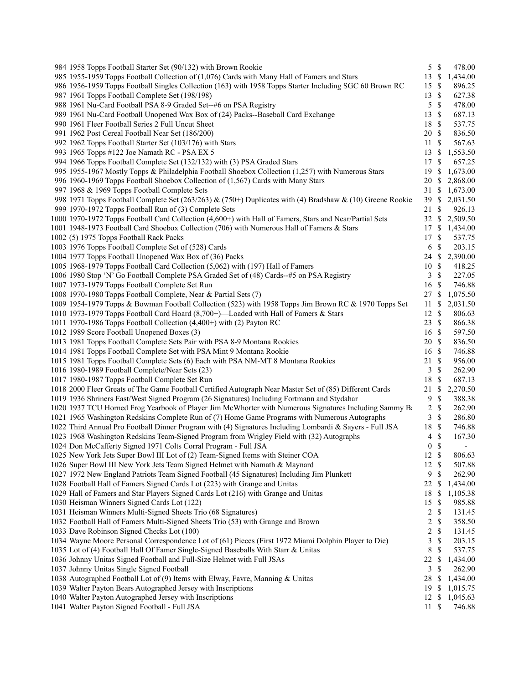| 984 1958 Topps Football Starter Set (90/132) with Brown Rookie                                            |                         | $5 \text{ }$ \$           | 478.00   |
|-----------------------------------------------------------------------------------------------------------|-------------------------|---------------------------|----------|
| 985 1955-1959 Topps Football Collection of (1,076) Cards with Many Hall of Famers and Stars               | 13                      | -\$                       | 1,434.00 |
| 986 1956-1959 Topps Football Singles Collection (163) with 1958 Topps Starter Including SGC 60 Brown RC   | 15                      | $\mathbb{S}$              | 896.25   |
| 987 1961 Topps Football Complete Set (198/198)                                                            | 13                      | \$                        | 627.38   |
| 988 1961 Nu-Card Football PSA 8-9 Graded Set--#6 on PSA Registry                                          | 5                       | \$                        | 478.00   |
| 989 1961 Nu-Card Football Unopened Wax Box of (24) Packs--Baseball Card Exchange                          | 13                      | $\mathbb{S}$              | 687.13   |
| 990 1961 Fleer Football Series 2 Full Uncut Sheet                                                         | 18                      | \$                        | 537.75   |
| 991 1962 Post Cereal Football Near Set (186/200)                                                          | 20                      | $\mathbf{\$}$             | 836.50   |
| 992 1962 Topps Football Starter Set (103/176) with Stars                                                  | 11                      | \$                        | 567.63   |
| 993 1965 Topps #122 Joe Namath RC - PSA EX 5                                                              | 13                      | -S                        | 1,553.50 |
| 994 1966 Topps Football Complete Set (132/132) with (3) PSA Graded Stars                                  | 17                      | \$                        | 657.25   |
| 995 1955-1967 Mostly Topps & Philadelphia Football Shoebox Collection (1,257) with Numerous Stars         | 19                      | \$                        | 1,673.00 |
| 996 1960-1969 Topps Football Shoebox Collection of (1,567) Cards with Many Stars                          | 20                      | -S                        | 2,868.00 |
| 997 1968 & 1969 Topps Football Complete Sets                                                              | 31 \$                   |                           | 1,673.00 |
| 998 1971 Topps Football Complete Set (263/263) & (750+) Duplicates with (4) Bradshaw & (10) Greene Rookie | 39                      | -S                        | 2,031.50 |
| 999 1970-1972 Topps Football Run of (3) Complete Sets                                                     | 21                      | -S                        | 926.13   |
| 1000 1970-1972 Topps Football Card Collection (4,600+) with Hall of Famers, Stars and Near/Partial Sets   | 32                      | <sup>\$</sup>             | 2,509.50 |
| 1001 1948-1973 Football Card Shoebox Collection (706) with Numerous Hall of Famers & Stars                | 17 \$                   |                           | 1,434.00 |
| 1002 (5) 1975 Topps Football Rack Packs                                                                   | 17                      | $\mathbb{S}$              | 537.75   |
| 1003 1976 Topps Football Complete Set of (528) Cards                                                      | 6                       | $\mathbb{S}$              | 203.15   |
| 1004 1977 Topps Football Unopened Wax Box of (36) Packs                                                   | 24                      | \$                        | 2,390.00 |
| 1005 1968-1979 Topps Football Card Collection (5,062) with (197) Hall of Famers                           | 10                      | -S                        | 418.25   |
| 1006 1980 Stop 'N' Go Football Complete PSA Graded Set of (48) Cards--#5 on PSA Registry                  | 3                       | \$                        | 227.05   |
|                                                                                                           | 16 \$                   |                           |          |
| 1007 1973-1979 Topps Football Complete Set Run                                                            |                         |                           | 746.88   |
| 1008 1970-1980 Topps Football Complete, Near & Partial Sets (7)                                           | 27 \$                   |                           | 1,075.50 |
| 1009 1954-1979 Topps & Bowman Football Collection (523) with 1958 Topps Jim Brown RC & 1970 Topps Set     | 11                      | \$                        | 2,031.50 |
| 1010 1973-1979 Topps Football Card Hoard (8,700+)—Loaded with Hall of Famers & Stars                      | 12                      | $\mathcal{S}$             | 806.63   |
| 1011 1970-1986 Topps Football Collection (4,400+) with (2) Payton RC                                      | 23                      | <sup>\$</sup>             | 866.38   |
| 1012 1989 Score Football Unopened Boxes (3)                                                               | 16                      | $\mathbf{\$}$             | 597.50   |
| 1013 1981 Topps Football Complete Sets Pair with PSA 8-9 Montana Rookies                                  | 20                      | $\mathbb{S}$              | 836.50   |
| 1014 1981 Topps Football Complete Set with PSA Mint 9 Montana Rookie                                      | 16                      | $\mathcal{S}$             | 746.88   |
| 1015 1981 Topps Football Complete Sets (6) Each with PSA NM-MT 8 Montana Rookies                          | 21                      | $\mathbf{\$}$             | 956.00   |
| 1016 1980-1989 Football Complete/Near Sets (23)                                                           | 3                       | \$                        | 262.90   |
| 1017 1980-1987 Topps Football Complete Set Run                                                            | 18                      | \$                        | 687.13   |
| 1018 2000 Fleer Greats of The Game Football Certified Autograph Near Master Set of (85) Different Cards   | 21                      | \$                        | 2,270.50 |
| 1019 1936 Shriners East/West Signed Program (26 Signatures) Including Fortmann and Stydahar               | 9                       | \$                        | 388.38   |
| 1020 1937 TCU Horned Frog Yearbook of Player Jim McWhorter with Numerous Signatures Including Sammy Ba    | 2                       | $\mathbb{S}$              | 262.90   |
| 1021 1965 Washington Redskins Complete Run of (7) Home Game Programs with Numerous Autographs             | 3                       | \$                        | 286.80   |
| 1022 Third Annual Pro Football Dinner Program with (4) Signatures Including Lombardi & Sayers - Full JSA  | 18                      | $\mathbb{S}$              | 746.88   |
| 1023 1968 Washington Redskins Team-Signed Program from Wrigley Field with (32) Autographs                 | 4                       | \$                        | 167.30   |
| 1024 Don McCafferty Signed 1971 Colts Corral Program - Full JSA                                           | $\boldsymbol{0}$        | \$                        |          |
| 1025 New York Jets Super Bowl III Lot of (2) Team-Signed Items with Steiner COA                           | 12 \$                   |                           | 806.63   |
| 1026 Super Bowl III New York Jets Team Signed Helmet with Namath & Maynard                                | 12                      | $\boldsymbol{\mathsf{S}}$ | 507.88   |
| 1027 1972 New England Patriots Team Signed Football (45 Signatures) Including Jim Plunkett                | $\overline{9}$          | $\mathbb{S}$              | 262.90   |
| 1028 Football Hall of Famers Signed Cards Lot (223) with Grange and Unitas                                | 22                      | \$                        | 1,434.00 |
| 1029 Hall of Famers and Star Players Signed Cards Lot (216) with Grange and Unitas                        | 18                      | \$                        | 1,105.38 |
| 1030 Heisman Winners Signed Cards Lot (122)                                                               | 15                      | -S                        | 985.88   |
| 1031 Heisman Winners Multi-Signed Sheets Trio (68 Signatures)                                             | $\overline{2}$          | $\mathbb{S}$              | 131.45   |
| 1032 Football Hall of Famers Multi-Signed Sheets Trio (53) with Grange and Brown                          | $\overline{\mathbf{c}}$ | \$                        | 358.50   |
| 1033 Dave Robinson Signed Checks Lot (100)                                                                | $\overline{c}$          | \$                        | 131.45   |
| 1034 Wayne Moore Personal Correspondence Lot of (61) Pieces (First 1972 Miami Dolphin Player to Die)      | 3                       | \$                        | 203.15   |
| 1035 Lot of (4) Football Hall Of Famer Single-Signed Baseballs With Starr & Unitas                        | $\,8\,$                 | \$                        | 537.75   |
| 1036 Johnny Unitas Signed Football and Full-Size Helmet with Full JSAs                                    | 22                      | \$                        | 1,434.00 |
| 1037 Johnny Unitas Single Signed Football                                                                 | 3                       | $\mathbb{S}$              | 262.90   |
| 1038 Autographed Football Lot of (9) Items with Elway, Favre, Manning & Unitas                            | 28                      | $\mathbb{S}$              | 1,434.00 |
| 1039 Walter Payton Bears Autographed Jersey with Inscriptions                                             | 19                      | -S                        | 1,015.75 |
| 1040 Walter Payton Autographed Jersey with Inscriptions                                                   | $12 \text{ }$ \$        |                           | 1,045.63 |
| 1041 Walter Payton Signed Football - Full JSA                                                             | 11                      | \$                        | 746.88   |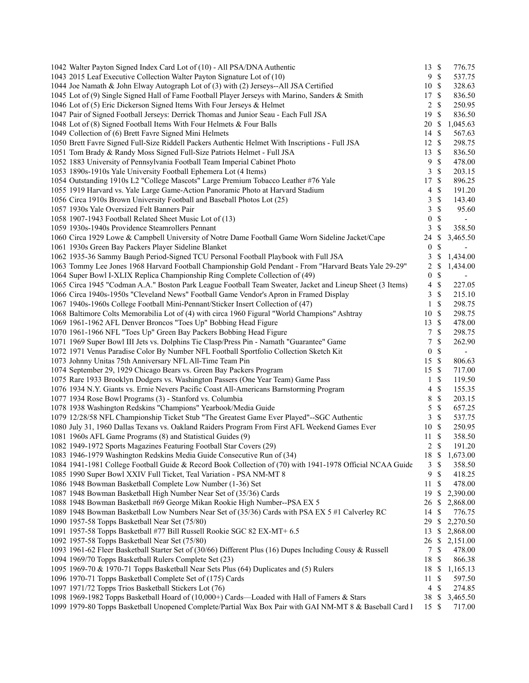| 1042 Walter Payton Signed Index Card Lot of (10) - All PSA/DNA Authentic                                  | 13 \$            |                    | 776.75                   |
|-----------------------------------------------------------------------------------------------------------|------------------|--------------------|--------------------------|
| 1043 2015 Leaf Executive Collection Walter Payton Signature Lot of (10)                                   | 9S               |                    | 537.75                   |
| 1044 Joe Namath & John Elway Autograph Lot of (3) with (2) Jerseys--All JSA Certified                     | 10               | $\mathcal{S}$      | 328.63                   |
| 1045 Lot of (9) Single Signed Hall of Fame Football Player Jerseys with Marino, Sanders & Smith           | 17               | $\mathbb{S}$       | 836.50                   |
| 1046 Lot of (5) Eric Dickerson Signed Items With Four Jerseys & Helmet                                    | $\overline{c}$   | \$                 | 250.95                   |
| 1047 Pair of Signed Football Jerseys: Derrick Thomas and Junior Seau - Each Full JSA                      | 19               | $\mathcal{S}$      | 836.50                   |
| 1048 Lot of (8) Signed Football Items With Four Helmets & Four Balls                                      | 20               | $\mathbb{S}$       | 1,045.63                 |
| 1049 Collection of (6) Brett Favre Signed Mini Helmets                                                    | 14               | $\mathbb{S}$       | 567.63                   |
| 1050 Brett Favre Signed Full-Size Riddell Packers Authentic Helmet With Inscriptions - Full JSA           | 12S              |                    | 298.75                   |
| 1051 Tom Brady & Randy Moss Signed Full-Size Patriots Helmet - Full JSA                                   | 13               | $\mathcal{S}$      | 836.50                   |
| 1052 1883 University of Pennsylvania Football Team Imperial Cabinet Photo                                 | 9                | \$                 | 478.00                   |
| 1053 1890s-1910s Yale University Football Ephemera Lot (4 Items)                                          | 3                | $\mathbf{\hat{s}}$ | 203.15                   |
| 1054 Outstanding 1910s L2 "College Mascots" Large Premium Tobacco Leather #76 Yale                        | 17               | $\mathcal{S}$      | 896.25                   |
| 1055 1919 Harvard vs. Yale Large Game-Action Panoramic Photo at Harvard Stadium                           | 4                | \$                 | 191.20                   |
| 1056 Circa 1910s Brown University Football and Baseball Photos Lot (25)                                   | 3                | $\mathbb S$        | 143.40                   |
| 1057 1930s Yale Oversized Felt Banners Pair                                                               | 3                | $\mathbb{S}$       | 95.60                    |
| 1058 1907-1943 Football Related Sheet Music Lot of (13)                                                   | $\boldsymbol{0}$ | $\mathbb{S}$       |                          |
| 1059 1930s-1940s Providence Steamrollers Pennant                                                          | 3                | $\mathbb S$        | 358.50                   |
|                                                                                                           |                  |                    | 3,465.50                 |
| 1060 Circa 1929 Lowe & Campbell University of Notre Dame Football Game Worn Sideline Jacket/Cape          | 24               | \$                 |                          |
| 1061 1930s Green Bay Packers Player Sideline Blanket                                                      | $\boldsymbol{0}$ | \$                 | $\sim$                   |
| 1062 1935-36 Sammy Baugh Period-Signed TCU Personal Football Playbook with Full JSA                       | 3                | \$                 | 1,434.00                 |
| 1063 Tommy Lee Jones 1968 Harvard Football Championship Gold Pendant - From "Harvard Beats Yale 29-29"    | 2                | \$                 | 1,434.00                 |
| 1064 Super Bowl I-XLIX Replica Championship Ring Complete Collection of (49)                              | $\boldsymbol{0}$ | $\mathbb{S}$       |                          |
| 1065 Circa 1945 "Codman A.A." Boston Park League Football Team Sweater, Jacket and Lineup Sheet (3 Items) | $\overline{4}$   | $\mathbb S$        | 227.05                   |
| 1066 Circa 1940s-1950s "Cleveland News" Football Game Vendor's Apron in Framed Display                    | 3                | \$                 | 215.10                   |
| 1067 1940s-1960s College Football Mini-Pennant/Sticker Insert Collection of (47)                          | $\mathbf{1}$     | <sup>\$</sup>      | 298.75                   |
| 1068 Baltimore Colts Memorabilia Lot of (4) with circa 1960 Figural "World Champions" Ashtray             | 10               | \$                 | 298.75                   |
| 1069 1961-1962 AFL Denver Broncos "Toes Up" Bobbing Head Figure                                           | 13               | $\mathcal{S}$      | 478.00                   |
| 1070 1961-1966 NFL "Toes Up" Green Bay Packers Bobbing Head Figure                                        | 7                | $\mathbb{S}$       | 298.75                   |
| 1071 1969 Super Bowl III Jets vs. Dolphins Tie Clasp/Press Pin - Namath "Guarantee" Game                  | 7                | $\mathbb{S}$       | 262.90                   |
| 1072 1971 Venus Paradise Color By Number NFL Football Sportfolio Collection Sketch Kit                    | $\boldsymbol{0}$ | $\mathbb{S}$       | $\overline{\phantom{a}}$ |
| 1073 Johnny Unitas 75th Anniversary NFL All-Time Team Pin                                                 | 15               | $\mathcal{S}$      | 806.63                   |
| 1074 September 29, 1929 Chicago Bears vs. Green Bay Packers Program                                       | 15               | $\mathbb{S}$       | 717.00                   |
| 1075 Rare 1933 Brooklyn Dodgers vs. Washington Passers (One Year Team) Game Pass                          | $\mathbf{1}$     | \$                 | 119.50                   |
| 1076 1934 N.Y. Giants vs. Ernie Nevers Pacific Coast All-Americans Barnstorming Program                   | $\overline{4}$   | $\mathbb{S}$       | 155.35                   |
| 1077 1934 Rose Bowl Programs (3) - Stanford vs. Columbia                                                  | 8                | $\mathbb S$        | 203.15                   |
| 1078 1938 Washington Redskins "Champions" Yearbook/Media Guide                                            | 5                | $\mathcal{S}$      | 657.25                   |
| 1079 12/28/58 NFL Championship Ticket Stub "The Greatest Game Ever Played"--SGC Authentic                 | 3                | $\mathbb S$        | 537.75                   |
| 1080 July 31, 1960 Dallas Texans vs. Oakland Raiders Program From First AFL Weekend Games Ever            | 10               | $\mathcal{S}$      | 250.95                   |
| 1081 1960s AFL Game Programs (8) and Statistical Guides (9)                                               | 11               | $\mathbb{S}$       | 358.50                   |
| 1082 1949-1972 Sports Magazines Featuring Football Star Covers (29)                                       | 2                | \$                 | 191.20                   |
| 1083 1946-1979 Washington Redskins Media Guide Consecutive Run of (34)                                    | 18 \$            |                    | 1,673.00                 |
| 1084 1941-1981 College Football Guide & Record Book Collection of (70) with 1941-1978 Official NCAA Guide | 3                | \$                 | 358.50                   |
| 1085 1990 Super Bowl XXIV Full Ticket, Teal Variation - PSA NM-MT 8                                       | 9                | $\mathcal{S}$      | 418.25                   |
| 1086 1948 Bowman Basketball Complete Low Number (1-36) Set                                                | 11               | \$                 | 478.00                   |
| 1087 1948 Bowman Basketball High Number Near Set of (35/36) Cards                                         | 19               | \$                 | 2,390.00                 |
| 1088 1948 Bowman Basketball #69 George Mikan Rookie High Number--PSA EX 5                                 | 26               | \$                 | 2,868.00                 |
| 1089 1948 Bowman Basketball Low Numbers Near Set of (35/36) Cards with PSA EX 5 #1 Calverley RC           | 14               | \$                 | 776.75                   |
| 1090 1957-58 Topps Basketball Near Set (75/80)                                                            | 29               | $\mathbb{S}$       | 2,270.50                 |
| 1091 1957-58 Topps Basketball #77 Bill Russell Rookie SGC 82 EX-MT+ 6.5                                   | 13               | \$                 | 2,868.00                 |
| 1092 1957-58 Topps Basketball Near Set (75/80)                                                            | 26               | \$                 | 2,151.00                 |
| 1093 1961-62 Fleer Basketball Starter Set of (30/66) Different Plus (16) Dupes Including Cousy & Russell  | 7                | \$                 | 478.00                   |
| 1094 1969/70 Topps Basketball Rulers Complete Set (23)                                                    | 18               | $\mathbb{S}$       | 866.38                   |
| 1095 1969-70 & 1970-71 Topps Basketball Near Sets Plus (64) Duplicates and (5) Rulers                     | 18               | -\$                | 1,165.13                 |
|                                                                                                           |                  |                    |                          |
| 1096 1970-71 Topps Basketball Complete Set of (175) Cards                                                 | 11               | \$                 | 597.50                   |
| 1097 1971/72 Topps Trios Basketball Stickers Lot (76)                                                     | $\overline{4}$   | $\mathbb{S}$       | 274.85                   |
| 1098 1969-1982 Topps Basketball Hoard of (10,000+) Cards—Loaded with Hall of Famers & Stars               | 38 \$            |                    | 3,465.50                 |
| 1099 1979-80 Topps Basketball Unopened Complete/Partial Wax Box Pair with GAI NM-MT 8 & Baseball Card I   | 15S              |                    | 717.00                   |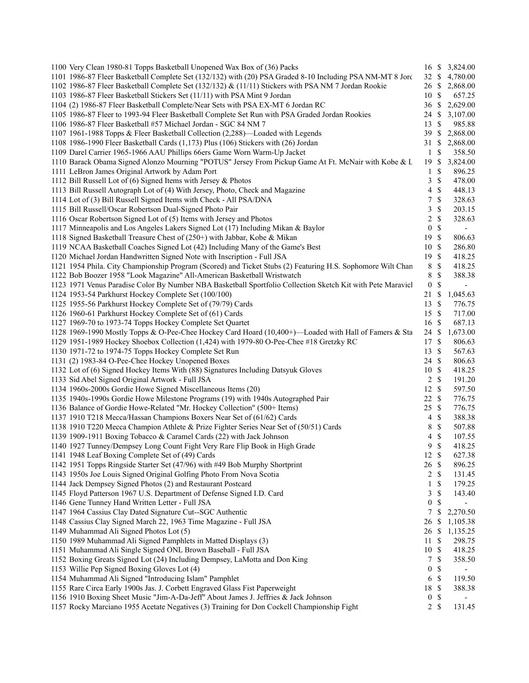| 1100 Very Clean 1980-81 Topps Basketball Unopened Wax Box of (36) Packs                                     | 16 S             |               | 3,824.00                 |
|-------------------------------------------------------------------------------------------------------------|------------------|---------------|--------------------------|
| 1101 1986-87 Fleer Basketball Complete Set (132/132) with (20) PSA Graded 8-10 Including PSA NM-MT 8 Jord   | 32 \$            |               | 4,780.00                 |
| 1102 1986-87 Fleer Basketball Complete Set (132/132) & (11/11) Stickers with PSA NM 7 Jordan Rookie         | 26 \$            |               | 2,868.00                 |
| 1103 1986-87 Fleer Basketball Stickers Set (11/11) with PSA Mint 9 Jordan                                   | 10               | $\mathbb{S}$  | 657.25                   |
| 1104 (2) 1986-87 Fleer Basketball Complete/Near Sets with PSA EX-MT 6 Jordan RC                             | 36               | -S            | 2,629.00                 |
| 1105 1986-87 Fleer to 1993-94 Fleer Basketball Complete Set Run with PSA Graded Jordan Rookies              | 24 \$            |               | 3,107.00                 |
| 1106 1986-87 Fleer Basketball #57 Michael Jordan - SGC 84 NM 7                                              | 13               | $\mathbb{S}$  | 985.88                   |
| 1107 1961-1988 Topps & Fleer Basketball Collection (2,288)—Loaded with Legends                              | 39               | $\mathbb{S}$  | 2,868.00                 |
| 1108 1986-1990 Fleer Basketball Cards (1,173) Plus (106) Stickers with (26) Jordan                          | 31               | \$            | 2,868.00                 |
| 1109 Darel Carrier 1965-1966 AAU Phillips 66ers Game Worn Warm-Up Jacket                                    | 1                | \$            | 358.50                   |
| 1110 Barack Obama Signed Alonzo Mourning "POTUS" Jersey From Pickup Game At Ft. McNair with Kobe & L        | 19               | <sup>\$</sup> | 3,824.00                 |
| 1111 LeBron James Original Artwork by Adam Port                                                             | $\mathbf{1}$     | \$            | 896.25                   |
| 1112 Bill Russell Lot of (6) Signed Items with Jersey & Photos                                              | 3                | \$            | 478.00                   |
| 1113 Bill Russell Autograph Lot of (4) With Jersey, Photo, Check and Magazine                               | 4                | \$            | 448.13                   |
| 1114 Lot of (3) Bill Russell Signed Items with Check - All PSA/DNA                                          | 7                | \$            | 328.63                   |
| 1115 Bill Russell/Oscar Robertson Dual-Signed Photo Pair                                                    | 3                | \$            | 203.15                   |
| 1116 Oscar Robertson Signed Lot of (5) Items with Jersey and Photos                                         | $\mathbf{2}$     | $\mathbb{S}$  | 328.63                   |
| 1117 Minneapolis and Los Angeles Lakers Signed Lot (17) Including Mikan & Baylor                            | $\boldsymbol{0}$ | $\mathbb S$   | $\overline{\phantom{a}}$ |
| 1118 Signed Basketball Treasure Chest of (250+) with Jabbar, Kobe & Mikan                                   | 19               | $\mathbb{S}$  | 806.63                   |
| 1119 NCAA Basketball Coaches Signed Lot (42) Including Many of the Game's Best                              | 10               | $\mathcal{S}$ | 286.80                   |
| 1120 Michael Jordan Handwritten Signed Note with Inscription - Full JSA                                     | 19               | $\mathcal{S}$ | 418.25                   |
| 1121 1954 Phila. City Championship Program (Scored) and Ticket Stubs (2) Featuring H.S. Sophomore Wilt Chan | $\,8\,$          | \$            | 418.25                   |
| 1122 Bob Boozer 1958 "Look Magazine" All-American Basketball Wristwatch                                     | $\,8\,$          | $\mathbb{S}$  | 388.38                   |
| 1123 1971 Venus Paradise Color By Number NBA Basketball Sportfolio Collection Sketch Kit with Pete Maravicl | $\boldsymbol{0}$ | \$            | $\blacksquare$           |
| 1124 1953-54 Parkhurst Hockey Complete Set (100/100)                                                        | 21               | $\mathbb{S}$  | 1,045.63                 |
| 1125 1955-56 Parkhurst Hockey Complete Set of (79/79) Cards                                                 | 13               | $\mathbb{S}$  | 776.75                   |
| 1126 1960-61 Parkhurst Hockey Complete Set of (61) Cards                                                    | 15               | $\mathbb{S}$  | 717.00                   |
| 1127 1969-70 to 1973-74 Topps Hockey Complete Set Quartet                                                   | 16               | $\mathcal{S}$ | 687.13                   |
| 1128 1969-1990 Mostly Topps & O-Pee-Chee Hockey Card Hoard (10,400+)—Loaded with Hall of Famers & Sta       | 24 \$            |               | 1,673.00                 |
| 1129 1951-1989 Hockey Shoebox Collection (1,424) with 1979-80 O-Pee-Chee #18 Gretzky RC                     | 17 \$            |               | 806.63                   |
| 1130 1971-72 to 1974-75 Topps Hockey Complete Set Run                                                       | 13               | $\mathbb{S}$  | 567.63                   |
| 1131 (2) 1983-84 O-Pee-Chee Hockey Unopened Boxes                                                           | 24               | -\$           | 806.63                   |
| 1132 Lot of (6) Signed Hockey Items With (88) Signatures Including Datsyuk Gloves                           | 10               | $\mathbb{S}$  | 418.25                   |
| 1133 Sid Abel Signed Original Artwork - Full JSA                                                            | $\overline{c}$   | <sup>\$</sup> | 191.20                   |
| 1134 1960s-2000s Gordie Howe Signed Miscellaneous Items (20)                                                | 12S              |               | 597.50                   |
| 1135 1940s-1990s Gordie Howe Milestone Programs (19) with 1940s Autographed Pair                            | 22               | $\mathcal{S}$ | 776.75                   |
| 1136 Balance of Gordie Howe-Related "Mr. Hockey Collection" (500+ Items)                                    | 25               | $\mathcal{S}$ | 776.75                   |
| 1137 1910 T218 Mecca/Hassan Champions Boxers Near Set of (61/62) Cards                                      | $\overline{4}$   | $\mathbb{S}$  | 388.38                   |
| 1138 1910 T220 Mecca Champion Athlete & Prize Fighter Series Near Set of (50/51) Cards                      | 8                | $\mathbb{S}$  | 507.88                   |
| 1139 1909-1911 Boxing Tobacco & Caramel Cards (22) with Jack Johnson                                        | 4                | $\mathbb{S}$  | 107.55                   |
| 1140 1927 Tunney/Dempsey Long Count Fight Very Rare Flip Book in High Grade                                 | 9                | \$            | 418.25                   |
| 1141 1948 Leaf Boxing Complete Set of (49) Cards                                                            | 12 \$            |               |                          |
|                                                                                                             | 26 \$            |               | 627.38                   |
| 1142 1951 Topps Ringside Starter Set (47/96) with #49 Bob Murphy Shortprint                                 |                  |               | 896.25                   |
| 1143 1950s Joe Louis Signed Original Golfing Photo From Nova Scotia                                         | $2 \sqrt{s}$     |               | 131.45                   |
| 1144 Jack Dempsey Signed Photos (2) and Restaurant Postcard                                                 | 1                | \$            | 179.25                   |
| 1145 Floyd Patterson 1967 U.S. Department of Defense Signed I.D. Card                                       | 3                | \$            | 143.40                   |
| 1146 Gene Tunney Hand Written Letter - Full JSA                                                             | $\boldsymbol{0}$ | \$            |                          |
| 1147 1964 Cassius Clay Dated Signature Cut--SGC Authentic                                                   | 7                | \$            | 2,270.50                 |
| 1148 Cassius Clay Signed March 22, 1963 Time Magazine - Full JSA                                            | 26               | \$            | 1,105.38                 |
| 1149 Muhammad Ali Signed Photos Lot (5)                                                                     | 26               | \$            | 1,135.25                 |
| 1150 1989 Muhammad Ali Signed Pamphlets in Matted Displays (3)                                              | 11               | \$            | 298.75                   |
| 1151 Muhammad Ali Single Signed ONL Brown Baseball - Full JSA                                               | 10               | $\mathbb{S}$  | 418.25                   |
| 1152 Boxing Greats Signed Lot (24) Including Dempsey, LaMotta and Don King                                  | 7                | \$            | 358.50                   |
| 1153 Willie Pep Signed Boxing Gloves Lot (4)                                                                | $\boldsymbol{0}$ | \$            |                          |
| 1154 Muhammad Ali Signed "Introducing Islam" Pamphlet                                                       | 6                | $\mathbb{S}$  | 119.50                   |
| 1155 Rare Circa Early 1900s Jas. J. Corbett Engraved Glass Fist Paperweight                                 | 18               | $\mathbb{S}$  | 388.38                   |
| 1156 1910 Boxing Sheet Music "Jim-A-Da-Jeff" About James J. Jeffries & Jack Johnson                         | $\boldsymbol{0}$ | \$            |                          |
| 1157 Rocky Marciano 1955 Acetate Negatives (3) Training for Don Cockell Championship Fight                  | $2 \sqrt{s}$     |               | 131.45                   |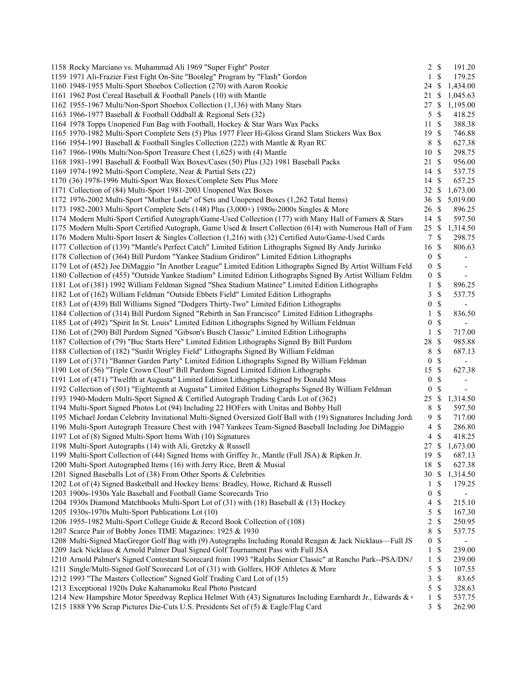| 1158 Rocky Marciano vs. Muhammad Ali 1969 "Super Fight" Poster                                                   | 2 S              |               | 191.20                   |  |
|------------------------------------------------------------------------------------------------------------------|------------------|---------------|--------------------------|--|
| 1159 1971 Ali-Frazier First Fight On-Site "Bootleg" Program by "Flash" Gordon                                    | $\mathbf{1}$     | $\mathcal{S}$ | 179.25                   |  |
| 1160 1948-1955 Multi-Sport Shoebox Collection (270) with Aaron Rookie                                            | 24               | \$            | 1,434.00                 |  |
| 1161 1962 Post Cereal Baseball & Football Panels (10) with Mantle                                                | 21               | \$            | 1,045.63                 |  |
| 1162 1955-1967 Multi/Non-Sport Shoebox Collection (1,136) with Many Stars                                        | 27               |               | \$1,195.00               |  |
| 1163 1966-1977 Baseball & Football Oddball & Regional Sets (32)                                                  | 5                | \$            | 418.25                   |  |
| 1164 1978 Topps Unopened Fun Bag with Football, Hockey & Star Wars Wax Packs                                     | 11               | \$            | 388.38                   |  |
| 1165 1970-1982 Multi-Sport Complete Sets (5) Plus 1977 Fleer Hi-Gloss Grand Slam Stickers Wax Box                | 19               | -S            | 746.88                   |  |
| 1166 1954-1991 Baseball & Football Singles Collection (222) with Mantle & Ryan RC                                | 8                | \$            | 627.38                   |  |
| 1167 1966-1990s Multi/Non-Sport Treasure Chest (1,625) with (4) Mantle                                           | 10               | -S            | 298.75                   |  |
| 1168 1981-1991 Baseball & Football Wax Boxes/Cases (50) Plus (32) 1981 Baseball Packs                            | 21               | $\mathcal{S}$ | 956.00                   |  |
| 1169 1974-1992 Multi-Sport Complete, Near & Partial Sets (22)                                                    | 14               | -\$           | 537.75                   |  |
| 1170 (36) 1978-1996 Multi-Sport Wax Boxes/Complete Sets Plus More                                                | 14               | $\mathcal{S}$ | 657.25                   |  |
| 1171 Collection of (84) Multi-Sport 1981-2003 Unopened Wax Boxes                                                 | 32               | \$            | 1,673.00                 |  |
| 1172 1976-2002 Multi-Sport "Mother Lode" of Sets and Unopened Boxes (1,262 Total Items)                          | 36               | \$            | 5,019.00                 |  |
| 1173 1982-2003 Multi-Sport Complete Sets (148) Plus (3,000+) 1980s-2000s Singles & More                          | 26               | -S            | 896.25                   |  |
| 1174 Modern Multi-Sport Certified Autograph/Game-Used Collection (177) with Many Hall of Famers & Stars          | 14               | -S            | 597.50                   |  |
| 1175 Modern Multi-Sport Certified Autograph, Game Used & Insert Collection (614) with Numerous Hall of Fam       |                  |               | 25 \$ 1,314.50           |  |
| 1176 Modern Multi-Sport Insert & Singles Collection (1,216) with (32) Certified Auto/Game-Used Cards             | $\tau$           | \$            | 298.75                   |  |
| 1177 Collection of (139) "Mantle's Perfect Catch" Limited Edition Lithographs Signed By Andy Jurinko             | 16               | \$            | 806.63                   |  |
| 1178 Collection of (364) Bill Purdom "Yankee Stadium Gridiron" Limited Edition Lithographs                       | $\boldsymbol{0}$ | \$            | $\blacksquare$           |  |
| 1179 Lot of (452) Joe DiMaggio "In Another League" Limited Edition Lithographs Signed By Artist William Feld     | $\boldsymbol{0}$ | \$            |                          |  |
| 1180 Collection of (455) "Outside Yankee Stadium" Limited Edition Lithographs Signed By Artist William Feldma    | $\boldsymbol{0}$ | \$            | $\overline{\phantom{a}}$ |  |
| 1181 Lot of (381) 1992 William Feldman Signed "Shea Stadium Matinee" Limited Edition Lithographs                 | $\mathbf{1}$     | \$            | 896.25                   |  |
| 1182 Lot of (162) William Feldman "Outside Ebbets Field" Limited Edition Lithographs                             | 3                | \$            | 537.75                   |  |
| 1183 Lot of (439) Bill Williams Signed "Dodgers Thirty-Two" Limited Edition Lithographs                          | 0                | \$            | $\overline{\phantom{a}}$ |  |
| 1184 Collection of (314) Bill Purdom Signed "Rebirth in San Francisco" Limited Edition Lithographs               | 1                | \$            | 836.50                   |  |
| 1185 Lot of (492) "Spirit In St. Louis" Limited Edition Lithographs Signed by William Feldman                    | 0                | \$            | $\overline{\phantom{a}}$ |  |
| 1186 Lot of (290) Bill Purdom Signed "Gibson's Busch Classic" Limited Edition Lithographs                        | $\mathbf{1}$     | \$            | 717.00                   |  |
| 1187 Collection of (79) "Buc Starts Here" Limited Edition Lithographs Signed By Bill Purdom                      | 28               | \$            | 985.88                   |  |
| 1188 Collection of (182) "Sunlit Wrigley Field" Lithographs Signed By William Feldman                            | 8                | \$            | 687.13                   |  |
| 1189 Lot of (371) "Banner Garden Party" Limited Edition Lithographs Signed By William Feldman                    | $\bf{0}$         | \$            | $\overline{\phantom{a}}$ |  |
| 1190 Lot of (56) "Triple Crown Clout" Bill Purdom Signed Limited Edition Lithographs                             | 15               | \$            | 627.38                   |  |
| 1191 Lot of (471) "Twelfth at Augusta" Limited Edition Lithographs Signed by Donald Moss                         | $\boldsymbol{0}$ | \$            | $\overline{\phantom{a}}$ |  |
| 1192 Collection of (501) "Eighteenth at Augusta" Limited Edition Lithographs Signed By William Feldman           | $\boldsymbol{0}$ | \$            | $\mathbf{r}$             |  |
| 1193 1940-Modern Multi-Sport Signed & Certified Autograph Trading Cards Lot of (362)                             | 25               | \$            | 1,314.50                 |  |
| 1194 Multi-Sport Signed Photos Lot (94) Including 22 HOFers with Unitas and Bobby Hull                           | 8                | \$            | 597.50                   |  |
| 1195 Michael Jordan Celebrity Invitational Multi-Signed Oversized Golf Ball with (19) Signatures Including Jorda | 9                | \$            | 717.00                   |  |
| 1196 Multi-Sport Autograph Treasure Chest with 1947 Yankees Team-Signed Baseball Including Joe DiMaggio          | 4                | \$            | 286.80                   |  |
| 1197 Lot of (8) Signed Multi-Sport Items With (10) Signatures                                                    | 4                | \$            | 418.25                   |  |
| 1198 Multi-Sport Autographs (14) with Ali, Gretzky & Russell                                                     |                  |               | 27 \$ 1,673.00           |  |
| 1199 Multi-Sport Collection of (44) Signed Items with Griffey Jr., Mantle (Full JSA) & Ripken Jr.                | 19               | $\mathcal{S}$ | 687.13                   |  |
| 1200 Multi-Sport Autographed Items (16) with Jerry Rice, Brett & Musial                                          | 18               | \$            | 627.38                   |  |
| 1201 Signed Baseballs Lot of (38) From Other Sports & Celebrities                                                | 30               | \$            | 1,314.50                 |  |
| 1202 Lot of (4) Signed Basketball and Hockey Items: Bradley, Howe, Richard & Russell                             | 1                | \$            | 179.25                   |  |
| 1203 1900s-1930s Yale Baseball and Football Game Scorecards Trio                                                 | 0                | \$            |                          |  |
| 1204 1930s Diamond Matchbooks Multi-Sport Lot of (31) with (18) Baseball & (13) Hockey                           | 4                | \$            | 215.10                   |  |
| 1205 1930s-1970s Multi-Sport Publications Lot (10)                                                               | 5                | \$            | 167.30                   |  |
| 1206 1955-1982 Multi-Sport College Guide & Record Book Collection of (108)                                       | 2                | \$            | 250.95                   |  |
| 1207 Scarce Pair of Bobby Jones TIME Magazines: 1925 & 1930                                                      | 8                | \$            | 537.75                   |  |
| 1208 Multi-Signed MacGregor Golf Bag with (9) Autographs Including Ronald Reagan & Jack Nicklaus—Full JS         | 0                | \$            | $\overline{\phantom{a}}$ |  |
| 1209 Jack Nicklaus & Arnold Palmer Dual Signed Golf Tournament Pass with Full JSA                                | 1                | \$            | 239.00                   |  |
| 1210 Arnold Palmer's Signed Contestant Scorecard from 1993 "Ralphs Senior Classic" at Rancho Park--PSA/DNA       | $\mathbf{1}$     | \$            | 239.00                   |  |
| 1211 Single/Multi-Signed Golf Scorecard Lot of (31) with Golfers, HOF Athletes & More                            | 5                | \$            | 107.55                   |  |
| 1212 1993 "The Masters Collection" Signed Golf Trading Card Lot of (15)                                          | 3                | \$            | 83.65                    |  |
| 1213 Exceptional 1920s Duke Kahanamoku Real Photo Postcard                                                       | 5                | \$            | 328.63                   |  |
| 1214 New Hampshire Motor Speedway Replica Helmet With (43) Signatures Including Earnhardt Jr., Edwards & O       | $\mathbf{1}$     | \$            | 537.75                   |  |
| 1215 1888 Y96 Scrap Pictures Die-Cuts U.S. Presidents Set of (5) & Eagle/Flag Card                               | 3S               |               | 262.90                   |  |
|                                                                                                                  |                  |               |                          |  |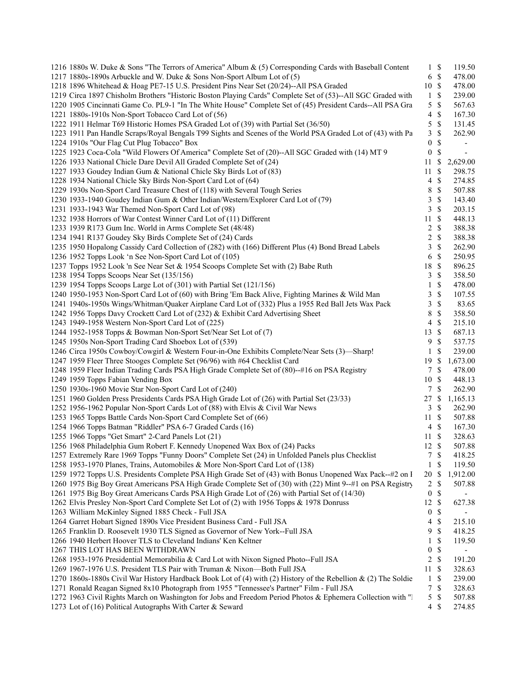| 1216 1880s W. Duke & Sons "The Terrors of America" Album & (5) Corresponding Cards with Baseball Content                                              | $1 \text{ }$                             | 119.50                   |  |
|-------------------------------------------------------------------------------------------------------------------------------------------------------|------------------------------------------|--------------------------|--|
| 1217 1880s-1890s Arbuckle and W. Duke & Sons Non-Sport Album Lot of (5)                                                                               | $6 \text{ }$ \$                          | 478.00                   |  |
| 1218 1896 Whitehead & Hoag PE7-15 U.S. President Pins Near Set (20/24)--All PSA Graded                                                                | 10S                                      | 478.00                   |  |
| 1219 Circa 1897 Chisholm Brothers "Historic Boston Playing Cards" Complete Set of (53)--All SGC Graded with                                           | $1 \text{ }$ \$                          | 239.00                   |  |
| 1220 1905 Cincinnati Game Co. PL9-1 "In The White House" Complete Set of (45) President Cards--All PSA Gra                                            | $\mathbb{S}$<br>5                        | 567.63                   |  |
| 1221 1880s-1910s Non-Sport Tobacco Card Lot of (56)                                                                                                   | $\mathbb{S}$<br>$\overline{\mathcal{A}}$ | 167.30                   |  |
| 1222 1911 Helmar T69 Historic Homes PSA Graded Lot of (39) with Partial Set (36/50)                                                                   | $\mathbb{S}$<br>5                        | 131.45                   |  |
| 1223 1911 Pan Handle Scraps/Royal Bengals T99 Sights and Scenes of the World PSA Graded Lot of (43) with Pa                                           | $\mathbb{S}$<br>3                        | 262.90                   |  |
| 1224 1910s "Our Flag Cut Plug Tobacco" Box                                                                                                            | \$<br>0                                  | $\overline{\phantom{a}}$ |  |
| 1225 1923 Coca-Cola "Wild Flowers Of America" Complete Set of (20)--All SGC Graded with (14) MT 9                                                     | $\boldsymbol{0}$<br>\$                   | $\overline{\phantom{a}}$ |  |
| 1226 1933 National Chicle Dare Devil All Graded Complete Set of (24)                                                                                  | $11 \text{ }$ \$                         | 2,629.00                 |  |
| 1227 1933 Goudey Indian Gum & National Chicle Sky Birds Lot of (83)                                                                                   | $\mathbb{S}$<br>11                       | 298.75                   |  |
| 1228 1934 National Chicle Sky Birds Non-Sport Card Lot of (64)                                                                                        | \$<br>4                                  | 274.85                   |  |
| 1229 1930s Non-Sport Card Treasure Chest of (118) with Several Tough Series                                                                           | $\mathbb{S}$<br>8                        | 507.88                   |  |
| 1230 1933-1940 Goudey Indian Gum & Other Indian/Western/Explorer Card Lot of (79)                                                                     | $\mathbb{S}$<br>3                        | 143.40                   |  |
| 1231 1933-1943 War Themed Non-Sport Card Lot of (98)                                                                                                  | $\mathcal{S}$<br>3                       | 203.15                   |  |
| 1232 1938 Horrors of War Contest Winner Card Lot of (11) Different                                                                                    | 11 \$                                    | 448.13                   |  |
| 1233 1939 R173 Gum Inc. World in Arms Complete Set (48/48)                                                                                            | $\mathbf{\hat{S}}$<br>$\overline{2}$     | 388.38                   |  |
| 1234 1941 R137 Goudey Sky Birds Complete Set of (24) Cards                                                                                            | $\mathbb{S}$<br>2                        | 388.38                   |  |
| 1235 1950 Hopalong Cassidy Card Collection of (282) with (166) Different Plus (4) Bond Bread Labels                                                   | $\mathcal{S}$<br>3                       | 262.90                   |  |
| 1236 1952 Topps Look 'n See Non-Sport Card Lot of (105)                                                                                               | $\mathbb{S}$<br>6                        | 250.95                   |  |
| 1237 Topps 1952 Look 'n See Near Set & 1954 Scoops Complete Set with (2) Babe Ruth                                                                    | $\mathcal{S}$<br>18                      | 896.25                   |  |
| 1238 1954 Topps Scoops Near Set (135/156)                                                                                                             | $\mathbb{S}$<br>3                        | 358.50                   |  |
| 1239 1954 Topps Scoops Large Lot of (301) with Partial Set (121/156)                                                                                  | $\mathbb{S}$<br>$\mathbf{1}$             | 478.00                   |  |
| 1240 1950-1953 Non-Sport Card Lot of (60) with Bring 'Em Back Alive, Fighting Marines & Wild Man                                                      | $\mathbb{S}$<br>3                        | 107.55                   |  |
| 1241 1940s-1950s Wings/Whitman/Quaker Airplane Card Lot of (332) Plus a 1955 Red Ball Jets Wax Pack                                                   | $\mathbb{S}$<br>3                        | 83.65                    |  |
| 1242 1956 Topps Davy Crockett Card Lot of (232) & Exhibit Card Advertising Sheet                                                                      | $\mathbb{S}$<br>8                        | 358.50                   |  |
| 1243 1949-1958 Western Non-Sport Card Lot of (225)                                                                                                    | $\mathbb{S}$<br>4                        | 215.10                   |  |
| 1244 1952-1958 Topps & Bowman Non-Sport Set/Near Set Lot of (7)                                                                                       | 13 \$                                    | 687.13                   |  |
| 1245 1950s Non-Sport Trading Card Shoebox Lot of (539)                                                                                                | $\mathbb{S}$<br>9                        | 537.75                   |  |
| 1246 Circa 1950s Cowboy/Cowgirl & Western Four-in-One Exhibits Complete/Near Sets (3)—Sharp!                                                          | <sup>\$</sup><br>1                       | 239.00                   |  |
| 1247 1959 Fleer Three Stooges Complete Set (96/96) with #64 Checklist Card                                                                            | 19S                                      | 1,673.00                 |  |
|                                                                                                                                                       | 7 \$                                     | 478.00                   |  |
| 1248 1959 Fleer Indian Trading Cards PSA High Grade Complete Set of (80)--#16 on PSA Registry<br>1249 1959 Topps Fabian Vending Box                   | 10 \$                                    | 448.13                   |  |
|                                                                                                                                                       | 7 \$                                     |                          |  |
| 1250 1930s-1960 Movie Star Non-Sport Card Lot of (240)<br>1251 1960 Golden Press Presidents Cards PSA High Grade Lot of (26) with Partial Set (23/33) |                                          | 262.90                   |  |
|                                                                                                                                                       | 27S                                      | 1,165.13                 |  |
| 1252 1956-1962 Popular Non-Sport Cards Lot of (88) with Elvis & Civil War News                                                                        | 3S                                       | 262.90                   |  |
| 1253 1965 Topps Battle Cards Non-Sport Card Complete Set of (66)                                                                                      | 11S                                      | 507.88                   |  |
| 1254 1966 Topps Batman "Riddler" PSA 6-7 Graded Cards (16)                                                                                            | $\mathbb{S}$<br>4                        | 167.30                   |  |
| 1255 1966 Topps "Get Smart" 2-Card Panels Lot (21)                                                                                                    | $\mathbb{S}$<br>11                       | 328.63                   |  |
| 1256 1968 Philadelphia Gum Robert F. Kennedy Unopened Wax Box of (24) Packs                                                                           | 12 \$                                    | 507.88                   |  |
| 1257 Extremely Rare 1969 Topps "Funny Doors" Complete Set (24) in Unfolded Panels plus Checklist                                                      | 7S                                       | 418.25                   |  |
| 1258 1953-1970 Planes, Trains, Automobiles & More Non-Sport Card Lot of (138)                                                                         | \$<br>$\mathbf{1}$                       | 119.50                   |  |
| 1259 1972 Topps U.S. Presidents Complete PSA High Grade Set of (43) with Bonus Unopened Wax Pack-+#2 on I                                             | 20 \$                                    | 1,912.00                 |  |
| 1260 1975 Big Boy Great Americans PSA High Grade Complete Set of (30) with (22) Mint 9--#1 on PSA Registry                                            | 2<br>\$                                  | 507.88                   |  |
| 1261 1975 Big Boy Great Americans Cards PSA High Grade Lot of (26) with Partial Set of (14/30)                                                        | $\boldsymbol{0}$<br>\$                   | $\overline{\phantom{0}}$ |  |
| 1262 Elvis Presley Non-Sport Card Complete Set Lot of (2) with 1956 Topps & 1978 Donruss                                                              | 12 \$                                    | 627.38                   |  |
| 1263 William McKinley Signed 1885 Check - Full JSA                                                                                                    | \$<br>$\bf{0}$                           | $\overline{\phantom{a}}$ |  |
| 1264 Garret Hobart Signed 1890s Vice President Business Card - Full JSA                                                                               | \$<br>4                                  | 215.10                   |  |
| 1265 Franklin D. Roosevelt 1930 TLS Signed as Governor of New York--Full JSA                                                                          | \$<br>9                                  | 418.25                   |  |
| 1266 1940 Herbert Hoover TLS to Cleveland Indians' Ken Keltner                                                                                        | \$<br>1                                  | 119.50                   |  |
| 1267 THIS LOT HAS BEEN WITHDRAWN                                                                                                                      | $\mathbb{S}$<br>0                        | $\overline{\phantom{a}}$ |  |
| 1268 1953-1976 Presidential Memorabilia & Card Lot with Nixon Signed Photo--Full JSA                                                                  | $\mathbb{S}$<br>2                        | 191.20                   |  |
| 1269 1967-1976 U.S. President TLS Pair with Truman & Nixon-Both Full JSA                                                                              | -S<br>11                                 | 328.63                   |  |
| 1270 1860s-1880s Civil War History Hardback Book Lot of (4) with (2) History of the Rebellion & (2) The Soldie                                        | \$<br>$\mathbf{1}$                       | 239.00                   |  |
| 1271 Ronald Reagan Signed 8x10 Photograph from 1955 "Tennessee's Partner" Film - Full JSA                                                             | \$<br>7                                  | 328.63                   |  |
| 1272 1963 Civil Rights March on Washington for Jobs and Freedom Period Photos & Ephemera Collection with "1                                           | $\mathbb{S}$<br>5                        | 507.88                   |  |
| 1273 Lot of (16) Political Autographs With Carter & Seward                                                                                            | $\mathbb{S}$<br>$\overline{4}$           | 274.85                   |  |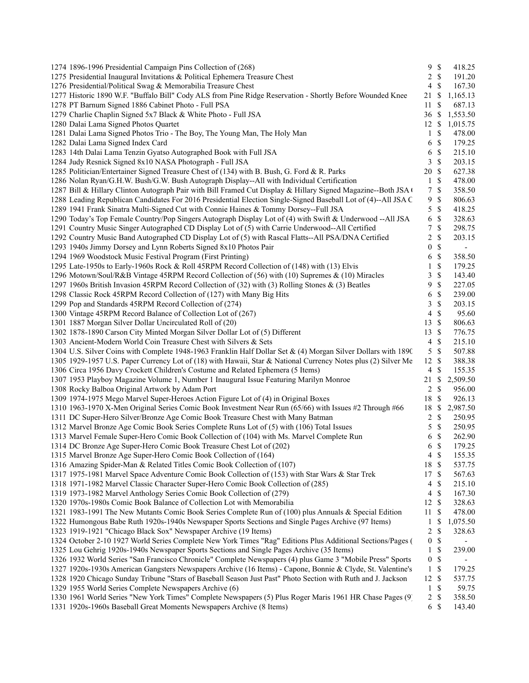| 1274 1896-1996 Presidential Campaign Pins Collection of (268)                                                  | 9S               |               | 418.25         |  |
|----------------------------------------------------------------------------------------------------------------|------------------|---------------|----------------|--|
| 1275 Presidential Inaugural Invitations & Political Ephemera Treasure Chest                                    | $2 \sqrt{s}$     |               | 191.20         |  |
| 1276 Presidential/Political Swag & Memorabilia Treasure Chest                                                  | 4                | $\mathcal{S}$ | 167.30         |  |
| 1277 Historic 1890 W.F. "Buffalo Bill" Cody ALS from Pine Ridge Reservation - Shortly Before Wounded Knee      | 21 \$            |               | 1,165.13       |  |
| 1278 PT Barnum Signed 1886 Cabinet Photo - Full PSA                                                            | 11               | -\$           | 687.13         |  |
| 1279 Charlie Chaplin Signed 5x7 Black & White Photo - Full JSA                                                 | 36S              |               | 1,553.50       |  |
| 1280 Dalai Lama Signed Photos Quartet                                                                          | $12 \text{ }$ \$ |               | 1,015.75       |  |
| 1281 Dalai Lama Signed Photos Trio - The Boy, The Young Man, The Holy Man                                      | 1 S              |               | 478.00         |  |
| 1282 Dalai Lama Signed Index Card                                                                              | 6S               |               | 179.25         |  |
| 1283 14th Dalai Lama Tenzin Gyatso Autographed Book with Full JSA                                              | 6                | $\mathcal{S}$ | 215.10         |  |
| 1284 Judy Resnick Signed 8x10 NASA Photograph - Full JSA                                                       | 3S               |               | 203.15         |  |
| 1285 Politician/Entertainer Signed Treasure Chest of (134) with B. Bush, G. Ford & R. Parks                    | 20 \$            |               | 627.38         |  |
| 1286 Nolan Ryan/G.H.W. Bush/G.W. Bush Autograph Display--All with Individual Certification                     | $1 \text{ }$ \$  |               | 478.00         |  |
| 1287 Bill & Hillary Clinton Autograph Pair with Bill Framed Cut Display & Hillary Signed Magazine--Both JSA (  | 7S               |               | 358.50         |  |
| 1288 Leading Republican Candidates For 2016 Presidential Election Single-Signed Baseball Lot of (4)--All JSA C | 9                | $\mathcal{S}$ | 806.63         |  |
| 1289 1941 Frank Sinatra Multi-Signed Cut with Connie Haines & Tommy Dorsey--Full JSA                           | 5                | $\mathcal{S}$ | 418.25         |  |
| 1290 Today's Top Female Country/Pop Singers Autograph Display Lot of (4) with Swift & Underwood --All JSA      | 6 <sup>°</sup>   |               | 328.63         |  |
| 1291 Country Music Singer Autographed CD Display Lot of (5) with Carrie Underwood--All Certified               | 7S               |               | 298.75         |  |
| 1292 Country Music Band Autographed CD Display Lot of (5) with Rascal Flatts--All PSA/DNA Certified            | $\overline{c}$   | \$            | 203.15         |  |
| 1293 1940s Jimmy Dorsey and Lynn Roberts Signed 8x10 Photos Pair                                               | 0                | $\mathcal{S}$ | $\blacksquare$ |  |
| 1294 1969 Woodstock Music Festival Program (First Printing)                                                    | 6 <sup>°</sup>   |               | 358.50         |  |
| 1295 Late-1950s to Early-1960s Rock & Roll 45RPM Record Collection of (148) with (13) Elvis                    | $1 \text{ }$ \$  |               | 179.25         |  |
| 1296 Motown/Soul/R&B Vintage 45RPM Record Collection of (56) with (10) Supremes & (10) Miracles                | 3                | $\mathcal{S}$ | 143.40         |  |
| 1297 1960s British Invasion 45RPM Record Collection of (32) with (3) Rolling Stones & (3) Beatles              | 9                | $\mathbb{S}$  | 227.05         |  |
|                                                                                                                |                  | $\mathcal{S}$ | 239.00         |  |
| 1298 Classic Rock 45RPM Record Collection of (127) with Many Big Hits                                          | 6                | $\mathbb{S}$  |                |  |
| 1299 Pop and Standards 45RPM Record Collection of (274)                                                        | 3<br>4           | $\mathbb{S}$  | 203.15         |  |
| 1300 Vintage 45RPM Record Balance of Collection Lot of (267)                                                   | $13 \text{ }$ \$ |               | 95.60          |  |
| 1301 1887 Morgan Silver Dollar Uncirculated Roll of (20)                                                       |                  |               | 806.63         |  |
| 1302 1878-1890 Carson City Minted Morgan Silver Dollar Lot of (5) Different                                    | 13 \$            |               | 776.75         |  |
| 1303 Ancient-Modern World Coin Treasure Chest with Silvers & Sets                                              | 4                | $\mathbb{S}$  | 215.10         |  |
| 1304 U.S. Silver Coins with Complete 1948-1963 Franklin Half Dollar Set & (4) Morgan Silver Dollars with 1890  | $5 \text{ }$ \$  |               | 507.88         |  |
| 1305 1929-1957 U.S. Paper Currency Lot of (18) with Hawaii, Star & National Currency Notes plus (2) Silver Me  | 12 \$            |               | 388.38         |  |
| 1306 Circa 1956 Davy Crockett Children's Costume and Related Ephemera (5 Items)                                | 4                | -\$           | 155.35         |  |
| 1307 1953 Playboy Magazine Volume 1, Number 1 Inaugural Issue Featuring Marilyn Monroe                         | 21 \$            |               | 2,509.50       |  |
| 1308 Rocky Balboa Original Artwork by Adam Port                                                                | $2 \sqrt{s}$     |               | 956.00         |  |
| 1309 1974-1975 Mego Marvel Super-Heroes Action Figure Lot of (4) in Original Boxes                             | 18 \$            |               | 926.13         |  |
| 1310 1963-1970 X-Men Original Series Comic Book Investment Near Run (65/66) with Issues #2 Through #66         | 18 \$            |               | 2,987.50       |  |
| 1311 DC Super-Hero Silver/Bronze Age Comic Book Treasure Chest with Many Batman                                | $2 \sqrt{s}$     |               | 250.95         |  |
| 1312 Marvel Bronze Age Comic Book Series Complete Runs Lot of (5) with (106) Total Issues                      | 5                | $\mathbb{S}$  | 250.95         |  |
| 1313 Marvel Female Super-Hero Comic Book Collection of (104) with Ms. Marvel Complete Run                      | 6                | $\mathbb{S}$  | 262.90         |  |
| 1314 DC Bronze Age Super-Hero Comic Book Treasure Chest Lot of (202)                                           | 6 \$             |               | 179.25         |  |
| 1315 Marvel Bronze Age Super-Hero Comic Book Collection of (164)                                               | $4 \text{ }$ \$  |               | 155.35         |  |
| 1316 Amazing Spider-Man & Related Titles Comic Book Collection of (107)                                        | 18 \$            |               | 537.75         |  |
| 1317 1975-1981 Marvel Space Adventure Comic Book Collection of (153) with Star Wars & Star Trek                | 17 \$            |               | 567.63         |  |
| 1318 1971-1982 Marvel Classic Character Super-Hero Comic Book Collection of (285)                              | 4                | -S            | 215.10         |  |
| 1319 1973-1982 Marvel Anthology Series Comic Book Collection of (279)                                          | 4                | $\mathbb{S}$  | 167.30         |  |
| 1320 1970s-1980s Comic Book Balance of Collection Lot with Memorabilia                                         | 12 \$            |               | 328.63         |  |
| 1321 1983-1991 The New Mutants Comic Book Series Complete Run of (100) plus Annuals & Special Edition          | 11               | -\$           | 478.00         |  |
| 1322 Humongous Babe Ruth 1920s-1940s Newspaper Sports Sections and Single Pages Archive (97 Items)             | $\mathbf{1}$     | -S            | 1,075.50       |  |
| 1323 1919-1921 "Chicago Black Sox" Newspaper Archive (19 Items)                                                | 2                | $\mathbb{S}$  | 328.63         |  |
| 1324 October 2-10 1927 World Series Complete New York Times "Rag" Editions Plus Additional Sections/Pages (    | 0                | $\mathbb{S}$  |                |  |
| 1325 Lou Gehrig 1920s-1940s Newspaper Sports Sections and Single Pages Archive (35 Items)                      | $\mathbf{1}$     | \$            | 239.00         |  |
| 1326 1932 World Series "San Francisco Chronicle" Complete Newspapers (4) plus Game 3 "Mobile Press" Sports     | 0 S              |               | $\blacksquare$ |  |
| 1327 1920s-1930s American Gangsters Newspapers Archive (16 Items) - Capone, Bonnie & Clyde, St. Valentine's    | $\mathbf{1}$     | $\mathcal{S}$ | 179.25         |  |
| 1328 1920 Chicago Sunday Tribune "Stars of Baseball Season Just Past" Photo Section with Ruth and J. Jackson   | 12 \$            |               | 537.75         |  |
| 1329 1955 World Series Complete Newspapers Archive (6)                                                         | $1 \text{ }$ \$  |               | 59.75          |  |
| 1330 1961 World Series "New York Times" Complete Newspapers (5) Plus Roger Maris 1961 HR Chase Pages (9)       | $\overline{c}$   | -\$           | 358.50         |  |
| 1331 1920s-1960s Baseball Great Moments Newspapers Archive (8 Items)                                           | 6 \$             |               | 143.40         |  |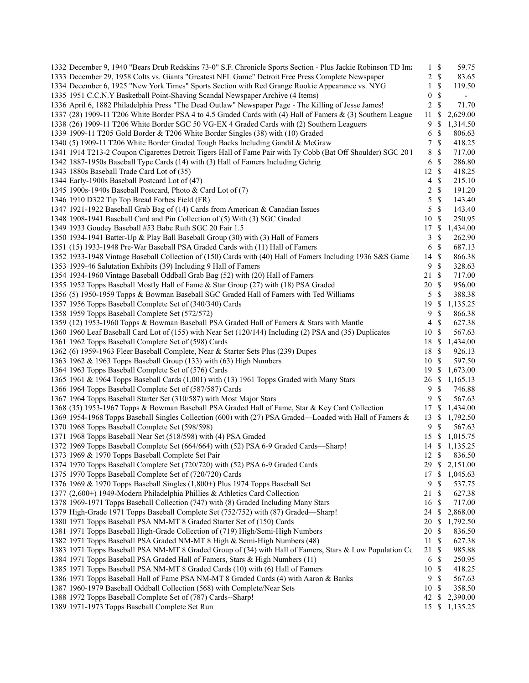| 1332 December 9, 1940 "Bears Drub Redskins 73-0" S.F. Chronicle Sports Section - Plus Jackie Robinson TD Ima | $\mathbf{1}$     | $\mathbb{S}$  | 59.75                    |
|--------------------------------------------------------------------------------------------------------------|------------------|---------------|--------------------------|
| 1333 December 29, 1958 Colts vs. Giants "Greatest NFL Game" Detroit Free Press Complete Newspaper            | $\overline{2}$   | $\mathbb{S}$  | 83.65                    |
| 1334 December 6, 1925 "New York Times" Sports Section with Red Grange Rookie Appearance vs. NYG              | 1                | \$            | 119.50                   |
| 1335 1951 C.C.N.Y Basketball Point-Shaving Scandal Newspaper Archive (4 Items)                               | $\boldsymbol{0}$ | \$            | $\overline{\phantom{a}}$ |
| 1336 April 6, 1882 Philadelphia Press "The Dead Outlaw" Newspaper Page - The Killing of Jesse James!         | 2                | \$            | 71.70                    |
| 1337 (28) 1909-11 T206 White Border PSA 4 to 4.5 Graded Cards with (4) Hall of Famers & (3) Southern League  | 11               | \$            | 2,629.00                 |
| 1338 (26) 1909-11 T206 White Border SGC 50 VG-EX 4 Graded Cards with (2) Southern Leaguers                   | 9                | \$            | 1,314.50                 |
| 1339 1909-11 T205 Gold Border & T206 White Border Singles (38) with (10) Graded                              | 6                | \$            | 806.63                   |
| 1340 (5) 1909-11 T206 White Border Graded Tough Backs Including Gandil & McGraw                              | 7                | \$            | 418.25                   |
| 1341 1914 T213-2 Coupon Cigarettes Detroit Tigers Hall of Fame Pair with Ty Cobb (Bat Off Shoulder) SGC 201  | 8                | \$            | 717.00                   |
| 1342 1887-1950s Baseball Type Cards (14) with (3) Hall of Famers Including Gehrig                            | 6                | \$            | 286.80                   |
| 1343 1880s Baseball Trade Card Lot of (35)                                                                   |                  | 12S           | 418.25                   |
| 1344 Early-1900s Baseball Postcard Lot of (47)                                                               | 4                | \$            | 215.10                   |
| 1345 1900s-1940s Baseball Postcard, Photo & Card Lot of (7)                                                  | 2                | \$            | 191.20                   |
| 1346 1910 D322 Tip Top Bread Forbes Field (FR)                                                               | 5                | \$            | 143.40                   |
| 1347 1921-1922 Baseball Grab Bag of (14) Cards from American & Canadian Issues                               | 5                | \$            | 143.40                   |
| 1348 1908-1941 Baseball Card and Pin Collection of (5) With (3) SGC Graded                                   | 10               | <sup>\$</sup> | 250.95                   |
| 1349 1933 Goudey Baseball #53 Babe Ruth SGC 20 Fair 1.5                                                      | 17               | \$            | 1,434.00                 |
| 1350 1934-1941 Batter-Up & Play Ball Baseball Group (30) with (3) Hall of Famers                             | 3                | \$            | 262.90                   |
| 1351 (15) 1933-1948 Pre-War Baseball PSA Graded Cards with (11) Hall of Famers                               | 6                | \$            | 687.13                   |
| 1352 1933-1948 Vintage Baseball Collection of (150) Cards with (40) Hall of Famers Including 1936 S&S Game 1 | 14               | $\mathcal{S}$ | 866.38                   |
| 1353 1939-46 Salutation Exhibits (39) Including 9 Hall of Famers                                             | 9                | \$            | 328.63                   |
| 1354 1934-1960 Vintage Baseball Oddball Grab Bag (52) with (20) Hall of Famers                               | 21               | \$            | 717.00                   |
| 1355 1952 Topps Baseball Mostly Hall of Fame & Star Group (27) with (18) PSA Graded                          | 20               | $\mathbb{S}$  | 956.00                   |
|                                                                                                              | 5                | \$            | 388.38                   |
| 1356 (5) 1950-1959 Topps & Bowman Baseball SGC Graded Hall of Famers with Ted Williams                       |                  | <sup>\$</sup> |                          |
| 1357 1956 Topps Baseball Complete Set of (340/340) Cards<br>1358 1959 Topps Baseball Complete Set (572/572)  | 19<br>9          |               | 1,135.25                 |
|                                                                                                              |                  | \$<br>\$      | 866.38                   |
| 1359 (12) 1953-1960 Topps & Bowman Baseball PSA Graded Hall of Famers & Stars with Mantle                    | $\overline{4}$   |               | 627.38                   |
| 1360 1960 Leaf Baseball Card Lot of (155) with Near Set (120/144) Including (2) PSA and (35) Duplicates      | 10               | $\mathbb{S}$  | 567.63                   |
| 1361 1962 Topps Baseball Complete Set of (598) Cards                                                         | 18               | \$            | 1,434.00                 |
| 1362 (6) 1959-1963 Fleer Baseball Complete, Near & Starter Sets Plus (239) Dupes                             | 18               | $\mathbb{S}$  | 926.13                   |
| 1363 1962 & 1963 Topps Baseball Group (133) with (63) High Numbers                                           | 10               | $\mathbb{S}$  | 597.50                   |
| 1364 1963 Topps Baseball Complete Set of (576) Cards                                                         | 19               | \$            | 1,673.00                 |
| 1365 1961 & 1964 Topps Baseball Cards (1,001) with (13) 1961 Topps Graded with Many Stars                    | 26               | \$            | 1,165.13                 |
| 1366 1964 Topps Baseball Complete Set of (587/587) Cards                                                     | 9                | \$            | 746.88                   |
| 1367 1964 Topps Baseball Starter Set (310/587) with Most Major Stars                                         | 9                | \$            | 567.63                   |
| 1368 (35) 1953-1967 Topps & Bowman Baseball PSA Graded Hall of Fame, Star & Key Card Collection              | 17               | <sup>\$</sup> | 1,434.00                 |
| 1369 1954-1968 Topps Baseball Singles Collection (600) with (27) PSA Graded—Loaded with Hall of Famers & :   | 13               | \$            | 1,792.50                 |
| 1370 1968 Topps Baseball Complete Set (598/598)                                                              | 9                | S             | 567.63                   |
| 1371 1968 Topps Baseball Near Set (518/598) with (4) PSA Graded                                              | 15               | <sup>\$</sup> | 1,015.75                 |
| 1372 1969 Topps Baseball Complete Set (664/664) with (52) PSA 6-9 Graded Cards—Sharp!                        |                  |               | 14 \$ 1,135.25           |
| 1373 1969 & 1970 Topps Baseball Complete Set Pair                                                            |                  | 12 \$         | 836.50                   |
| 1374 1970 Topps Baseball Complete Set (720/720) with (52) PSA 6-9 Graded Cards                               | 29               | \$            | 2,151.00                 |
| 1375 1970 Topps Baseball Complete Set of (720/720) Cards                                                     | 17               | \$            | 1,045.63                 |
| 1376 1969 & 1970 Topps Baseball Singles (1,800+) Plus 1974 Topps Baseball Set                                | 9                | \$            | 537.75                   |
| 1377 (2,600+) 1949-Modern Philadelphia Phillies & Athletics Card Collection                                  | 21               | \$            | 627.38                   |
| 1378 1969-1971 Topps Baseball Collection (747) with (8) Graded Including Many Stars                          | 16               | \$            | 717.00                   |
| 1379 High-Grade 1971 Topps Baseball Complete Set (752/752) with (87) Graded—Sharp!                           | 24               | \$            | 2,868.00                 |
| 1380 1971 Topps Baseball PSA NM-MT 8 Graded Starter Set of (150) Cards                                       | 20               | \$            | 1,792.50                 |
| 1381 1971 Topps Baseball High-Grade Collection of (719) High/Semi-High Numbers                               | 20               | \$            | 836.50                   |
| 1382 1971 Topps Baseball PSA Graded NM-MT 8 High & Semi-High Numbers (48)                                    | 11               | \$            | 627.38                   |
| 1383 1971 Topps Baseball PSA NM-MT 8 Graded Group of (34) with Hall of Famers, Stars & Low Population Cc     | 21               | \$            | 985.88                   |
| 1384 1971 Topps Baseball PSA Graded Hall of Famers, Stars & High Numbers (11)                                | 6                | \$            | 250.95                   |
| 1385 1971 Topps Baseball PSA NM-MT 8 Graded Cards (10) with (6) Hall of Famers                               | 10               | \$            | 418.25                   |
| 1386 1971 Topps Baseball Hall of Fame PSA NM-MT 8 Graded Cards (4) with Aaron & Banks                        | 9                | \$            | 567.63                   |
| 1387 1960-1979 Baseball Oddball Collection (568) with Complete/Near Sets                                     | 10               | \$            | 358.50                   |
| 1388 1972 Topps Baseball Complete Set of (787) Cards--Sharp!                                                 | 42               | \$            | 2,390.00                 |
| 1389 1971-1973 Topps Baseball Complete Set Run                                                               |                  |               | 15 \$ 1,135.25           |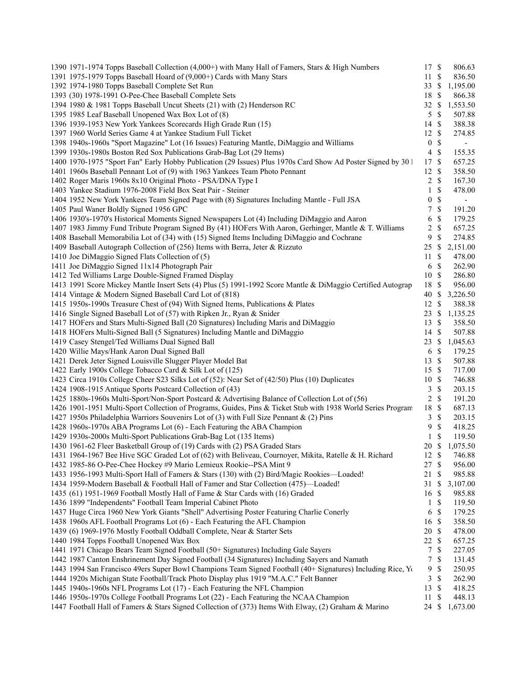| 1390 1971-1974 Topps Baseball Collection (4,000+) with Many Hall of Famers, Stars & High Numbers             | 17               | $\mathbb{S}$  | 806.63                   |
|--------------------------------------------------------------------------------------------------------------|------------------|---------------|--------------------------|
| 1391 1975-1979 Topps Baseball Hoard of (9,000+) Cards with Many Stars                                        | 11               | $\mathbb{S}$  | 836.50                   |
| 1392 1974-1980 Topps Baseball Complete Set Run                                                               | 33               | -S            | 1,195.00                 |
| 1393 (30) 1978-1991 O-Pee-Chee Baseball Complete Sets                                                        | 18               | <sup>\$</sup> | 866.38                   |
| 1394 1980 & 1981 Topps Baseball Uncut Sheets (21) with (2) Henderson RC                                      | $32 \text{ }$ \$ |               | 1,553.50                 |
| 1395 1985 Leaf Baseball Unopened Wax Box Lot of (8)                                                          | 5 <sup>5</sup>   | $\mathbb{S}$  | 507.88                   |
| 1396 1939-1953 New York Yankees Scorecards High Grade Run (15)                                               | 14S              |               | 388.38                   |
| 1397 1960 World Series Game 4 at Yankee Stadium Full Ticket                                                  | 12S              |               | 274.85                   |
| 1398 1940s-1960s "Sport Magazine" Lot (16 Issues) Featuring Mantle, DiMaggio and Williams                    | $\boldsymbol{0}$ | $\mathbb{S}$  | $\overline{\phantom{a}}$ |
| 1399 1930s-1980s Boston Red Sox Publications Grab-Bag Lot (29 Items)                                         | $\overline{4}$   | $\mathbb{S}$  | 155.35                   |
| 1400 1970-1975 "Sport Fan" Early Hobby Publication (29 Issues) Plus 1970s Card Show Ad Poster Signed by 30 l | 17               | $\mathbb{S}$  | 657.25                   |
| 1401 1960s Baseball Pennant Lot of (9) with 1963 Yankees Team Photo Pennant                                  | 12S              |               | 358.50                   |
| 1402 Roger Maris 1960s 8x10 Original Photo - PSA/DNA Type I                                                  |                  | $2 \sqrt{s}$  | 167.30                   |
| 1403 Yankee Stadium 1976-2008 Field Box Seat Pair - Steiner                                                  | $\mathbf{1}$     | $\mathbb{S}$  | 478.00                   |
| 1404 1952 New York Yankees Team Signed Page with (8) Signatures Including Mantle - Full JSA                  | 0                | \$            | $\blacksquare$           |
| 1405 Paul Waner Boldly Signed 1956 GPC                                                                       | 7                | $\mathbb S$   | 191.20                   |
| 1406 1930's-1970's Historical Moments Signed Newspapers Lot (4) Including DiMaggio and Aaron                 | 6                | $\mathbb{S}$  | 179.25                   |
| 1407 1983 Jimmy Fund Tribute Program Signed By (41) HOFers With Aaron, Gerhinger, Mantle & T. Williams       | $\overline{c}$   | $\mathbb S$   | 657.25                   |
| 1408 Baseball Memorabilia Lot of (34) with (15) Signed Items Including DiMaggio and Cochrane                 | 9                | \$            | 274.85                   |
| 1409 Baseball Autograph Collection of (256) Items with Berra, Jeter & Rizzuto                                | 25               | \$            | 2,151.00                 |
| 1410 Joe DiMaggio Signed Flats Collection of (5)                                                             | 11               | <sup>\$</sup> | 478.00                   |
| 1411 Joe DiMaggio Signed 11x14 Photograph Pair                                                               | 6                | $\mathbb{S}$  | 262.90                   |
| 1412 Ted Williams Large Double-Signed Framed Display                                                         | 10S              |               | 286.80                   |
|                                                                                                              | 18               | $\mathbb{S}$  | 956.00                   |
| 1413 1991 Score Mickey Mantle Insert Sets (4) Plus (5) 1991-1992 Score Mantle & DiMaggio Certified Autograp  |                  |               |                          |
| 1414 Vintage & Modern Signed Baseball Card Lot of (818)                                                      | 40               | \$            | 3,226.50                 |
| 1415 1950s-1990s Treasure Chest of (94) With Signed Items, Publications & Plates                             | 12               | <sup>\$</sup> | 388.38                   |
| 1416 Single Signed Baseball Lot of (57) with Ripken Jr., Ryan & Snider                                       | 23               | \$            | 1,135.25                 |
| 1417 HOFers and Stars Multi-Signed Ball (20 Signatures) Including Maris and DiMaggio                         | 13               | \$            | 358.50                   |
| 1418 HOFers Multi-Signed Ball (5 Signatures) Including Mantle and DiMaggio                                   | 14S              |               | 507.88                   |
| 1419 Casey Stengel/Ted Williams Dual Signed Ball                                                             | $23 \text{ }$ \$ |               | 1,045.63                 |
| 1420 Willie Mays/Hank Aaron Dual Signed Ball                                                                 | 6                | $\mathbb{S}$  | 179.25                   |
| 1421 Derek Jeter Signed Louisville Slugger Player Model Bat                                                  | 13               | $\mathbb{S}$  | 507.88                   |
| 1422 Early 1900s College Tobacco Card & Silk Lot of (125)                                                    | 15 \$            |               | 717.00                   |
| 1423 Circa 1910s College Cheer S23 Silks Lot of (52): Near Set of (42/50) Plus (10) Duplicates               | 10S              |               | 746.88                   |
| 1424 1908-1915 Antique Sports Postcard Collection of (43)                                                    | 3                | $\mathbb{S}$  | 203.15                   |
| 1425 1880s-1960s Multi-Sport/Non-Sport Postcard & Advertising Balance of Collection Lot of (56)              | $\overline{c}$   | $\mathcal{S}$ | 191.20                   |
| 1426 1901-1951 Multi-Sport Collection of Programs, Guides, Pins & Ticket Stub with 1938 World Series Program | 18               | $\mathbb{S}$  | 687.13                   |
| 1427 1950s Philadelphia Warriors Souvenirs Lot of (3) with Full Size Pennant & (2) Pins                      | 3                | $\mathbb{S}$  | 203.15                   |
| 1428 1960s-1970s ABA Programs Lot (6) - Each Featuring the ABA Champion                                      | 9                | \$            | 418.25                   |
| 1429 1930s-2000s Multi-Sport Publications Grab-Bag Lot (135 Items)                                           | $\mathbf{1}$     | \$            | 119.50                   |
| 1430 1961-62 Fleer Basketball Group of (19) Cards with (2) PSA Graded Stars                                  | 20 \$            |               | 1,075.50                 |
| 1431 1964-1967 Bee Hive SGC Graded Lot of (62) with Beliveau, Cournoyer, Mikita, Ratelle & H. Richard        | 12 \$            |               | 746.88                   |
| 1432 1985-86 O-Pee-Chee Hockey #9 Mario Lemieux Rookie--PSA Mint 9                                           | 27               | $\mathbb{S}$  | 956.00                   |
| 1433 1956-1993 Multi-Sport Hall of Famers & Stars (130) with (2) Bird/Magic Rookies—Loaded!                  | 21               | \$            | 985.88                   |
| 1434 1959-Modern Baseball & Football Hall of Famer and Star Collection (475)-Loaded!                         | 31               | \$            | 3,107.00                 |
| 1435 (61) 1951-1969 Football Mostly Hall of Fame & Star Cards with (16) Graded                               | 16               | S             | 985.88                   |
| 1436 1899 "Independents" Football Team Imperial Cabinet Photo                                                | 1                | <sup>\$</sup> | 119.50                   |
| 1437 Huge Circa 1960 New York Giants "Shell" Advertising Poster Featuring Charlie Conerly                    | 6                | $\mathbb{S}$  | 179.25                   |
| 1438 1960s AFL Football Programs Lot (6) - Each Featuring the AFL Champion                                   | 16               | $\mathbb{S}$  | 358.50                   |
| 1439 (6) 1969-1976 Mostly Football Oddball Complete, Near & Starter Sets                                     | 20               | \$            | 478.00                   |
| 1440 1984 Topps Football Unopened Wax Box                                                                    | 22               | <sup>\$</sup> | 657.25                   |
| 1441 1971 Chicago Bears Team Signed Football (50+ Signatures) Including Gale Sayers                          | 7                | \$            | 227.05                   |
| 1442 1987 Canton Enshrinement Day Signed Football (34 Signatures) Including Sayers and Namath                | 7                | \$            | 131.45                   |
| 1443 1994 San Francisco 49ers Super Bowl Champions Team Signed Football (40+ Signatures) Including Rice, Yo  | 9                | \$            | 250.95                   |
| 1444 1920s Michigan State Football/Track Photo Display plus 1919 "M.A.C." Felt Banner                        | 3                | \$            | 262.90                   |
| 1445 1940s-1960s NFL Programs Lot (17) - Each Featuring the NFL Champion                                     | 13               | \$            | 418.25                   |
| 1446 1950s-1970s College Football Programs Lot (22) - Each Featuring the NCAA Champion                       | 11               | \$            | 448.13                   |
| 1447 Football Hall of Famers & Stars Signed Collection of (373) Items With Elway, (2) Graham & Marino        | 24 \$            |               | 1,673.00                 |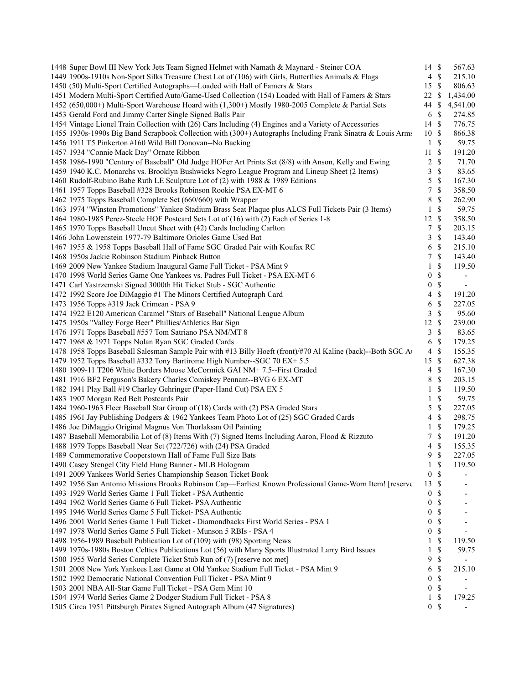| 1448 Super Bowl III New York Jets Team Signed Helmet with Namath & Maynard - Steiner COA                     | 14 \$            |                    | 567.63                   |
|--------------------------------------------------------------------------------------------------------------|------------------|--------------------|--------------------------|
| 1449 1900s-1910s Non-Sport Silks Treasure Chest Lot of (106) with Girls, Butterflies Animals & Flags         |                  | 4S                 | 215.10                   |
| 1450 (50) Multi-Sport Certified Autographs-Loaded with Hall of Famers & Stars                                | 15 \$            |                    | 806.63                   |
| 1451 Modern Multi-Sport Certified Auto/Game-Used Collection (154) Loaded with Hall of Famers & Stars         | 22               | S                  | 1,434.00                 |
| 1452 (650,000+) Multi-Sport Warehouse Hoard with (1,300+) Mostly 1980-2005 Complete & Partial Sets           | 44 \$            |                    | 4,541.00                 |
| 1453 Gerald Ford and Jimmy Carter Single Signed Balls Pair                                                   | 6                | $\mathbb{S}$       | 274.85                   |
| 1454 Vintage Lionel Train Collection with (26) Cars Including (4) Engines and a Variety of Accessories       | 14S              |                    | 776.75                   |
| 1455 1930s-1990s Big Band Scrapbook Collection with (300+) Autographs Including Frank Sinatra & Louis Arms   | 10S              |                    | 866.38                   |
| 1456 1911 T5 Pinkerton #160 Wild Bill Donovan--No Backing                                                    | $\mathbf{1}$     | $\mathbb{S}$       | 59.75                    |
| 1457 1934 "Connie Mack Day" Ornate Ribbon                                                                    | 11               | $\mathbb{S}$       | 191.20                   |
| 1458 1986-1990 "Century of Baseball" Old Judge HOFer Art Prints Set (8/8) with Anson, Kelly and Ewing        | $\overline{2}$   | $\mathbb{S}$       | 71.70                    |
| 1459 1940 K.C. Monarchs vs. Brooklyn Bushwicks Negro League Program and Lineup Sheet (2 Items)               | 3                | $\mathbb S$        | 83.65                    |
| 1460 Rudolf-Rubino Babe Ruth LE Sculpture Lot of (2) with 1988 & 1989 Editions                               | 5                | $\mathcal{S}$      | 167.30                   |
| 1461 1957 Topps Baseball #328 Brooks Robinson Rookie PSA EX-MT 6                                             | 7                | \$                 | 358.50                   |
| 1462 1975 Topps Baseball Complete Set (660/660) with Wrapper                                                 | 8                | \$                 | 262.90                   |
| 1463 1974 "Winston Promotions" Yankee Stadium Brass Seat Plaque plus ALCS Full Tickets Pair (3 Items)        | $\mathbf{1}$     | \$                 | 59.75                    |
|                                                                                                              | 12 \$            |                    |                          |
| 1464 1980-1985 Perez-Steele HOF Postcard Sets Lot of (16) with (2) Each of Series 1-8                        |                  |                    | 358.50                   |
| 1465 1970 Topps Baseball Uncut Sheet with (42) Cards Including Carlton                                       | 7                | $\mathcal{S}$      | 203.15                   |
| 1466 John Lowenstein 1977-79 Baltimore Orioles Game Used Bat                                                 | 3                | $\mathcal{S}$      | 143.40                   |
| 1467 1955 & 1958 Topps Baseball Hall of Fame SGC Graded Pair with Koufax RC                                  | 6                | $\mathcal{S}$      | 215.10                   |
| 1468 1950s Jackie Robinson Stadium Pinback Button                                                            | 7                | $\mathbb{S}$       | 143.40                   |
| 1469 2009 New Yankee Stadium Inaugural Game Full Ticket - PSA Mint 9                                         | 1                | \$                 | 119.50                   |
| 1470 1998 World Series Game One Yankees vs. Padres Full Ticket - PSA EX-MT 6                                 | $\boldsymbol{0}$ | $\mathbb{S}$       |                          |
| 1471 Carl Yastrzemski Signed 3000th Hit Ticket Stub - SGC Authentic                                          | $\boldsymbol{0}$ | $\mathbb{S}$       | $\blacksquare$           |
| 1472 1992 Score Joe DiMaggio #1 The Minors Certified Autograph Card                                          | 4                | $\mathcal{S}$      | 191.20                   |
| 1473 1956 Topps #319 Jack Crimean - PSA 9                                                                    | 6                | $\mathbb{S}$       | 227.05                   |
| 1474 1922 E120 American Caramel "Stars of Baseball" National League Album                                    | 3                | \$                 | 95.60                    |
| 1475 1950s "Valley Forge Beer" Phillies/Athletics Bar Sign                                                   | 12               | $\mathcal{S}$      | 239.00                   |
| 1476 1971 Topps Baseball #557 Tom Satriano PSA NM/MT 8                                                       | 3                | $\mathbb{S}$       | 83.65                    |
| 1477 1968 & 1971 Topps Nolan Ryan SGC Graded Cards                                                           | 6                | $\mathbb S$        | 179.25                   |
| 1478 1958 Topps Baseball Salesman Sample Pair with #13 Billy Hoeft (front)/#70 Al Kaline (back)--Both SGC At | $\overline{4}$   | $\mathcal{S}$      | 155.35                   |
| 1479 1952 Topps Baseball #332 Tony Bartirome High Number--SGC 70 EX+ 5.5                                     | 15               | - \$               | 627.38                   |
| 1480 1909-11 T206 White Borders Moose McCormick GAI NM+ 7.5--First Graded                                    | $\overline{4}$   | $\mathcal{S}$      | 167.30                   |
| 1481 1916 BF2 Ferguson's Bakery Charles Comiskey Pennant--BVG 6 EX-MT                                        | 8                | $\mathbb{S}$       | 203.15                   |
| 1482 1941 Play Ball #19 Charley Gehringer (Paper-Hand Cut) PSA EX 5                                          | 1                | $\mathbb{S}$       | 119.50                   |
| 1483 1907 Morgan Red Belt Postcards Pair                                                                     | 1                | $\mathbb S$        | 59.75                    |
| 1484 1960-1963 Fleer Baseball Star Group of (18) Cards with (2) PSA Graded Stars                             | 5                | $\mathcal{S}$      | 227.05                   |
| 1485 1961 Jay Publishing Dodgers & 1962 Yankees Team Photo Lot of (25) SGC Graded Cards                      | 4                | $\mathbb{S}$       | 298.75                   |
| 1486 Joe DiMaggio Original Magnus Von Thorlaksan Oil Painting                                                | $\mathbf{1}$     | $\mathbb S$        | 179.25                   |
| 1487 Baseball Memorabilia Lot of (8) Items With (7) Signed Items Including Aaron, Flood & Rizzuto            | 7                | $\mathbb{S}$       | 191.20                   |
| 1488 1979 Topps Baseball Near Set (722/726) with (24) PSA Graded                                             | $\overline{4}$   | $\mathcal{S}$      | 155.35                   |
| 1489 Commemorative Cooperstown Hall of Fame Full Size Bats                                                   | 9                | $\mathbf{\hat{s}}$ | 227.05                   |
| 1490 Casey Stengel City Field Hung Banner - MLB Hologram                                                     | 1                | $\mathbb{S}$       | 119.50                   |
|                                                                                                              |                  |                    |                          |
| 1491 2009 Yankees World Series Championship Season Ticket Book                                               | $\boldsymbol{0}$ | \$                 |                          |
| 1492 1956 San Antonio Missions Brooks Robinson Cap-Earliest Known Professional Game-Worn Item! [reserve      | 13               | <sup>\$</sup>      |                          |
| 1493 1929 World Series Game 1 Full Ticket - PSA Authentic                                                    | $\boldsymbol{0}$ | \$                 |                          |
| 1494 1962 World Series Game 6 Full Ticket-PSA Authentic                                                      | $\boldsymbol{0}$ | $\mathbb{S}$       |                          |
| 1495 1946 World Series Game 5 Full Ticket-PSA Authentic                                                      | 0                | \$                 |                          |
| 1496 2001 World Series Game 1 Full Ticket - Diamondbacks First World Series - PSA 1                          | 0                | \$                 |                          |
| 1497 1978 World Series Game 5 Full Ticket - Munson 5 RBIs - PSA 4                                            | 0                | \$                 | $\overline{\phantom{a}}$ |
| 1498 1956-1989 Baseball Publication Lot of (109) with (98) Sporting News                                     | 1                | \$                 | 119.50                   |
| 1499 1970s-1980s Boston Celtics Publications Lot (56) with Many Sports Illustrated Larry Bird Issues         | 1                | \$                 | 59.75                    |
| 1500 1955 World Series Complete Ticket Stub Run of (7) [reserve not met]                                     | 9                | \$                 |                          |
| 1501 2008 New York Yankees Last Game at Old Yankee Stadium Full Ticket - PSA Mint 9                          | 6                | $\mathbb S$        | 215.10                   |
| 1502 1992 Democratic National Convention Full Ticket - PSA Mint 9                                            | $\boldsymbol{0}$ | \$                 |                          |
| 1503 2001 NBA All-Star Game Full Ticket - PSA Gem Mint 10                                                    | $\boldsymbol{0}$ | \$                 |                          |
| 1504 1974 World Series Game 2 Dodger Stadium Full Ticket - PSA 8                                             | 1                | \$                 | 179.25                   |
| 1505 Circa 1951 Pittsburgh Pirates Signed Autograph Album (47 Signatures)                                    |                  | 0 <sup>5</sup>     |                          |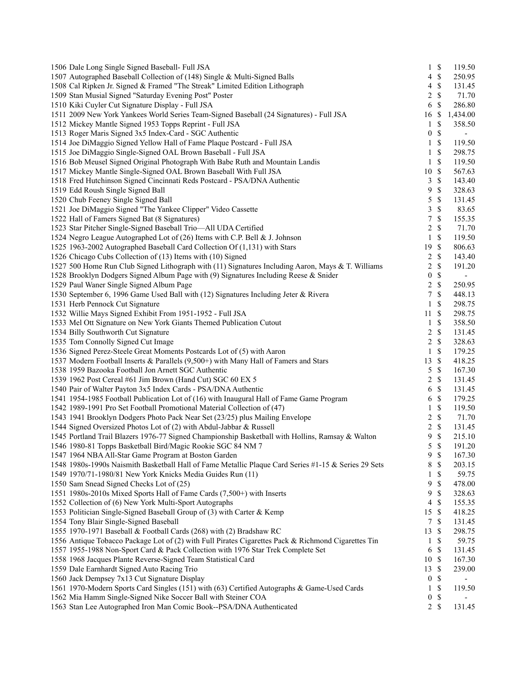| 1506 Dale Long Single Signed Baseball- Full JSA                                                      |                     | $1 \text{ }$   | 119.50                   |
|------------------------------------------------------------------------------------------------------|---------------------|----------------|--------------------------|
| 1507 Autographed Baseball Collection of (148) Single & Multi-Signed Balls                            |                     | $4 \text{ } $$ | 250.95                   |
| 1508 Cal Ripken Jr. Signed & Framed "The Streak" Limited Edition Lithograph                          | 4                   | $\mathbb S$    | 131.45                   |
| 1509 Stan Musial Signed "Saturday Evening Post" Poster                                               | 2                   | $\mathcal{S}$  | 71.70                    |
| 1510 Kiki Cuyler Cut Signature Display - Full JSA                                                    | 6                   | $\mathbb S$    | 286.80                   |
| 1511 2009 New York Yankees World Series Team-Signed Baseball (24 Signatures) - Full JSA              | 16                  | $\mathcal{S}$  | 1,434.00                 |
| 1512 Mickey Mantle Signed 1953 Topps Reprint - Full JSA                                              | 1                   | \$             | 358.50                   |
| 1513 Roger Maris Signed 3x5 Index-Card - SGC Authentic                                               | $\boldsymbol{0}$    | $\mathbb{S}$   | $\overline{\phantom{a}}$ |
| 1514 Joe DiMaggio Signed Yellow Hall of Fame Plaque Postcard - Full JSA                              | 1                   | $\mathbb{S}$   | 119.50                   |
| 1515 Joe DiMaggio Single-Signed OAL Brown Baseball - Full JSA                                        | 1                   | $\mathcal{S}$  | 298.75                   |
| 1516 Bob Meusel Signed Original Photograph With Babe Ruth and Mountain Landis                        | $\mathbf{1}$        | $\mathcal{S}$  | 119.50                   |
| 1517 Mickey Mantle Single-Signed OAL Brown Baseball With Full JSA                                    | $10\,$              | $\mathcal{S}$  | 567.63                   |
| 1518 Fred Hutchinson Signed Cincinnati Reds Postcard - PSA/DNA Authentic                             | 3                   | $\mathcal{S}$  | 143.40                   |
| 1519 Edd Roush Single Signed Ball                                                                    | 9                   | \$             | 328.63                   |
| 1520 Chub Feeney Single Signed Ball                                                                  | 5                   | \$             | 131.45                   |
| 1521 Joe DiMaggio Signed "The Yankee Clipper" Video Cassette                                         | 3                   | \$             | 83.65                    |
| 1522 Hall of Famers Signed Bat (8 Signatures)                                                        | $\boldsymbol{7}$    | $\mathbb{S}$   | 155.35                   |
| 1523 Star Pitcher Single-Signed Baseball Trio-All UDA Certified                                      | 2                   | $\mathbb{S}$   | 71.70                    |
| 1524 Negro League Autographed Lot of (26) Items with C.P. Bell & J. Johnson                          | $\mathbf{1}$        | $\mathcal{S}$  | 119.50                   |
| 1525 1963-2002 Autographed Baseball Card Collection Of (1,131) with Stars                            | 19 \$               |                | 806.63                   |
| 1526 Chicago Cubs Collection of (13) Items with (10) Signed                                          | $\overline{c}$      | $\mathbb S$    | 143.40                   |
| 1527 500 Home Run Club Signed Lithograph with (11) Signatures Including Aaron, Mays & T. Williams    | 2                   | \$             | 191.20                   |
| 1528 Brooklyn Dodgers Signed Album Page with (9) Signatures Including Reese & Snider                 | $\boldsymbol{0}$    | $\mathbb{S}$   |                          |
| 1529 Paul Waner Single Signed Album Page                                                             | 2                   | $\mathbb{S}$   | 250.95                   |
| 1530 September 6, 1996 Game Used Ball with (12) Signatures Including Jeter & Rivera                  | 7                   | $\mathcal{S}$  | 448.13                   |
| 1531 Herb Pennock Cut Signature                                                                      | $\mathbf{1}$        | \$             | 298.75                   |
| 1532 Willie Mays Signed Exhibit From 1951-1952 - Full JSA                                            | 11                  | $\mathbb{S}$   | 298.75                   |
| 1533 Mel Ott Signature on New York Giants Themed Publication Cutout                                  | 1                   | $\mathcal{S}$  | 358.50                   |
| 1534 Billy Southworth Cut Signature                                                                  | $\overline{c}$      | $\mathcal{S}$  | 131.45                   |
| 1535 Tom Connolly Signed Cut Image                                                                   | 2                   | $\mathbb{S}$   | 328.63                   |
| 1536 Signed Perez-Steele Great Moments Postcards Lot of (5) with Aaron                               | $\mathbf{1}$        | $\mathcal{S}$  | 179.25                   |
| 1537 Modern Football Inserts & Parallels (9,500+) with Many Hall of Famers and Stars                 |                     | -\$            | 418.25                   |
|                                                                                                      | 13                  | $\mathbb{S}$   |                          |
| 1538 1959 Bazooka Football Jon Arnett SGC Authentic                                                  | 5<br>$\overline{c}$ | $\mathcal{S}$  | 167.30                   |
| 1539 1962 Post Cereal #61 Jim Brown (Hand Cut) SGC 60 EX 5                                           | $\sqrt{6}$          | $\mathcal{S}$  | 131.45                   |
| 1540 Pair of Walter Payton 3x5 Index Cards - PSA/DNA Authentic                                       |                     |                | 131.45                   |
| 1541 1954-1985 Football Publication Lot of (16) with Inaugural Hall of Fame Game Program             | 6                   | $\mathbb{S}$   | 179.25<br>119.50         |
| 1542 1989-1991 Pro Set Football Promotional Material Collection of (47)                              | $\mathbf{1}$        | $\mathcal{S}$  |                          |
| 1543 1941 Brooklyn Dodgers Photo Pack Near Set (23/25) plus Mailing Envelope                         | 2                   | $\mathbb{S}$   | 71.70                    |
| 1544 Signed Oversized Photos Lot of (2) with Abdul-Jabbar & Russell                                  | 2                   | $\mathbb S$    | 131.45                   |
| 1545 Portland Trail Blazers 1976-77 Signed Championship Basketball with Hollins, Ramsay & Walton     | 9                   | $\mathbb{S}$   | 215.10                   |
| 1546 1980-81 Topps Basketball Bird/Magic Rookie SGC 84 NM 7                                          | 5                   | $\mathcal{S}$  | 191.20                   |
| 1547 1964 NBA All-Star Game Program at Boston Garden                                                 | 9                   | $\mathbb{S}$   | 167.30                   |
| 1548 1980s-1990s Naismith Basketball Hall of Fame Metallic Plaque Card Series #1-15 & Series 29 Sets | 8                   | \$             | 203.15                   |
| 1549 1970/71-1980/81 New York Knicks Media Guides Run (11)                                           | 1                   | \$             | 59.75                    |
| 1550 Sam Snead Signed Checks Lot of (25)                                                             | 9                   | $\mathbb{S}$   | 478.00                   |
| 1551 1980s-2010s Mixed Sports Hall of Fame Cards (7,500+) with Inserts                               | 9                   | \$             | 328.63                   |
| 1552 Collection of (6) New York Multi-Sport Autographs                                               | $\overline{4}$      | $\mathbb{S}$   | 155.35                   |
| 1553 Politician Single-Signed Baseball Group of (3) with Carter & Kemp                               | 15                  | $\mathcal{S}$  | 418.25                   |
| 1554 Tony Blair Single-Signed Baseball                                                               |                     | 7S             | 131.45                   |
| 1555 1970-1971 Baseball & Football Cards (268) with (2) Bradshaw RC                                  | 13                  | \$             | 298.75                   |
| 1556 Antique Tobacco Package Lot of (2) with Full Pirates Cigarettes Pack & Richmond Cigarettes Tin  | 1                   | \$             | 59.75                    |
| 1557 1955-1988 Non-Sport Card & Pack Collection with 1976 Star Trek Complete Set                     | 6                   | $\mathbb S$    | 131.45                   |
| 1558 1968 Jacques Plante Reverse-Signed Team Statistical Card                                        | 10S                 |                | 167.30                   |
| 1559 Dale Earnhardt Signed Auto Racing Trio                                                          | 13                  | $\mathbb{S}$   | 239.00                   |
| 1560 Jack Dempsey 7x13 Cut Signature Display                                                         | $\boldsymbol{0}$    | \$             |                          |
| 1561 1970-Modern Sports Card Singles (151) with (63) Certified Autographs & Game-Used Cards          | $\mathbf{1}$        | \$             | 119.50                   |
| 1562 Mia Hamm Single-Signed Nike Soccer Ball with Steiner COA                                        | $\boldsymbol{0}$    | $\$$           |                          |
| 1563 Stan Lee Autographed Iron Man Comic Book--PSA/DNA Authenticated                                 |                     | $2 \sqrt{s}$   | 131.45                   |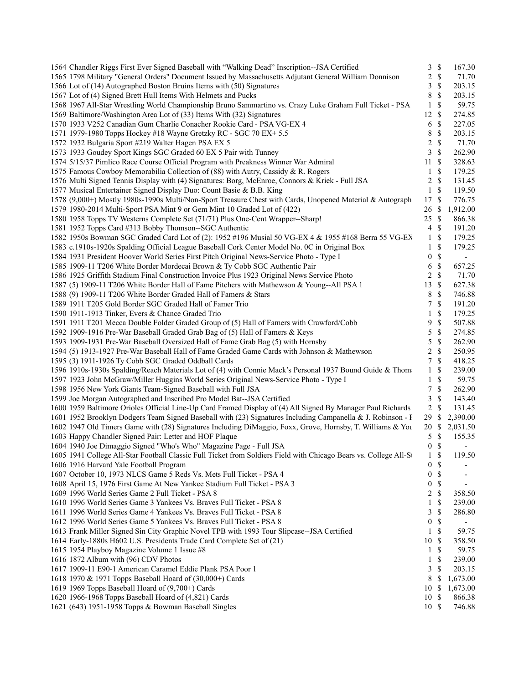| 1564 Chandler Riggs First Ever Signed Baseball with "Walking Dead" Inscription--JSA Certified                     | 3                | $\mathcal{S}$             | 167.30                   |
|-------------------------------------------------------------------------------------------------------------------|------------------|---------------------------|--------------------------|
| 1565 1798 Military "General Orders" Document Issued by Massachusetts Adjutant General William Donnison            |                  | 2 S                       | 71.70                    |
| 1566 Lot of (14) Autographed Boston Bruins Items with (50) Signatures                                             | 3                | \$                        | 203.15                   |
| 1567 Lot of (4) Signed Brett Hull Items With Helmets and Pucks                                                    | 8                | \$                        | 203.15                   |
| 1568 1967 All-Star Wrestling World Championship Bruno Sammartino vs. Crazy Luke Graham Full Ticket - PSA          | $\mathbf{1}$     | \$                        | 59.75                    |
| 1569 Baltimore/Washington Area Lot of (33) Items With (32) Signatures                                             | 12               | $\mathcal{S}$             | 274.85                   |
| 1570 1933 V252 Canadian Gum Charlie Conacher Rookie Card - PSA VG-EX 4                                            | 6                | $\mathcal{S}$             | 227.05                   |
| 1571 1979-1980 Topps Hockey #18 Wayne Gretzky RC - SGC 70 EX+ 5.5                                                 | 8                | \$                        | 203.15                   |
| 1572 1932 Bulgaria Sport #219 Walter Hagen PSA EX 5                                                               | 2                | \$                        | 71.70                    |
| 1573 1933 Goudey Sport Kings SGC Graded 60 EX 5 Pair with Tunney                                                  | 3                | \$                        | 262.90                   |
| 1574 5/15/37 Pimlico Race Course Official Program with Preakness Winner War Admiral                               | 11               | -\$                       | 328.63                   |
| 1575 Famous Cowboy Memorabilia Collection of (88) with Autry, Cassidy & R. Rogers                                 | $\mathbf{1}$     | \$                        | 179.25                   |
| 1576 Multi Signed Tennis Display with (4) Signatures: Borg, McEnroe, Connors & Kriek - Full JSA                   | 2                | $\mathcal{S}$             | 131.45                   |
| 1577 Musical Entertainer Signed Display Duo: Count Basie & B.B. King                                              | $\mathbf{1}$     | $\mathcal{S}$             | 119.50                   |
| 1578 (9,000+) Mostly 1980s-1990s Multi/Non-Sport Treasure Chest with Cards, Unopened Material & Autograph:        | 17               | $\mathcal{S}$             | 776.75                   |
| 1579 1980-2014 Multi-Sport PSA Mint 9 or Gem Mint 10 Graded Lot of (422)                                          | 26               | -S                        | 1,912.00                 |
| 1580 1958 Topps TV Westerns Complete Set (71/71) Plus One-Cent Wrapper--Sharp!                                    | 25               | -\$                       | 866.38                   |
| 1581 1952 Topps Card #313 Bobby Thomson--SGC Authentic                                                            | $\overline{4}$   | $\mathcal{S}$             | 191.20                   |
| 1582 1950s Bowman SGC Graded Card Lot of (2): 1952 #196 Musial 50 VG-EX 4 & 1955 #168 Berra 55 VG-EX              | $\mathbf{1}$     | $\mathcal{S}$             | 179.25                   |
| 1583 c.1910s-1920s Spalding Official League Baseball Cork Center Model No. 0C in Original Box                     | 1                | \$                        | 179.25                   |
| 1584 1931 President Hoover World Series First Pitch Original News-Service Photo - Type I                          | $\boldsymbol{0}$ | \$                        | $\overline{\phantom{a}}$ |
| 1585 1909-11 T206 White Border Mordecai Brown & Ty Cobb SGC Authentic Pair                                        | 6                | \$                        | 657.25                   |
| 1586 1925 Griffith Stadium Final Construction Invoice Plus 1923 Original News Service Photo                       | $\overline{2}$   | $\boldsymbol{\mathsf{S}}$ | 71.70                    |
| 1587 (5) 1909-11 T206 White Border Hall of Fame Pitchers with Mathewson & Young--All PSA 1                        | 13               | $\mathcal{S}$             | 627.38                   |
| 1588 (9) 1909-11 T206 White Border Graded Hall of Famers & Stars                                                  | 8                | \$                        | 746.88                   |
| 1589 1911 T205 Gold Border SGC Graded Hall of Famer Trio                                                          | 7                | $\mathcal{S}$             | 191.20                   |
| 1590 1911-1913 Tinker, Evers & Chance Graded Trio                                                                 | 1                | \$                        | 179.25                   |
| 1591 1911 T201 Mecca Double Folder Graded Group of (5) Hall of Famers with Crawford/Cobb                          | 9                | \$                        | 507.88                   |
| 1592 1909-1916 Pre-War Baseball Graded Grab Bag of (5) Hall of Famers & Keys                                      | 5                | $\mathbb{S}$              | 274.85                   |
| 1593 1909-1931 Pre-War Baseball Oversized Hall of Fame Grab Bag (5) with Hornsby                                  | 5                | \$                        | 262.90                   |
| 1594 (5) 1913-1927 Pre-War Baseball Hall of Fame Graded Game Cards with Johnson & Mathewson                       | $\overline{c}$   | $\mathbb{S}$              | 250.95                   |
| 1595 (3) 1911-1926 Ty Cobb SGC Graded Oddball Cards                                                               | 7                | $\mathcal{S}$             | 418.25                   |
| 1596 1910s-1930s Spalding/Reach Materials Lot of (4) with Connie Mack's Personal 1937 Bound Guide & Thoma         | 1                | $\mathcal{S}$             | 239.00                   |
| 1597 1923 John McGraw/Miller Huggins World Series Original News-Service Photo - Type I                            | $\mathbf{1}$     | $\mathbb{S}$              | 59.75                    |
| 1598 1956 New York Giants Team-Signed Baseball with Full JSA                                                      | $\tau$           | $\mathcal{S}$             | 262.90                   |
| 1599 Joe Morgan Autographed and Inscribed Pro Model Bat--JSA Certified                                            | 3                | $\mathcal{S}$             | 143.40                   |
| 1600 1959 Baltimore Orioles Official Line-Up Card Framed Display of (4) All Signed By Manager Paul Richards       | $\overline{2}$   | $\mathcal{S}$             | 131.45                   |
| 1601 1952 Brooklyn Dodgers Team Signed Baseball with (23) Signatures Including Campanella & J. Robinson - F       | 29               | - \$                      | 2,390.00                 |
| 1602 1947 Old Timers Game with (28) Signatures Including DiMaggio, Foxx, Grove, Hornsby, T. Williams & You        | 20               | -S                        | 2,031.50                 |
| 1603 Happy Chandler Signed Pair: Letter and HOF Plaque                                                            | 5                | \$                        | 155.35                   |
| 1604 1940 Joe Dimaggio Signed "Who's Who" Magazine Page - Full JSA                                                | $\boldsymbol{0}$ | \$                        |                          |
| 1605 1941 College All-Star Football Classic Full Ticket from Soldiers Field with Chicago Bears vs. College All-St |                  | $1 \text{ }s$             | 119.50                   |
| 1606 1916 Harvard Yale Football Program                                                                           | 0                | \$                        |                          |
| 1607 October 10, 1973 NLCS Game 5 Reds Vs. Mets Full Ticket - PSA 4                                               | $\boldsymbol{0}$ | \$                        | -                        |
| 1608 April 15, 1976 First Game At New Yankee Stadium Full Ticket - PSA 3                                          | $\boldsymbol{0}$ | \$                        |                          |
| 1609 1996 World Series Game 2 Full Ticket - PSA 8                                                                 | 2                | \$                        | 358.50                   |
| 1610 1996 World Series Game 3 Yankees Vs. Braves Full Ticket - PSA 8                                              | $\mathbf{1}$     | \$                        | 239.00                   |
| 1611 1996 World Series Game 4 Yankees Vs. Braves Full Ticket - PSA 8                                              | 3                | \$                        | 286.80                   |
| 1612 1996 World Series Game 5 Yankees Vs. Braves Full Ticket - PSA 8                                              | 0                | \$                        |                          |
| 1613 Frank Miller Signed Sin City Graphic Novel TPB with 1993 Tour Slipcase--JSA Certified                        | 1                | \$                        | 59.75                    |
| 1614 Early-1880s H602 U.S. Presidents Trade Card Complete Set of (21)                                             | 10               | \$                        | 358.50                   |
| 1615 1954 Playboy Magazine Volume 1 Issue #8                                                                      | 1                | \$                        | 59.75                    |
| 1616 1872 Album with (96) CDV Photos                                                                              | $\mathbf{1}$     | \$                        | 239.00                   |
| 1617 1909-11 E90-1 American Caramel Eddie Plank PSA Poor 1                                                        | 3                | \$                        | 203.15                   |
| 1618 1970 & 1971 Topps Baseball Hoard of (30,000+) Cards                                                          | 8                | \$                        | 1,673.00                 |
| 1619 1969 Topps Baseball Hoard of (9,700+) Cards                                                                  | 10               | \$                        | 1,673.00                 |
| 1620 1966-1968 Topps Baseball Hoard of (4,821) Cards                                                              | 10               | S                         | 866.38                   |
| 1621 (643) 1951-1958 Topps & Bowman Baseball Singles                                                              | 10S              |                           | 746.88                   |
|                                                                                                                   |                  |                           |                          |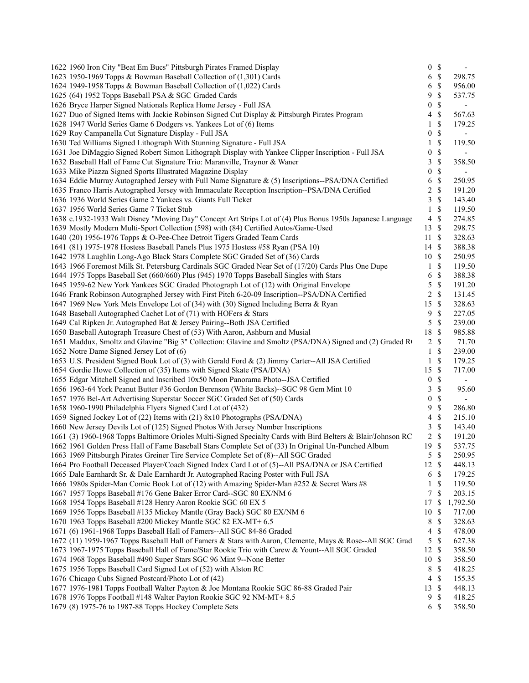| 1622 1960 Iron City "Beat Em Bucs" Pittsburgh Pirates Framed Display                                         | $\bf{0}$                 | $\mathcal{S}$ |                  |
|--------------------------------------------------------------------------------------------------------------|--------------------------|---------------|------------------|
| 1623 1950-1969 Topps & Bowman Baseball Collection of (1,301) Cards                                           | 6                        | $\mathcal{S}$ | 298.75           |
| 1624 1949-1958 Topps & Bowman Baseball Collection of (1,022) Cards                                           | 6                        | \$            | 956.00           |
| 1625 (64) 1952 Topps Baseball PSA & SGC Graded Cards                                                         | 9                        | \$            | 537.75           |
| 1626 Bryce Harper Signed Nationals Replica Home Jersey - Full JSA                                            | $\boldsymbol{0}$         | \$            |                  |
| 1627 Duo of Signed Items with Jackie Robinson Signed Cut Display & Pittsburgh Pirates Program                | 4                        | \$            | 567.63           |
| 1628 1947 World Series Game 6 Dodgers vs. Yankees Lot of (6) Items                                           | 1                        | \$            | 179.25           |
| 1629 Roy Campanella Cut Signature Display - Full JSA                                                         | $\boldsymbol{0}$         | \$            |                  |
| 1630 Ted Williams Signed Lithograph With Stunning Signature - Full JSA                                       | 1                        | \$            | 119.50           |
| 1631 Joe DiMaggio Signed Robert Simon Lithograph Display with Yankee Clipper Inscription - Full JSA          | $\boldsymbol{0}$         | \$            |                  |
| 1632 Baseball Hall of Fame Cut Signature Trio: Maranville, Traynor & Waner                                   | 3                        | \$            | 358.50           |
| 1633 Mike Piazza Signed Sports Illustrated Magazine Display                                                  | $\boldsymbol{0}$         | \$            |                  |
| 1634 Eddie Murray Autographed Jersey with Full Name Signature & (5) Inscriptions--PSA/DNA Certified          | 6                        | \$            | 250.95           |
| 1635 Franco Harris Autographed Jersey with Immaculate Reception Inscription--PSA/DNA Certified               | 2                        | \$            | 191.20           |
| 1636 1936 World Series Game 2 Yankees vs. Giants Full Ticket                                                 | 3                        | \$            | 143.40           |
| 1637 1956 World Series Game 7 Ticket Stub                                                                    | $\mathbf{1}$             | \$            | 119.50           |
| 1638 c.1932-1933 Walt Disney "Moving Day" Concept Art Strips Lot of (4) Plus Bonus 1950s Japanese Language   | $\overline{\mathcal{A}}$ | $\mathbb{S}$  | 274.85           |
| 1639 Mostly Modern Multi-Sport Collection (598) with (84) Certified Autos/Game-Used                          | 13                       | $\mathcal{S}$ | 298.75           |
| 1640 (20) 1956-1976 Topps & O-Pee-Chee Detroit Tigers Graded Team Cards                                      | 11                       | $\mathcal{S}$ | 328.63           |
| 1641 (81) 1975-1978 Hostess Baseball Panels Plus 1975 Hostess #58 Ryan (PSA 10)                              | 14S                      |               | 388.38           |
| 1642 1978 Laughlin Long-Ago Black Stars Complete SGC Graded Set of (36) Cards                                | 10                       | - \$          | 250.95           |
| 1643 1966 Foremost Milk St. Petersburg Cardinals SGC Graded Near Set of (17/20) Cards Plus One Dupe          | 1                        | \$            | 119.50           |
| 1644 1975 Topps Baseball Set (660/660) Plus (945) 1970 Topps Baseball Singles with Stars                     | 6                        | \$            | 388.38           |
| 1645 1959-62 New York Yankees SGC Graded Photograph Lot of (12) with Original Envelope                       | 5                        | $\mathbb{S}$  | 191.20           |
| 1646 Frank Robinson Autographed Jersey with First Pitch 6-20-09 Inscription--PSA/DNA Certified               | 2                        | \$            | 131.45           |
| 1647 1969 New York Mets Envelope Lot of (34) with (30) Signed Including Berra & Ryan                         | 15                       | \$            | 328.63           |
| 1648 Baseball Autographed Cachet Lot of (71) with HOFers & Stars                                             | 9                        | \$            | 227.05           |
| 1649 Cal Ripken Jr. Autographed Bat & Jersey Pairing--Both JSA Certified                                     | 5                        | \$            | 239.00           |
| 1650 Baseball Autograph Treasure Chest of (53) With Aaron, Ashburn and Musial                                | $18\,$                   | \$            | 985.88           |
| 1651 Maddux, Smoltz and Glavine "Big 3" Collection: Glavine and Smoltz (PSA/DNA) Signed and (2) Graded R(    | 2                        | \$            | 71.70            |
| 1652 Notre Dame Signed Jersey Lot of (6)                                                                     | 1                        | <sup>\$</sup> | 239.00           |
| 1653 U.S. President Signed Book Lot of (3) with Gerald Ford & (2) Jimmy Carter--All JSA Certified            | $\mathbf{1}$             | \$            | 179.25           |
| 1654 Gordie Howe Collection of (35) Items with Signed Skate (PSA/DNA)                                        | 15                       | $\mathbb{S}$  | 717.00           |
| 1655 Edgar Mitchell Signed and Inscribed 10x50 Moon Panorama Photo--JSA Certified                            | $\boldsymbol{0}$         | \$            |                  |
| 1656 1963-64 York Peanut Butter #36 Gordon Berenson (White Backs)--SGC 98 Gem Mint 10                        | 3                        | $\mathbb{S}$  | 95.60            |
| 1657 1976 Bel-Art Advertising Superstar Soccer SGC Graded Set of (50) Cards                                  | 0                        | \$            |                  |
| 1658 1960-1990 Philadelphia Flyers Signed Card Lot of (432)                                                  | 9                        | \$            | 286.80           |
| 1659 Signed Jockey Lot of (22) Items with (21) 8x10 Photographs (PSA/DNA)                                    | 4                        | \$            | 215.10           |
| 1660 New Jersey Devils Lot of (125) Signed Photos With Jersey Number Inscriptions                            | 3                        | \$            | 143.40           |
| 1661 (3) 1960-1968 Topps Baltimore Orioles Multi-Signed Specialty Cards with Bird Belters & Blair/Johnson RC | $\overline{2}$           | \$            | 191.20           |
| 1662 1961 Golden Press Hall of Fame Baseball Stars Complete Set of (33) In Original Un-Punched Album         | 19                       | $\mathcal{S}$ | 537.75           |
| 1663 1969 Pittsburgh Pirates Greiner Tire Service Complete Set of (8)--All SGC Graded                        |                          | 5S            |                  |
| 1664 Pro Football Deceased Player/Coach Signed Index Card Lot of (5)--All PSA/DNA or JSA Certified           |                          | $\mathcal{S}$ | 250.95           |
|                                                                                                              | 12                       | $\mathbb{S}$  | 448.13<br>179.25 |
| 1665 Dale Earnhardt Sr. & Dale Earnhardt Jr. Autographed Racing Poster with Full JSA                         | 6                        |               |                  |
| 1666 1980s Spider-Man Comic Book Lot of (12) with Amazing Spider-Man #252 & Secret Wars #8                   | 1                        | \$            | 119.50           |
| 1667 1957 Topps Baseball #176 Gene Baker Error Card--SGC 80 EX/NM 6                                          | 7                        | \$            | 203.15           |
| 1668 1954 Topps Baseball #128 Henry Aaron Rookie SGC 60 EX 5                                                 | 17                       | \$            | 1,792.50         |
| 1669 1956 Topps Baseball #135 Mickey Mantle (Gray Back) SGC 80 EX/NM 6                                       | 10                       | \$            | 717.00           |
| 1670 1963 Topps Baseball #200 Mickey Mantle SGC 82 EX-MT+ 6.5                                                | 8                        | \$            | 328.63           |
| 1671 (6) 1961-1968 Topps Baseball Hall of Famers--All SGC 84-86 Graded                                       | 4                        | \$            | 478.00           |
| 1672 (11) 1959-1967 Topps Baseball Hall of Famers & Stars with Aaron, Clemente, Mays & Rose--All SGC Grad    | 5                        | \$            | 627.38           |
| 1673 1967-1975 Topps Baseball Hall of Fame/Star Rookie Trio with Carew & Yount--All SGC Graded               | 12                       | -\$           | 358.50           |
| 1674 1968 Topps Baseball #490 Super Stars SGC 96 Mint 9--None Better                                         | 10                       | $\mathcal{S}$ | 358.50           |
| 1675 1956 Topps Baseball Card Signed Lot of (52) with Alston RC                                              | 8                        | \$            | 418.25           |
| 1676 Chicago Cubs Signed Postcard/Photo Lot of (42)                                                          | 4                        | \$            | 155.35           |
| 1677 1976-1981 Topps Football Walter Payton & Joe Montana Rookie SGC 86-88 Graded Pair                       | 13                       | \$            | 448.13           |
| 1678 1976 Topps Football #148 Walter Payton Rookie SGC 92 NM-MT+ 8.5                                         | 9                        | \$            | 418.25           |
| 1679 (8) 1975-76 to 1987-88 Topps Hockey Complete Sets                                                       | 6                        | \$            | 358.50           |